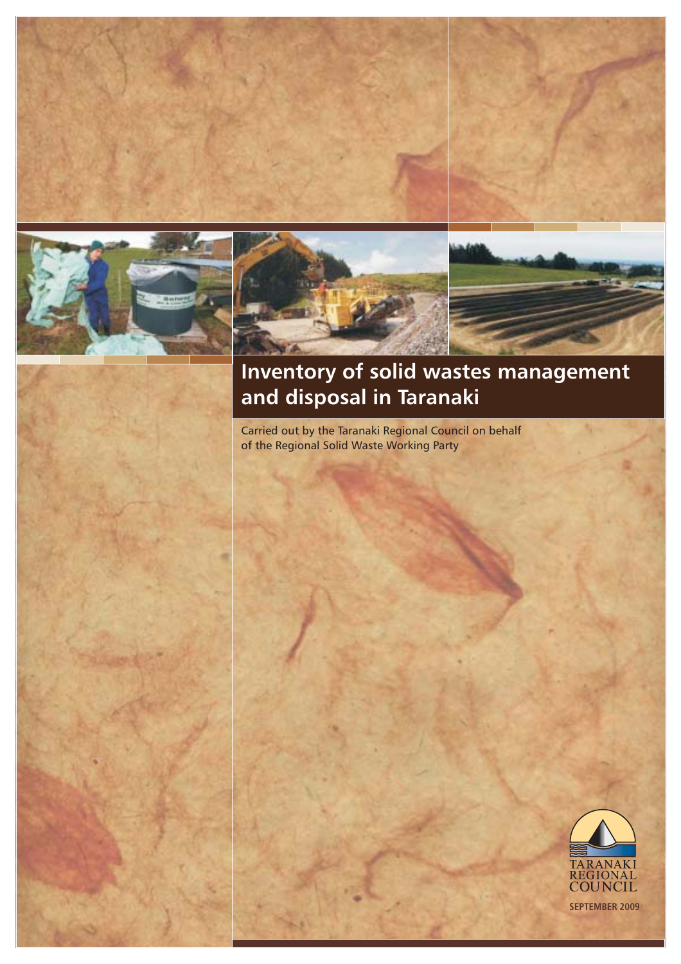





# **Inventory of solid wastes management and disposal in Taranaki**

Carried out by the Taranaki Regional Council on behalf of the Regional Solid Waste Working Party

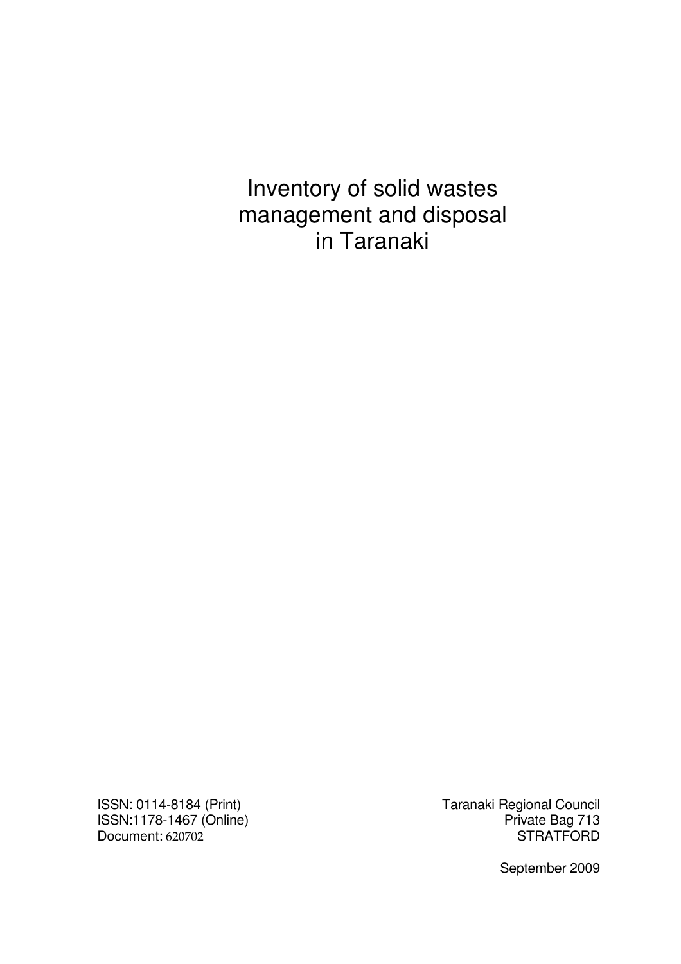Inventory of solid wastes management and disposal in Taranaki

Document: 620702

ISSN: 0114-8184 (Print) Taranaki Regional Council ISSN:1178-1467 (Online) <br>Document: 620702 **Private Bag 713** 

September 2009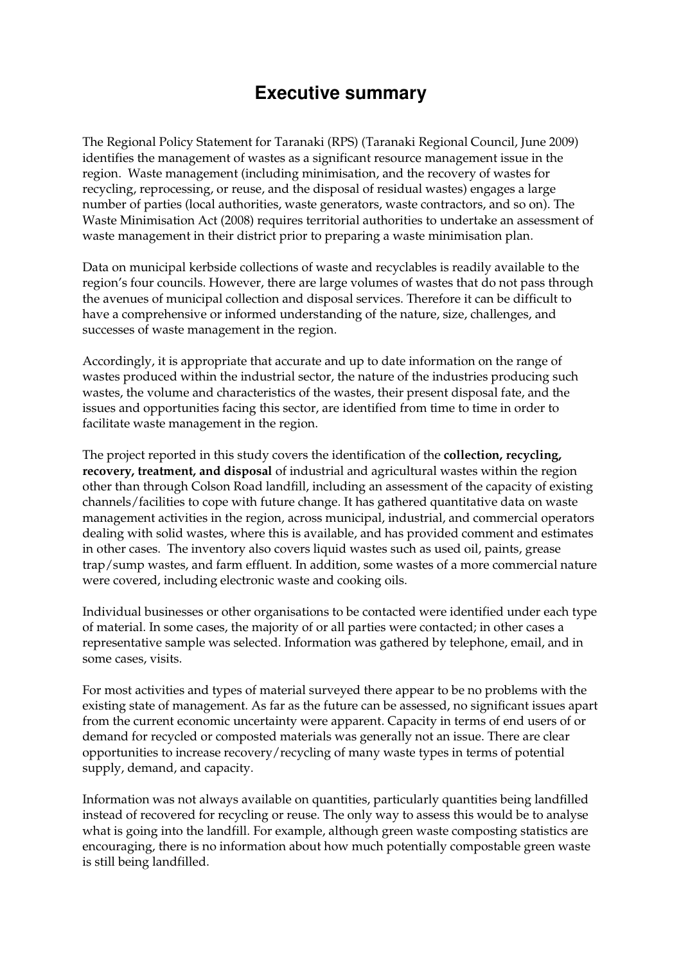# **Executive summary**

The Regional Policy Statement for Taranaki (RPS) (Taranaki Regional Council, June 2009) identifies the management of wastes as a significant resource management issue in the region. Waste management (including minimisation, and the recovery of wastes for recycling, reprocessing, or reuse, and the disposal of residual wastes) engages a large number of parties (local authorities, waste generators, waste contractors, and so on). The Waste Minimisation Act (2008) requires territorial authorities to undertake an assessment of waste management in their district prior to preparing a waste minimisation plan.

Data on municipal kerbside collections of waste and recyclables is readily available to the region's four councils. However, there are large volumes of wastes that do not pass through the avenues of municipal collection and disposal services. Therefore it can be difficult to have a comprehensive or informed understanding of the nature, size, challenges, and successes of waste management in the region.

Accordingly, it is appropriate that accurate and up to date information on the range of wastes produced within the industrial sector, the nature of the industries producing such wastes, the volume and characteristics of the wastes, their present disposal fate, and the issues and opportunities facing this sector, are identified from time to time in order to facilitate waste management in the region.

The project reported in this study covers the identification of the **collection, recycling, recovery, treatment, and disposal** of industrial and agricultural wastes within the region other than through Colson Road landfill, including an assessment of the capacity of existing channels/facilities to cope with future change. It has gathered quantitative data on waste management activities in the region, across municipal, industrial, and commercial operators dealing with solid wastes, where this is available, and has provided comment and estimates in other cases. The inventory also covers liquid wastes such as used oil, paints, grease trap/sump wastes, and farm effluent. In addition, some wastes of a more commercial nature were covered, including electronic waste and cooking oils.

Individual businesses or other organisations to be contacted were identified under each type of material. In some cases, the majority of or all parties were contacted; in other cases a representative sample was selected. Information was gathered by telephone, email, and in some cases, visits.

For most activities and types of material surveyed there appear to be no problems with the existing state of management. As far as the future can be assessed, no significant issues apart from the current economic uncertainty were apparent. Capacity in terms of end users of or demand for recycled or composted materials was generally not an issue. There are clear opportunities to increase recovery/recycling of many waste types in terms of potential supply, demand, and capacity.

Information was not always available on quantities, particularly quantities being landfilled instead of recovered for recycling or reuse. The only way to assess this would be to analyse what is going into the landfill. For example, although green waste composting statistics are encouraging, there is no information about how much potentially compostable green waste is still being landfilled.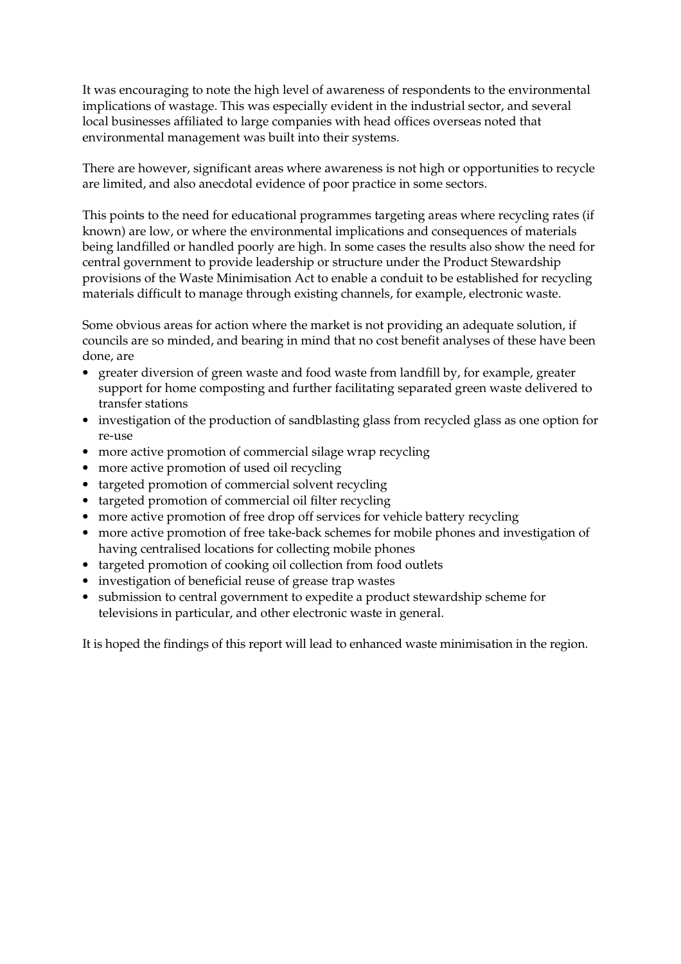It was encouraging to note the high level of awareness of respondents to the environmental implications of wastage. This was especially evident in the industrial sector, and several local businesses affiliated to large companies with head offices overseas noted that environmental management was built into their systems.

There are however, significant areas where awareness is not high or opportunities to recycle are limited, and also anecdotal evidence of poor practice in some sectors.

This points to the need for educational programmes targeting areas where recycling rates (if known) are low, or where the environmental implications and consequences of materials being landfilled or handled poorly are high. In some cases the results also show the need for central government to provide leadership or structure under the Product Stewardship provisions of the Waste Minimisation Act to enable a conduit to be established for recycling materials difficult to manage through existing channels, for example, electronic waste.

Some obvious areas for action where the market is not providing an adequate solution, if councils are so minded, and bearing in mind that no cost benefit analyses of these have been done, are

- greater diversion of green waste and food waste from landfill by, for example, greater support for home composting and further facilitating separated green waste delivered to transfer stations
- investigation of the production of sandblasting glass from recycled glass as one option for re-use
- more active promotion of commercial silage wrap recycling
- more active promotion of used oil recycling
- targeted promotion of commercial solvent recycling
- targeted promotion of commercial oil filter recycling
- more active promotion of free drop off services for vehicle battery recycling
- more active promotion of free take-back schemes for mobile phones and investigation of having centralised locations for collecting mobile phones
- targeted promotion of cooking oil collection from food outlets
- investigation of beneficial reuse of grease trap wastes
- submission to central government to expedite a product stewardship scheme for televisions in particular, and other electronic waste in general.

It is hoped the findings of this report will lead to enhanced waste minimisation in the region.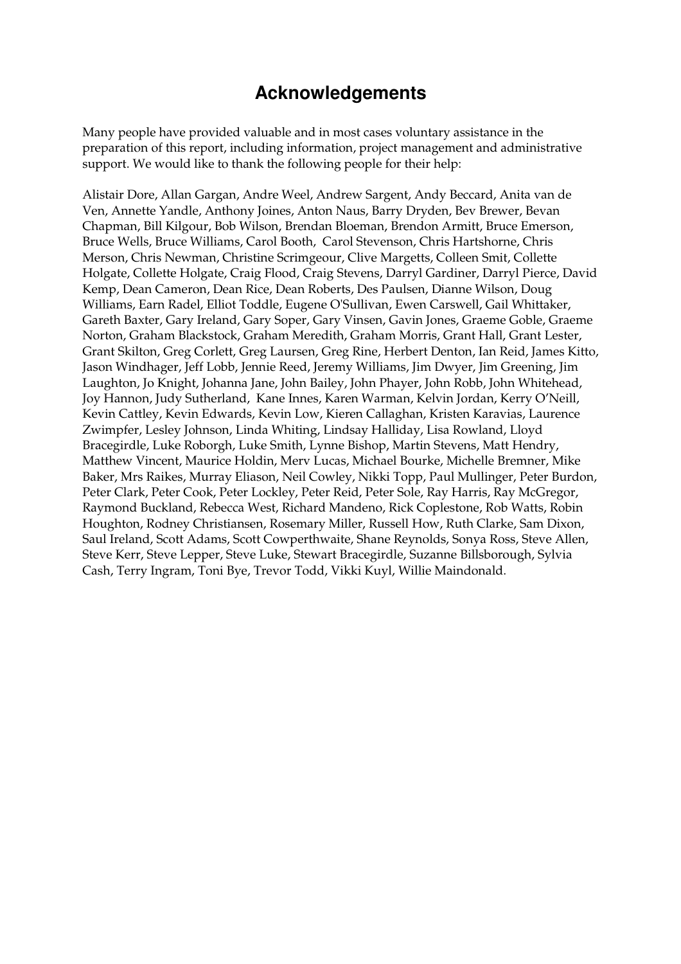# **Acknowledgements**

Many people have provided valuable and in most cases voluntary assistance in the preparation of this report, including information, project management and administrative support. We would like to thank the following people for their help:

Alistair Dore, Allan Gargan, Andre Weel, Andrew Sargent, Andy Beccard, Anita van de Ven, Annette Yandle, Anthony Joines, Anton Naus, Barry Dryden, Bev Brewer, Bevan Chapman, Bill Kilgour, Bob Wilson, Brendan Bloeman, Brendon Armitt, Bruce Emerson, Bruce Wells, Bruce Williams, Carol Booth, Carol Stevenson, Chris Hartshorne, Chris Merson, Chris Newman, Christine Scrimgeour, Clive Margetts, Colleen Smit, Collette Holgate, Collette Holgate, Craig Flood, Craig Stevens, Darryl Gardiner, Darryl Pierce, David Kemp, Dean Cameron, Dean Rice, Dean Roberts, Des Paulsen, Dianne Wilson, Doug Williams, Earn Radel, Elliot Toddle, Eugene O'Sullivan, Ewen Carswell, Gail Whittaker, Gareth Baxter, Gary Ireland, Gary Soper, Gary Vinsen, Gavin Jones, Graeme Goble, Graeme Norton, Graham Blackstock, Graham Meredith, Graham Morris, Grant Hall, Grant Lester, Grant Skilton, Greg Corlett, Greg Laursen, Greg Rine, Herbert Denton, Ian Reid, James Kitto, Jason Windhager, Jeff Lobb, Jennie Reed, Jeremy Williams, Jim Dwyer, Jim Greening, Jim Laughton, Jo Knight, Johanna Jane, John Bailey, John Phayer, John Robb, John Whitehead, Joy Hannon, Judy Sutherland, Kane Innes, Karen Warman, Kelvin Jordan, Kerry O'Neill, Kevin Cattley, Kevin Edwards, Kevin Low, Kieren Callaghan, Kristen Karavias, Laurence Zwimpfer, Lesley Johnson, Linda Whiting, Lindsay Halliday, Lisa Rowland, Lloyd Bracegirdle, Luke Roborgh, Luke Smith, Lynne Bishop, Martin Stevens, Matt Hendry, Matthew Vincent, Maurice Holdin, Merv Lucas, Michael Bourke, Michelle Bremner, Mike Baker, Mrs Raikes, Murray Eliason, Neil Cowley, Nikki Topp, Paul Mullinger, Peter Burdon, Peter Clark, Peter Cook, Peter Lockley, Peter Reid, Peter Sole, Ray Harris, Ray McGregor, Raymond Buckland, Rebecca West, Richard Mandeno, Rick Coplestone, Rob Watts, Robin Houghton, Rodney Christiansen, Rosemary Miller, Russell How, Ruth Clarke, Sam Dixon, Saul Ireland, Scott Adams, Scott Cowperthwaite, Shane Reynolds, Sonya Ross, Steve Allen, Steve Kerr, Steve Lepper, Steve Luke, Stewart Bracegirdle, Suzanne Billsborough, Sylvia Cash, Terry Ingram, Toni Bye, Trevor Todd, Vikki Kuyl, Willie Maindonald.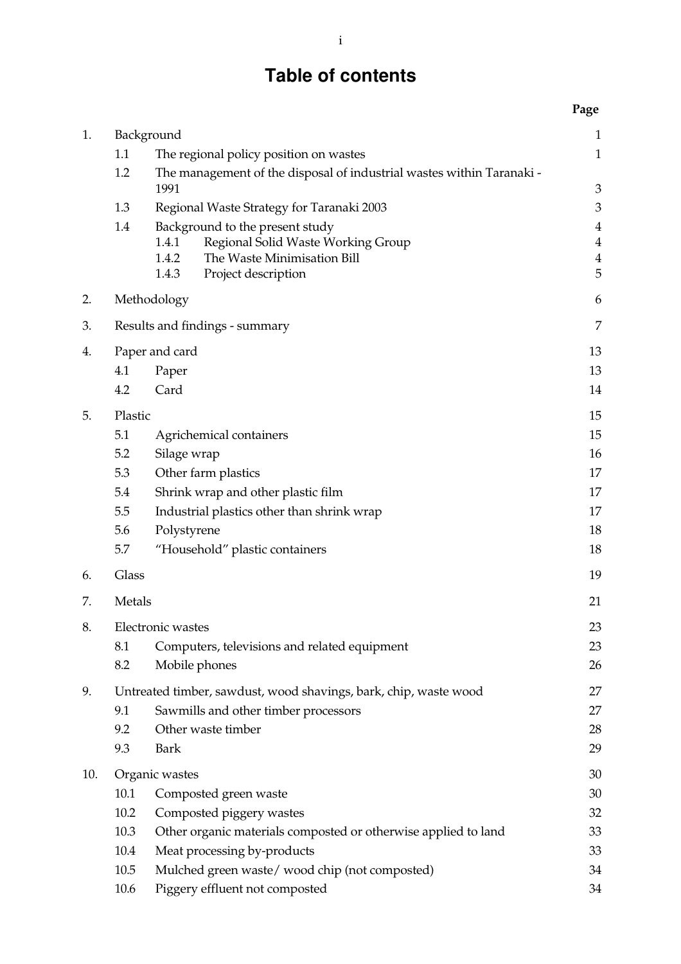# **Table of contents**

|     |         |                                                                                     | Page                             |
|-----|---------|-------------------------------------------------------------------------------------|----------------------------------|
| 1.  |         | Background                                                                          | $\mathbf{1}$                     |
|     | 1.1     | The regional policy position on wastes                                              | $\mathbf{1}$                     |
|     | 1.2     | The management of the disposal of industrial wastes within Taranaki -               |                                  |
|     |         | 1991                                                                                | 3                                |
|     | 1.3     | Regional Waste Strategy for Taranaki 2003                                           | 3                                |
|     | 1.4     | Background to the present study                                                     | $\overline{4}$                   |
|     |         | Regional Solid Waste Working Group<br>1.4.1<br>The Waste Minimisation Bill<br>1.4.2 | $\overline{4}$<br>$\overline{4}$ |
|     |         | 1.4.3<br>Project description                                                        | 5                                |
| 2.  |         | Methodology                                                                         | 6                                |
|     |         |                                                                                     |                                  |
| 3.  |         | Results and findings - summary                                                      | 7                                |
| 4.  |         | Paper and card                                                                      | 13                               |
|     | 4.1     | Paper                                                                               | 13                               |
|     | 4.2     | Card                                                                                | 14                               |
| 5.  | Plastic |                                                                                     | 15                               |
|     | 5.1     | Agrichemical containers                                                             | 15                               |
|     | 5.2     | Silage wrap                                                                         | 16                               |
|     | 5.3     | Other farm plastics                                                                 | 17                               |
|     | 5.4     | Shrink wrap and other plastic film                                                  | 17                               |
|     | 5.5     | Industrial plastics other than shrink wrap                                          | 17                               |
|     | 5.6     | Polystyrene                                                                         | 18                               |
|     | 5.7     | "Household" plastic containers                                                      | 18                               |
| 6.  | Glass   |                                                                                     | 19                               |
| 7.  | Metals  |                                                                                     | 21                               |
| 8.  |         | Electronic wastes                                                                   | 23                               |
|     | 8.1     | Computers, televisions and related equipment                                        | 23                               |
|     | 8.2     | Mobile phones                                                                       | 26                               |
| 9.  |         | Untreated timber, sawdust, wood shavings, bark, chip, waste wood                    | 27                               |
|     | 9.1     | Sawmills and other timber processors                                                | 27                               |
|     | 9.2     | Other waste timber                                                                  | 28                               |
|     | 9.3     | Bark                                                                                | 29                               |
| 10. |         | Organic wastes                                                                      | 30                               |
|     | 10.1    | Composted green waste                                                               | 30                               |
|     | 10.2    | Composted piggery wastes                                                            | 32                               |
|     | 10.3    | Other organic materials composted or otherwise applied to land                      | 33                               |
|     | 10.4    | Meat processing by-products                                                         | 33                               |
|     | 10.5    | Mulched green waste/wood chip (not composted)                                       | 34                               |

10.6 Piggery effluent not composted 34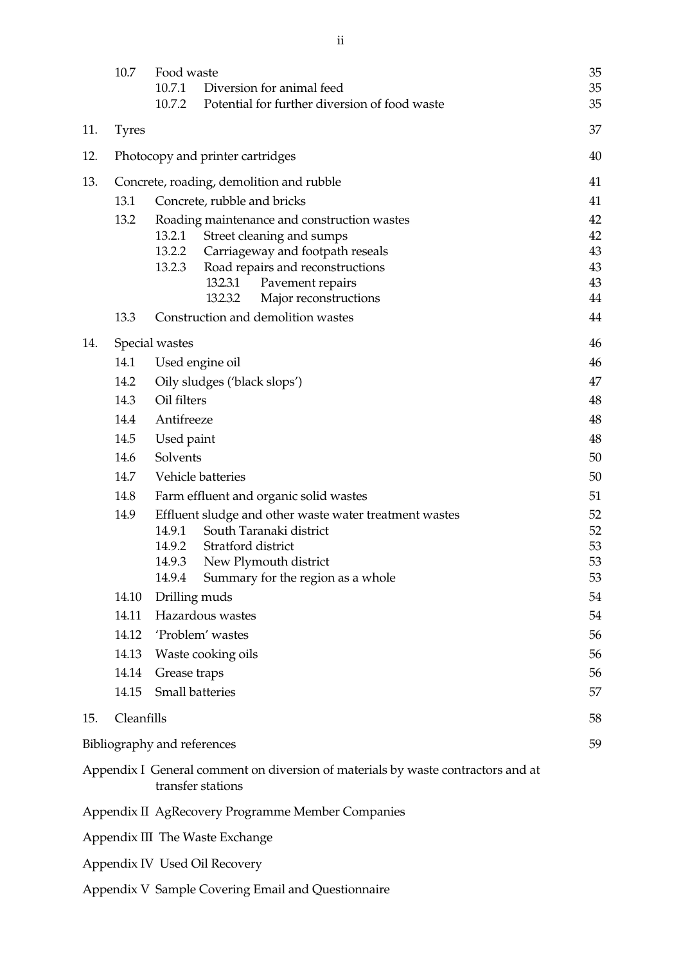| 12. |       | Photocopy and printer cartridges                       | 40       |
|-----|-------|--------------------------------------------------------|----------|
| 13. |       | Concrete, roading, demolition and rubble               | 41       |
|     | 13.1  | Concrete, rubble and bricks                            | 41       |
|     | 13.2  | Roading maintenance and construction wastes            | 42       |
|     |       | 13.2.1<br>Street cleaning and sumps                    | 42       |
|     |       | 13.2.2<br>Carriageway and footpath reseals             | 43       |
|     |       | 13.2.3<br>Road repairs and reconstructions             | 43       |
|     |       | 13.2.3.1<br>Pavement repairs                           | 43       |
|     |       | 13.2.3.2<br>Major reconstructions                      | 44       |
|     | 13.3  | Construction and demolition wastes                     | 44       |
| 14. |       | Special wastes                                         | 46       |
|     | 14.1  | Used engine oil                                        | 46       |
|     | 14.2  | Oily sludges ('black slops')                           | 47       |
|     | 14.3  | Oil filters                                            | 48       |
|     | 14.4  | Antifreeze                                             | 48       |
|     | 14.5  | Used paint                                             | 48       |
|     | 14.6  | Solvents                                               | 50       |
|     | 14.7  | Vehicle batteries                                      | 50       |
|     | 14.8  | Farm effluent and organic solid wastes                 | 51       |
|     | 14.9  | Effluent sludge and other waste water treatment wastes | 52       |
|     |       | South Taranaki district<br>14.9.1                      | 52       |
|     |       | 14.9.2<br>Stratford district                           | 53       |
|     |       | 14.9.3<br>New Plymouth district                        | 53       |
|     | 14.10 | 14.9.4<br>Summary for the region as a whole            | 53<br>54 |
|     |       | Drilling muds                                          |          |
|     | 14.11 | Hazardous wastes                                       | 54       |
|     | 14.12 | 'Problem' wastes                                       | 56       |
|     | 14.13 | Waste cooking oils                                     | 56       |
|     | 14.14 | Grease traps                                           | 56       |
|     | 14.15 | <b>Small batteries</b>                                 |          |
| 15. |       | Cleanfills                                             |          |

Bibliography and references 59

Appendix I General comment on diversion of materials by waste contractors and at transfer stations

Appendix II AgRecovery Programme Member Companies

Appendix III The Waste Exchange

- Appendix IV Used Oil Recovery
- Appendix V Sample Covering Email and Questionnaire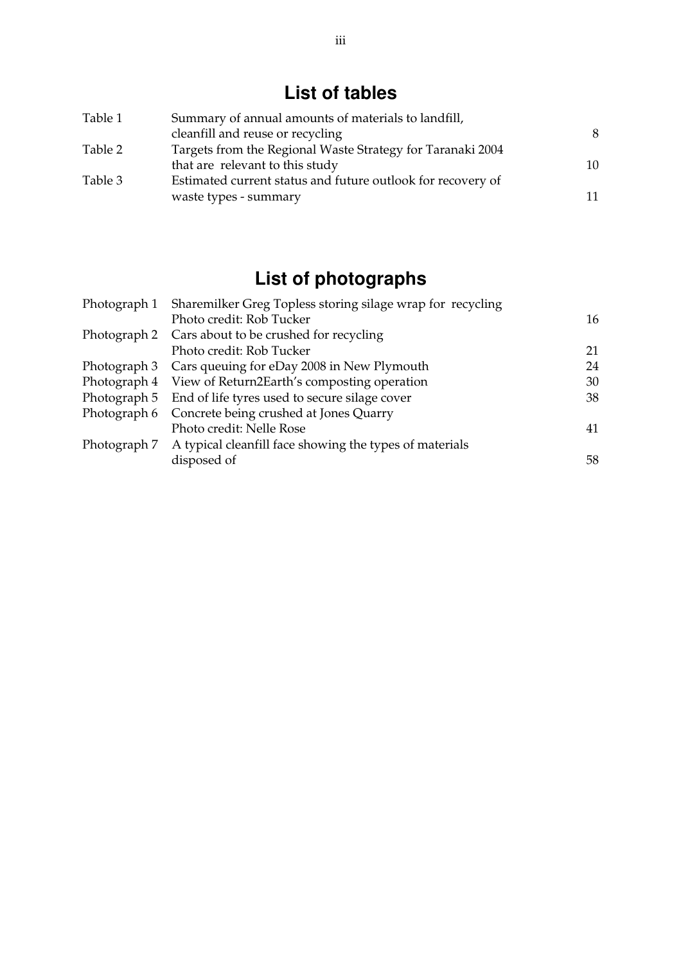# **List of tables**

| Table 1 | Summary of annual amounts of materials to landfill,         |    |  |
|---------|-------------------------------------------------------------|----|--|
|         | cleanfill and reuse or recycling                            | 8  |  |
| Table 2 | Targets from the Regional Waste Strategy for Taranaki 2004  |    |  |
|         | that are relevant to this study                             | 10 |  |
| Table 3 | Estimated current status and future outlook for recovery of |    |  |
|         | waste types - summary                                       | 11 |  |

# **List of photographs**

| Sharemilker Greg Topless storing silage wrap for recycling<br>Photograph 1 |                                                                      |    |
|----------------------------------------------------------------------------|----------------------------------------------------------------------|----|
|                                                                            | Photo credit: Rob Tucker                                             | 16 |
|                                                                            | Photograph 2 Cars about to be crushed for recycling                  |    |
|                                                                            | Photo credit: Rob Tucker                                             | 21 |
|                                                                            | Photograph 3 Cars queuing for eDay 2008 in New Plymouth              | 24 |
|                                                                            | Photograph 4 View of Return2Earth's composting operation             | 30 |
|                                                                            | Photograph 5 End of life tyres used to secure silage cover           | 38 |
| Photograph 6                                                               | Concrete being crushed at Jones Quarry                               |    |
|                                                                            | Photo credit: Nelle Rose                                             | 41 |
|                                                                            | Photograph 7 A typical cleanfill face showing the types of materials |    |
|                                                                            | disposed of                                                          | 58 |
|                                                                            |                                                                      |    |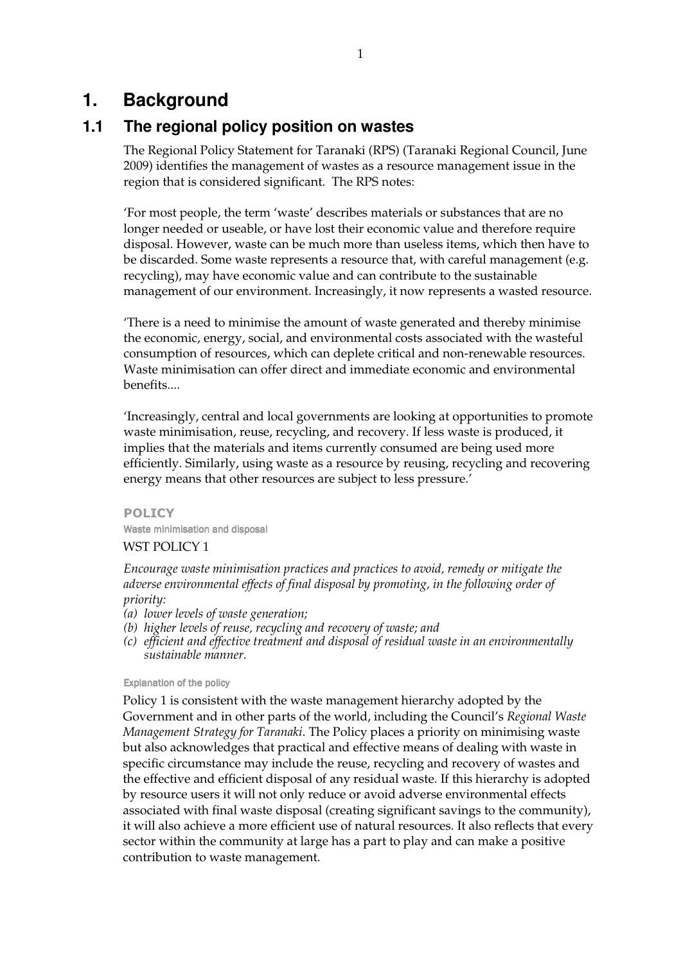# **1. Background**

### **1.1 The regional policy position on wastes**

The Regional Policy Statement for Taranaki (RPS) (Taranaki Regional Council, June 2009) identifies the management of wastes as a resource management issue in the region that is considered significant. The RPS notes:

'For most people, the term 'waste' describes materials or substances that are no longer needed or useable, or have lost their economic value and therefore require disposal. However, waste can be much more than useless items, which then have to be discarded. Some waste represents a resource that, with careful management (e.g. recycling), may have economic value and can contribute to the sustainable management of our environment. Increasingly, it now represents a wasted resource.

'There is a need to minimise the amount of waste generated and thereby minimise the economic, energy, social, and environmental costs associated with the wasteful consumption of resources, which can deplete critical and non-renewable resources. Waste minimisation can offer direct and immediate economic and environmental benefits....

'Increasingly, central and local governments are looking at opportunities to promote waste minimisation, reuse, recycling, and recovery. If less waste is produced, it implies that the materials and items currently consumed are being used more efficiently. Similarly, using waste as a resource by reusing, recycling and recovering energy means that other resources are subject to less pressure.'

POLICY Waste minimisation and disposal

### WST POLICY 1

*Encourage waste minimisation practices and practices to avoid, remedy or mitigate the adverse environmental effects of final disposal by promoting, in the following order of priority:* 

- *(a) lower levels of waste generation;*
- *(b) higher levels of reuse, recycling and recovery of waste; and*
- *(c) efficient and effective treatment and disposal of residual waste in an environmentally sustainable manner.*

### Explanation of the policy

Policy 1 is consistent with the waste management hierarchy adopted by the Government and in other parts of the world, including the Council's *Regional Waste Management Strategy for Taranaki*. The Policy places a priority on minimising waste but also acknowledges that practical and effective means of dealing with waste in specific circumstance may include the reuse, recycling and recovery of wastes and the effective and efficient disposal of any residual waste. If this hierarchy is adopted by resource users it will not only reduce or avoid adverse environmental effects associated with final waste disposal (creating significant savings to the community), it will also achieve a more efficient use of natural resources. It also reflects that every sector within the community at large has a part to play and can make a positive contribution to waste management.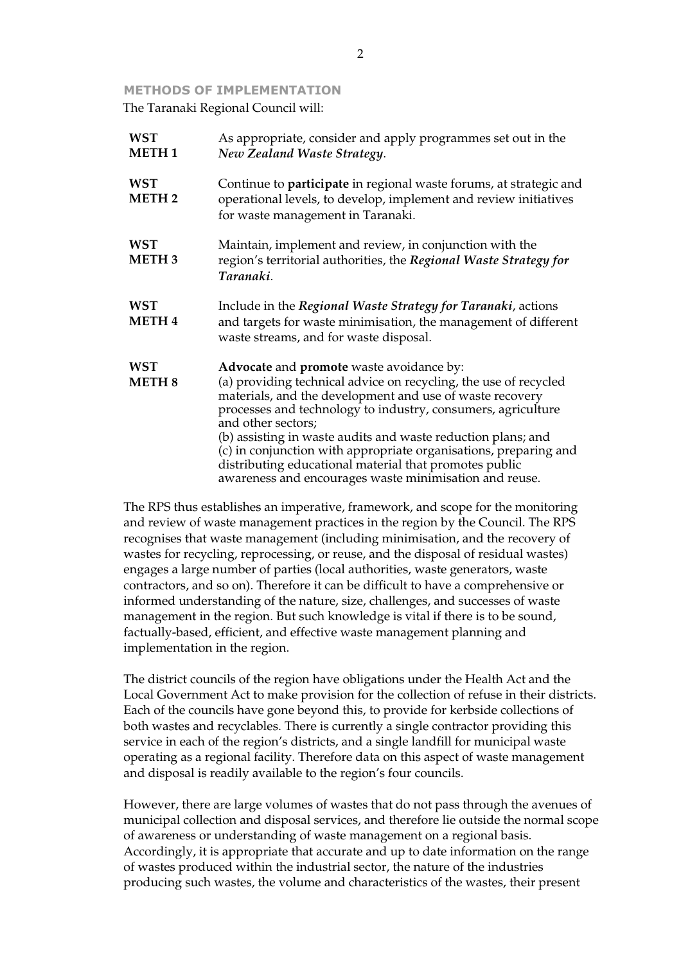#### METHODS OF IMPLEMENTATION

The Taranaki Regional Council will:

| <b>WST</b><br><b>METH1</b>  | As appropriate, consider and apply programmes set out in the<br>New Zealand Waste Strategy.                                                                                                                                                                                                                                                                                                                                                                                                                            |  |
|-----------------------------|------------------------------------------------------------------------------------------------------------------------------------------------------------------------------------------------------------------------------------------------------------------------------------------------------------------------------------------------------------------------------------------------------------------------------------------------------------------------------------------------------------------------|--|
| <b>WST</b><br><b>METH2</b>  | Continue to <b>participate</b> in regional waste forums, at strategic and<br>operational levels, to develop, implement and review initiatives<br>for waste management in Taranaki.                                                                                                                                                                                                                                                                                                                                     |  |
| <b>WST</b><br><b>METH3</b>  | Maintain, implement and review, in conjunction with the<br>region's territorial authorities, the Regional Waste Strategy for<br>Taranaki.                                                                                                                                                                                                                                                                                                                                                                              |  |
| <b>WST</b><br><b>METH4</b>  | Include in the Regional Waste Strategy for Taranaki, actions<br>and targets for waste minimisation, the management of different<br>waste streams, and for waste disposal.                                                                                                                                                                                                                                                                                                                                              |  |
| <b>WST</b><br><b>METH 8</b> | Advocate and promote waste avoidance by:<br>(a) providing technical advice on recycling, the use of recycled<br>materials, and the development and use of waste recovery<br>processes and technology to industry, consumers, agriculture<br>and other sectors;<br>(b) assisting in waste audits and waste reduction plans; and<br>(c) in conjunction with appropriate organisations, preparing and<br>distributing educational material that promotes public<br>awareness and encourages waste minimisation and reuse. |  |

The RPS thus establishes an imperative, framework, and scope for the monitoring and review of waste management practices in the region by the Council. The RPS recognises that waste management (including minimisation, and the recovery of wastes for recycling, reprocessing, or reuse, and the disposal of residual wastes) engages a large number of parties (local authorities, waste generators, waste contractors, and so on). Therefore it can be difficult to have a comprehensive or informed understanding of the nature, size, challenges, and successes of waste management in the region. But such knowledge is vital if there is to be sound, factually-based, efficient, and effective waste management planning and implementation in the region.

The district councils of the region have obligations under the Health Act and the Local Government Act to make provision for the collection of refuse in their districts. Each of the councils have gone beyond this, to provide for kerbside collections of both wastes and recyclables. There is currently a single contractor providing this service in each of the region's districts, and a single landfill for municipal waste operating as a regional facility. Therefore data on this aspect of waste management and disposal is readily available to the region's four councils.

However, there are large volumes of wastes that do not pass through the avenues of municipal collection and disposal services, and therefore lie outside the normal scope of awareness or understanding of waste management on a regional basis. Accordingly, it is appropriate that accurate and up to date information on the range of wastes produced within the industrial sector, the nature of the industries producing such wastes, the volume and characteristics of the wastes, their present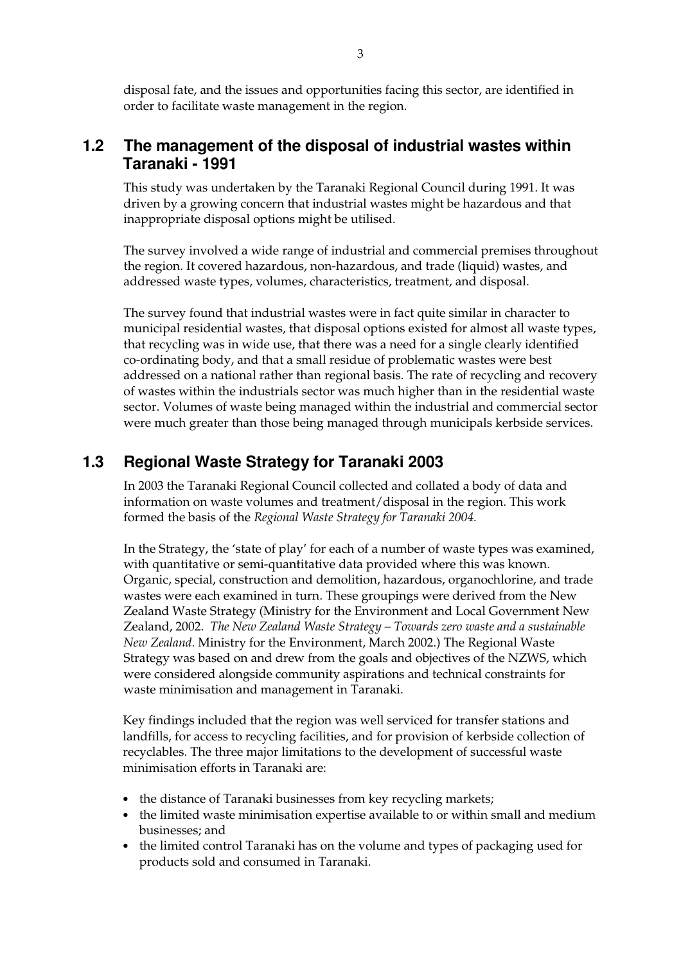disposal fate, and the issues and opportunities facing this sector, are identified in order to facilitate waste management in the region.

### **1.2 The management of the disposal of industrial wastes within Taranaki - 1991**

This study was undertaken by the Taranaki Regional Council during 1991. It was driven by a growing concern that industrial wastes might be hazardous and that inappropriate disposal options might be utilised.

The survey involved a wide range of industrial and commercial premises throughout the region. It covered hazardous, non-hazardous, and trade (liquid) wastes, and addressed waste types, volumes, characteristics, treatment, and disposal.

The survey found that industrial wastes were in fact quite similar in character to municipal residential wastes, that disposal options existed for almost all waste types, that recycling was in wide use, that there was a need for a single clearly identified co-ordinating body, and that a small residue of problematic wastes were best addressed on a national rather than regional basis. The rate of recycling and recovery of wastes within the industrials sector was much higher than in the residential waste sector. Volumes of waste being managed within the industrial and commercial sector were much greater than those being managed through municipals kerbside services.

### **1.3 Regional Waste Strategy for Taranaki 2003**

In 2003 the Taranaki Regional Council collected and collated a body of data and information on waste volumes and treatment/disposal in the region. This work formed the basis of the *Regional Waste Strategy for Taranaki 2004.*

In the Strategy, the 'state of play' for each of a number of waste types was examined, with quantitative or semi-quantitative data provided where this was known. Organic, special, construction and demolition, hazardous, organochlorine, and trade wastes were each examined in turn. These groupings were derived from the New Zealand Waste Strategy (Ministry for the Environment and Local Government New Zealand, 2002. *The New Zealand Waste Strategy – Towards zero waste and a sustainable New Zealand.* Ministry for the Environment, March 2002.) The Regional Waste Strategy was based on and drew from the goals and objectives of the NZWS, which were considered alongside community aspirations and technical constraints for waste minimisation and management in Taranaki.

Key findings included that the region was well serviced for transfer stations and landfills, for access to recycling facilities, and for provision of kerbside collection of recyclables. The three major limitations to the development of successful waste minimisation efforts in Taranaki are:

- the distance of Taranaki businesses from key recycling markets;
- the limited waste minimisation expertise available to or within small and medium businesses; and
- the limited control Taranaki has on the volume and types of packaging used for products sold and consumed in Taranaki.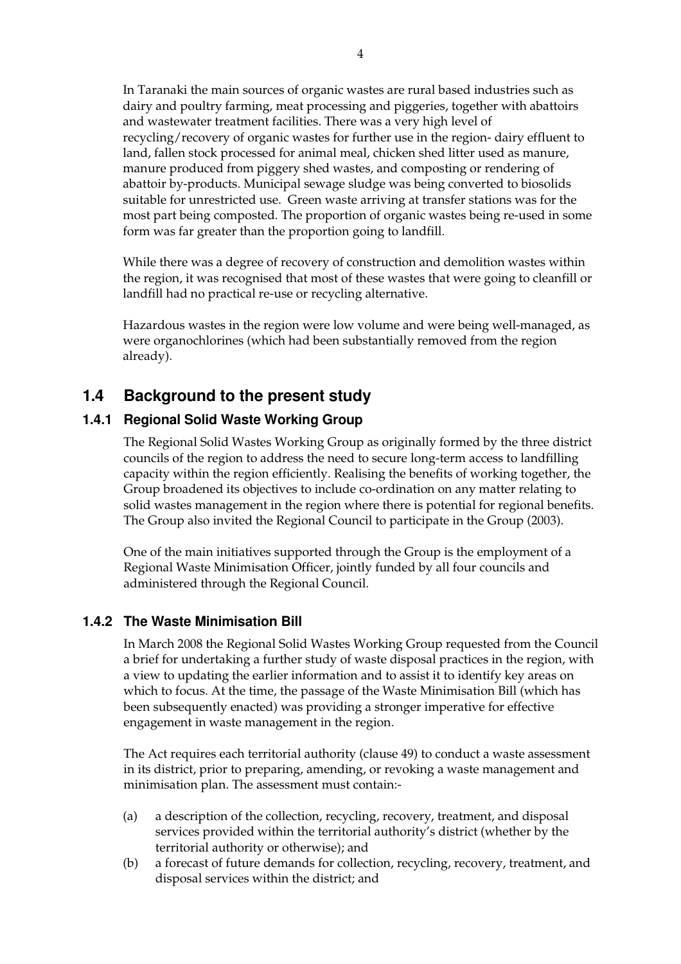In Taranaki the main sources of organic wastes are rural based industries such as dairy and poultry farming, meat processing and piggeries, together with abattoirs and wastewater treatment facilities. There was a very high level of recycling/recovery of organic wastes for further use in the region- dairy effluent to land, fallen stock processed for animal meal, chicken shed litter used as manure, manure produced from piggery shed wastes, and composting or rendering of abattoir by-products. Municipal sewage sludge was being converted to biosolids suitable for unrestricted use. Green waste arriving at transfer stations was for the most part being composted. The proportion of organic wastes being re-used in some form was far greater than the proportion going to landfill.

While there was a degree of recovery of construction and demolition wastes within the region, it was recognised that most of these wastes that were going to cleanfill or landfill had no practical re-use or recycling alternative.

Hazardous wastes in the region were low volume and were being well-managed, as were organochlorines (which had been substantially removed from the region already).

### **1.4 Background to the present study**

### **1.4.1 Regional Solid Waste Working Group**

The Regional Solid Wastes Working Group as originally formed by the three district councils of the region to address the need to secure long-term access to landfilling capacity within the region efficiently. Realising the benefits of working together, the Group broadened its objectives to include co-ordination on any matter relating to solid wastes management in the region where there is potential for regional benefits. The Group also invited the Regional Council to participate in the Group (2003).

One of the main initiatives supported through the Group is the employment of a Regional Waste Minimisation Officer, jointly funded by all four councils and administered through the Regional Council.

### **1.4.2 The Waste Minimisation Bill**

In March 2008 the Regional Solid Wastes Working Group requested from the Council a brief for undertaking a further study of waste disposal practices in the region, with a view to updating the earlier information and to assist it to identify key areas on which to focus. At the time, the passage of the Waste Minimisation Bill (which has been subsequently enacted) was providing a stronger imperative for effective engagement in waste management in the region.

The Act requires each territorial authority (clause 49) to conduct a waste assessment in its district, prior to preparing, amending, or revoking a waste management and minimisation plan. The assessment must contain:-

- (a) a description of the collection, recycling, recovery, treatment, and disposal services provided within the territorial authority's district (whether by the territorial authority or otherwise); and
- (b) a forecast of future demands for collection, recycling, recovery, treatment, and disposal services within the district; and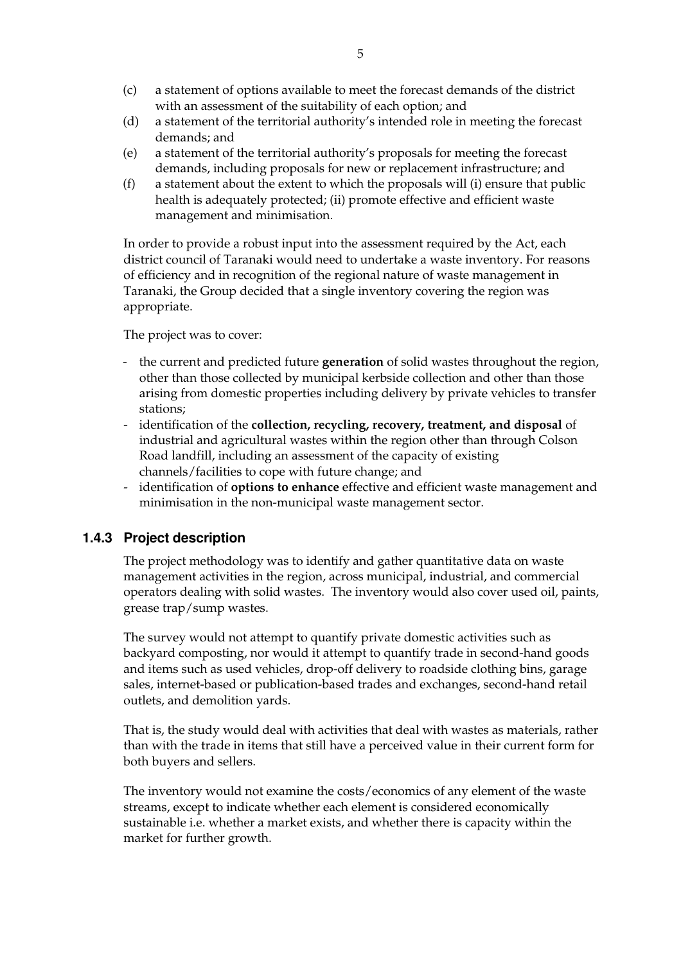- (c) a statement of options available to meet the forecast demands of the district with an assessment of the suitability of each option; and
- (d) a statement of the territorial authority's intended role in meeting the forecast demands; and
- (e) a statement of the territorial authority's proposals for meeting the forecast demands, including proposals for new or replacement infrastructure; and
- (f) a statement about the extent to which the proposals will (i) ensure that public health is adequately protected; (ii) promote effective and efficient waste management and minimisation.

In order to provide a robust input into the assessment required by the Act, each district council of Taranaki would need to undertake a waste inventory. For reasons of efficiency and in recognition of the regional nature of waste management in Taranaki, the Group decided that a single inventory covering the region was appropriate.

The project was to cover:

- the current and predicted future **generation** of solid wastes throughout the region, other than those collected by municipal kerbside collection and other than those arising from domestic properties including delivery by private vehicles to transfer stations;
- identification of the **collection, recycling, recovery, treatment, and disposal** of industrial and agricultural wastes within the region other than through Colson Road landfill, including an assessment of the capacity of existing channels/facilities to cope with future change; and
- identification of **options to enhance** effective and efficient waste management and minimisation in the non-municipal waste management sector.

### **1.4.3 Project description**

The project methodology was to identify and gather quantitative data on waste management activities in the region, across municipal, industrial, and commercial operators dealing with solid wastes. The inventory would also cover used oil, paints, grease trap/sump wastes.

The survey would not attempt to quantify private domestic activities such as backyard composting, nor would it attempt to quantify trade in second-hand goods and items such as used vehicles, drop-off delivery to roadside clothing bins, garage sales, internet-based or publication-based trades and exchanges, second-hand retail outlets, and demolition yards.

That is, the study would deal with activities that deal with wastes as materials, rather than with the trade in items that still have a perceived value in their current form for both buyers and sellers.

The inventory would not examine the costs/economics of any element of the waste streams, except to indicate whether each element is considered economically sustainable i.e. whether a market exists, and whether there is capacity within the market for further growth.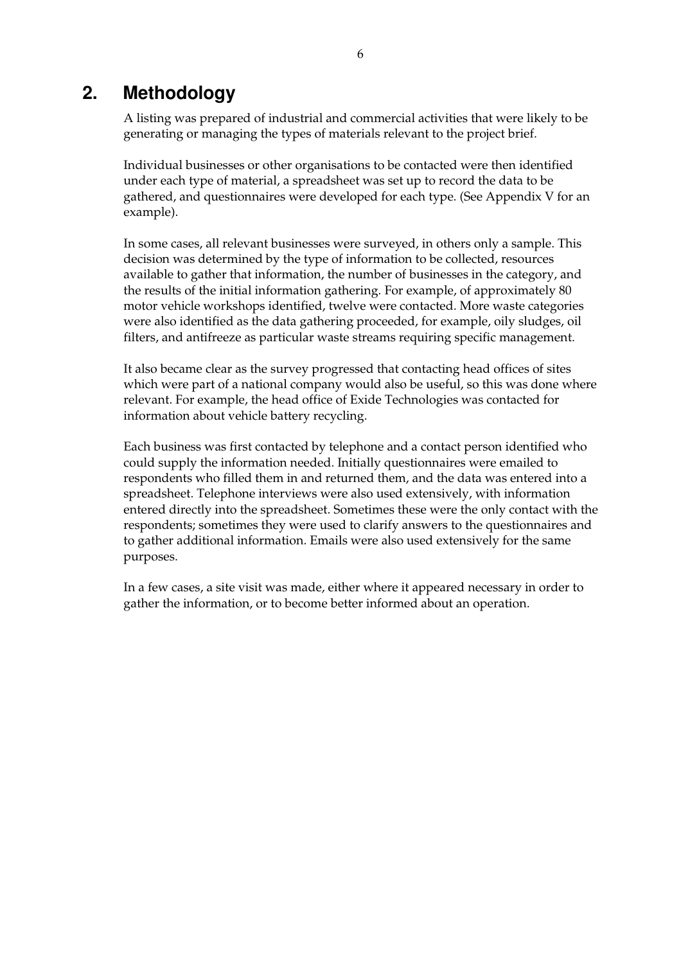### **2. Methodology**

A listing was prepared of industrial and commercial activities that were likely to be generating or managing the types of materials relevant to the project brief.

Individual businesses or other organisations to be contacted were then identified under each type of material, a spreadsheet was set up to record the data to be gathered, and questionnaires were developed for each type. (See Appendix V for an example).

In some cases, all relevant businesses were surveyed, in others only a sample. This decision was determined by the type of information to be collected, resources available to gather that information, the number of businesses in the category, and the results of the initial information gathering. For example, of approximately 80 motor vehicle workshops identified, twelve were contacted. More waste categories were also identified as the data gathering proceeded, for example, oily sludges, oil filters, and antifreeze as particular waste streams requiring specific management.

It also became clear as the survey progressed that contacting head offices of sites which were part of a national company would also be useful, so this was done where relevant. For example, the head office of Exide Technologies was contacted for information about vehicle battery recycling.

Each business was first contacted by telephone and a contact person identified who could supply the information needed. Initially questionnaires were emailed to respondents who filled them in and returned them, and the data was entered into a spreadsheet. Telephone interviews were also used extensively, with information entered directly into the spreadsheet. Sometimes these were the only contact with the respondents; sometimes they were used to clarify answers to the questionnaires and to gather additional information. Emails were also used extensively for the same purposes.

In a few cases, a site visit was made, either where it appeared necessary in order to gather the information, or to become better informed about an operation.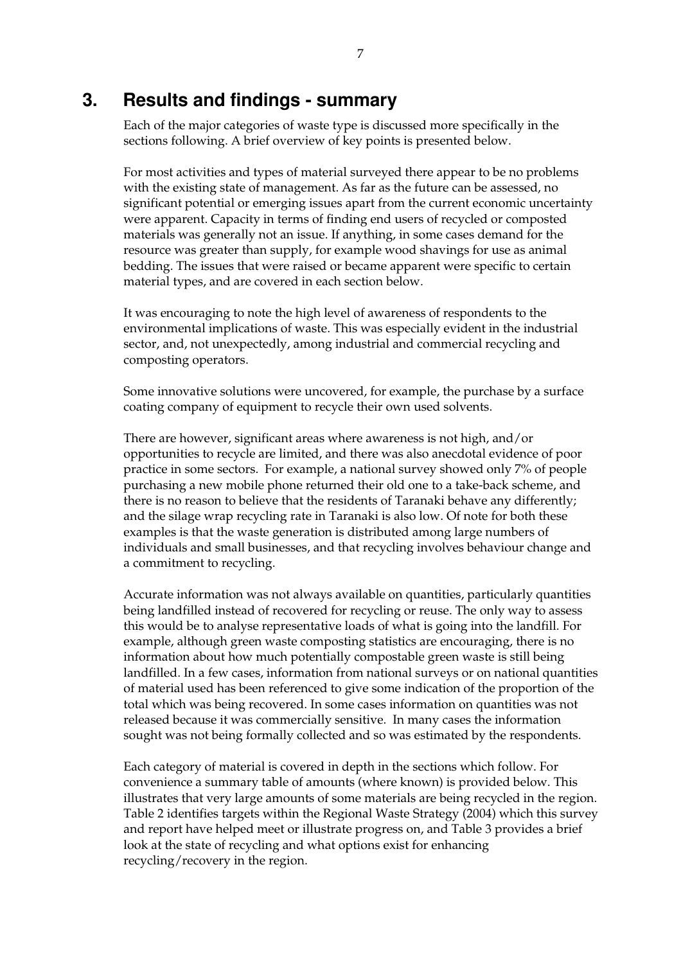### **3. Results and findings - summary**

Each of the major categories of waste type is discussed more specifically in the sections following. A brief overview of key points is presented below.

For most activities and types of material surveyed there appear to be no problems with the existing state of management. As far as the future can be assessed, no significant potential or emerging issues apart from the current economic uncertainty were apparent. Capacity in terms of finding end users of recycled or composted materials was generally not an issue. If anything, in some cases demand for the resource was greater than supply, for example wood shavings for use as animal bedding. The issues that were raised or became apparent were specific to certain material types, and are covered in each section below.

It was encouraging to note the high level of awareness of respondents to the environmental implications of waste. This was especially evident in the industrial sector, and, not unexpectedly, among industrial and commercial recycling and composting operators.

Some innovative solutions were uncovered, for example, the purchase by a surface coating company of equipment to recycle their own used solvents.

There are however, significant areas where awareness is not high, and/or opportunities to recycle are limited, and there was also anecdotal evidence of poor practice in some sectors. For example, a national survey showed only 7% of people purchasing a new mobile phone returned their old one to a take-back scheme, and there is no reason to believe that the residents of Taranaki behave any differently; and the silage wrap recycling rate in Taranaki is also low. Of note for both these examples is that the waste generation is distributed among large numbers of individuals and small businesses, and that recycling involves behaviour change and a commitment to recycling.

Accurate information was not always available on quantities, particularly quantities being landfilled instead of recovered for recycling or reuse. The only way to assess this would be to analyse representative loads of what is going into the landfill. For example, although green waste composting statistics are encouraging, there is no information about how much potentially compostable green waste is still being landfilled. In a few cases, information from national surveys or on national quantities of material used has been referenced to give some indication of the proportion of the total which was being recovered. In some cases information on quantities was not released because it was commercially sensitive. In many cases the information sought was not being formally collected and so was estimated by the respondents.

Each category of material is covered in depth in the sections which follow. For convenience a summary table of amounts (where known) is provided below. This illustrates that very large amounts of some materials are being recycled in the region. Table 2 identifies targets within the Regional Waste Strategy (2004) which this survey and report have helped meet or illustrate progress on, and Table 3 provides a brief look at the state of recycling and what options exist for enhancing recycling/recovery in the region.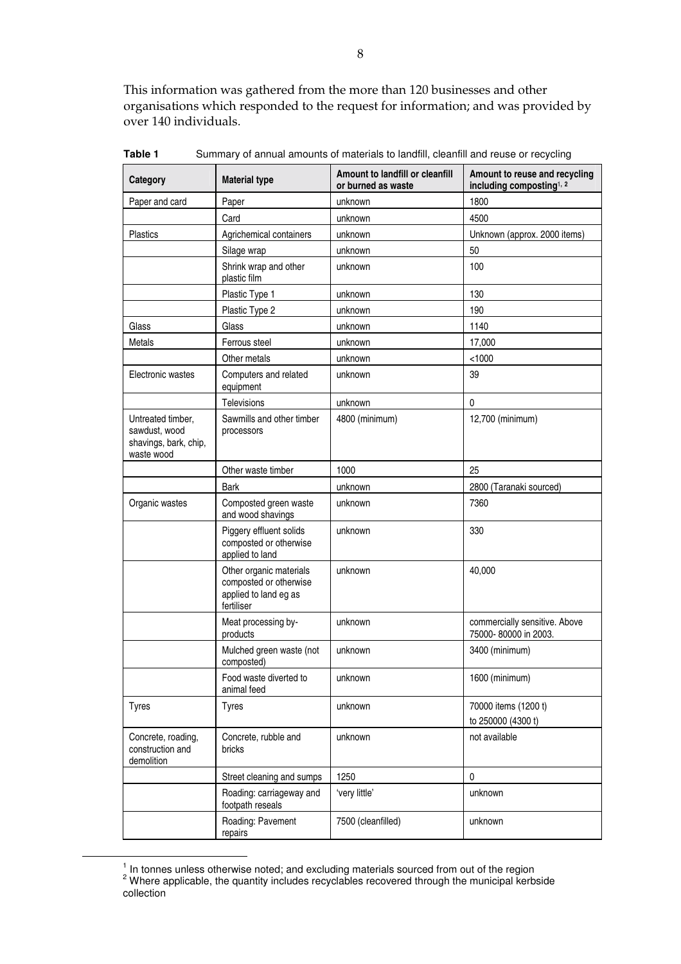This information was gathered from the more than 120 businesses and other organisations which responded to the request for information; and was provided by over 140 individuals.

| Category                                                                  | <b>Material type</b>                                                                     | Amount to landfill or cleanfill<br>or burned as waste | Amount to reuse and recycling<br>including composting <sup>1, 2</sup> |
|---------------------------------------------------------------------------|------------------------------------------------------------------------------------------|-------------------------------------------------------|-----------------------------------------------------------------------|
| Paper and card                                                            | Paper                                                                                    | unknown                                               | 1800                                                                  |
|                                                                           | Card                                                                                     | unknown                                               | 4500                                                                  |
| <b>Plastics</b>                                                           | Agrichemical containers                                                                  | unknown                                               | Unknown (approx. 2000 items)                                          |
|                                                                           | Silage wrap                                                                              | unknown                                               | 50                                                                    |
|                                                                           | Shrink wrap and other<br>plastic film                                                    | unknown                                               | 100                                                                   |
|                                                                           | Plastic Type 1                                                                           | unknown                                               | 130                                                                   |
|                                                                           | Plastic Type 2                                                                           | unknown                                               | 190                                                                   |
| Glass                                                                     | Glass                                                                                    | unknown                                               | 1140                                                                  |
| Metals                                                                    | Ferrous steel                                                                            | unknown                                               | 17,000                                                                |
|                                                                           | Other metals                                                                             | unknown                                               | < 1000                                                                |
| Electronic wastes                                                         | Computers and related<br>equipment                                                       | unknown                                               | 39                                                                    |
|                                                                           | <b>Televisions</b>                                                                       | unknown                                               | 0                                                                     |
| Untreated timber,<br>sawdust, wood<br>shavings, bark, chip,<br>waste wood | Sawmills and other timber<br>processors                                                  | 4800 (minimum)                                        | 12,700 (minimum)                                                      |
|                                                                           | Other waste timber                                                                       | 1000                                                  | 25                                                                    |
|                                                                           | Bark                                                                                     | unknown                                               | 2800 (Taranaki sourced)                                               |
| Organic wastes                                                            | Composted green waste<br>and wood shavings                                               | unknown                                               | 7360                                                                  |
|                                                                           | Piggery effluent solids<br>composted or otherwise<br>applied to land                     | unknown                                               | 330                                                                   |
|                                                                           | Other organic materials<br>composted or otherwise<br>applied to land eg as<br>fertiliser | unknown                                               | 40,000                                                                |
|                                                                           | Meat processing by-<br>products                                                          | unknown                                               | commercially sensitive. Above<br>75000-80000 in 2003.                 |
|                                                                           | Mulched green waste (not<br>composted)                                                   | unknown                                               | 3400 (minimum)                                                        |
|                                                                           | Food waste diverted to<br>animal feed                                                    | unknown                                               | 1600 (minimum)                                                        |
| <b>Tyres</b>                                                              | <b>Tyres</b>                                                                             | unknown                                               | 70000 items (1200 t)<br>to 250000 (4300 t)                            |
| Concrete, roading,<br>construction and<br>demolition                      | Concrete, rubble and<br>bricks                                                           | unknown                                               | not available                                                         |
|                                                                           | Street cleaning and sumps                                                                | 1250                                                  | $\mathbf 0$                                                           |
|                                                                           | Roading: carriageway and<br>footpath reseals                                             | 'very little'                                         | unknown                                                               |
|                                                                           | Roading: Pavement<br>repairs                                                             | 7500 (cleanfilled)                                    | unknown                                                               |

Table 1 Summary of annual amounts of materials to landfill, cleanfill and reuse or recycling

 $\overline{\phantom{a}}$ 

 $^{\prime}$  In tonnes unless otherwise noted; and excluding materials sourced from out of the region<br><sup>2</sup> Where applicable, the quantity includes recyclables recovered through the municipal kerbside collection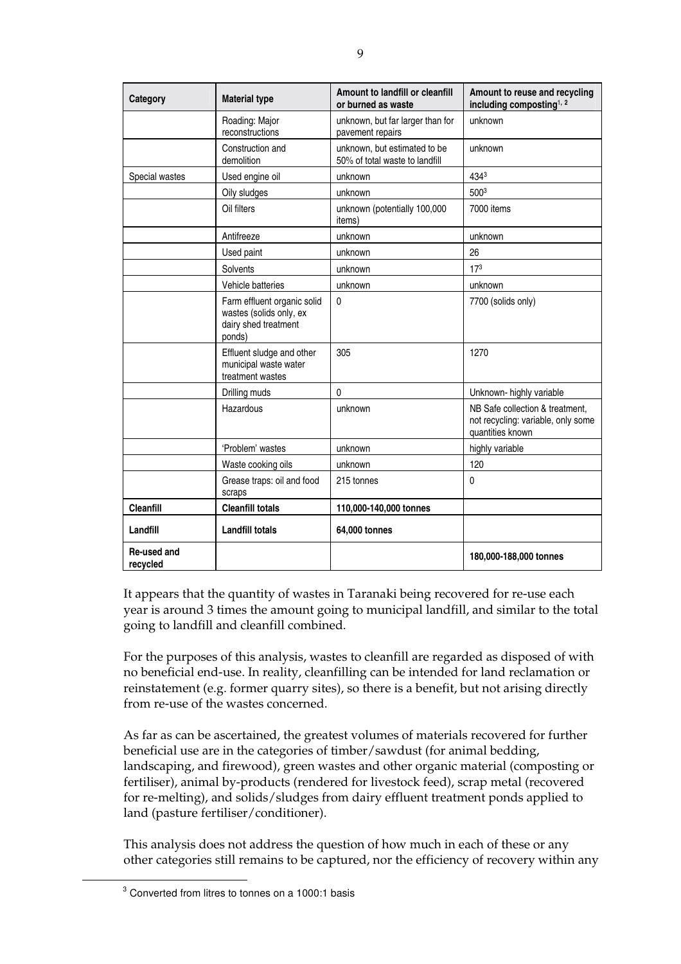| Category                | <b>Material type</b>                                                                     | Amount to landfill or cleanfill<br>or burned as waste          | Amount to reuse and recycling<br>including composting <sup>1, 2</sup>                     |
|-------------------------|------------------------------------------------------------------------------------------|----------------------------------------------------------------|-------------------------------------------------------------------------------------------|
|                         | Roading: Major<br>reconstructions                                                        | unknown, but far larger than for<br>pavement repairs           | unknown                                                                                   |
|                         | Construction and<br>demolition                                                           | unknown, but estimated to be<br>50% of total waste to landfill | unknown                                                                                   |
| Special wastes          | Used engine oil                                                                          | unknown                                                        | 4343                                                                                      |
|                         | Oily sludges                                                                             | unknown                                                        | 5003                                                                                      |
|                         | Oil filters                                                                              | unknown (potentially 100,000<br>items)                         | 7000 items                                                                                |
|                         | Antifreeze                                                                               | unknown                                                        | unknown                                                                                   |
|                         | Used paint                                                                               | unknown                                                        | 26                                                                                        |
|                         | Solvents                                                                                 | unknown                                                        | 17 <sup>3</sup>                                                                           |
|                         | Vehicle batteries                                                                        | unknown                                                        | unknown                                                                                   |
|                         | Farm effluent organic solid<br>wastes (solids only, ex<br>dairy shed treatment<br>ponds) | 0                                                              | 7700 (solids only)                                                                        |
|                         | Effluent sludge and other<br>municipal waste water<br>treatment wastes                   | 305                                                            | 1270                                                                                      |
|                         | Drilling muds                                                                            | 0                                                              | Unknown- highly variable                                                                  |
|                         | Hazardous                                                                                | unknown                                                        | NB Safe collection & treatment.<br>not recycling: variable, only some<br>quantities known |
|                         | 'Problem' wastes                                                                         | unknown                                                        | highly variable                                                                           |
|                         | Waste cooking oils                                                                       | unknown                                                        | 120                                                                                       |
|                         | Grease traps: oil and food<br>scraps                                                     | 215 tonnes                                                     | $\mathbf 0$                                                                               |
| <b>Cleanfill</b>        | <b>Cleanfill totals</b>                                                                  | 110,000-140,000 tonnes                                         |                                                                                           |
| Landfill                | <b>Landfill totals</b>                                                                   | 64,000 tonnes                                                  |                                                                                           |
| Re-used and<br>recycled |                                                                                          |                                                                | 180,000-188,000 tonnes                                                                    |

It appears that the quantity of wastes in Taranaki being recovered for re-use each year is around 3 times the amount going to municipal landfill, and similar to the total going to landfill and cleanfill combined.

For the purposes of this analysis, wastes to cleanfill are regarded as disposed of with no beneficial end-use. In reality, cleanfilling can be intended for land reclamation or reinstatement (e.g. former quarry sites), so there is a benefit, but not arising directly from re-use of the wastes concerned.

As far as can be ascertained, the greatest volumes of materials recovered for further beneficial use are in the categories of timber/sawdust (for animal bedding, landscaping, and firewood), green wastes and other organic material (composting or fertiliser), animal by-products (rendered for livestock feed), scrap metal (recovered for re-melting), and solids/sludges from dairy effluent treatment ponds applied to land (pasture fertiliser/conditioner).

This analysis does not address the question of how much in each of these or any other categories still remains to be captured, nor the efficiency of recovery within any

 $\frac{1}{3}$  $3$  Converted from litres to tonnes on a 1000:1 basis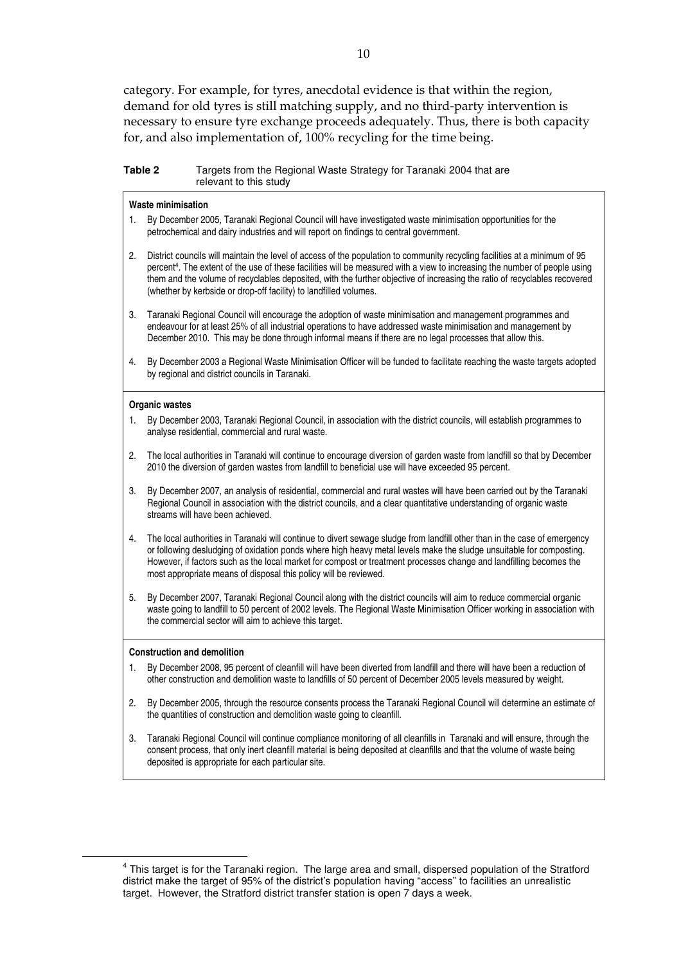category. For example, for tyres, anecdotal evidence is that within the region, demand for old tyres is still matching supply, and no third-party intervention is necessary to ensure tyre exchange proceeds adequately. Thus, there is both capacity for, and also implementation of, 100% recycling for the time being.

| Table 2 | Targets from the Regional Waste Strategy for Taranaki 2004 that are |
|---------|---------------------------------------------------------------------|
|         | relevant to this study                                              |

#### **Waste minimisation**

- 1. By December 2005, Taranaki Regional Council will have investigated waste minimisation opportunities for the petrochemical and dairy industries and will report on findings to central government.
- 2. District councils will maintain the level of access of the population to community recycling facilities at a minimum of 95 percent4. The extent of the use of these facilities will be measured with a view to increasing the number of people using them and the volume of recyclables deposited, with the further objective of increasing the ratio of recyclables recovered (whether by kerbside or drop-off facility) to landfilled volumes.
- 3. Taranaki Regional Council will encourage the adoption of waste minimisation and management programmes and endeavour for at least 25% of all industrial operations to have addressed waste minimisation and management by December 2010. This may be done through informal means if there are no legal processes that allow this.
- 4. By December 2003 a Regional Waste Minimisation Officer will be funded to facilitate reaching the waste targets adopted by regional and district councils in Taranaki.

#### **Organic wastes**

- 1. By December 2003, Taranaki Regional Council, in association with the district councils, will establish programmes to analyse residential, commercial and rural waste.
- 2. The local authorities in Taranaki will continue to encourage diversion of garden waste from landfill so that by December 2010 the diversion of garden wastes from landfill to beneficial use will have exceeded 95 percent.
- 3. By December 2007, an analysis of residential, commercial and rural wastes will have been carried out by the Taranaki Regional Council in association with the district councils, and a clear quantitative understanding of organic waste streams will have been achieved.
- 4. The local authorities in Taranaki will continue to divert sewage sludge from landfill other than in the case of emergency or following desludging of oxidation ponds where high heavy metal levels make the sludge unsuitable for composting. However, if factors such as the local market for compost or treatment processes change and landfilling becomes the most appropriate means of disposal this policy will be reviewed.
- 5. By December 2007, Taranaki Regional Council along with the district councils will aim to reduce commercial organic waste going to landfill to 50 percent of 2002 levels. The Regional Waste Minimisation Officer working in association with the commercial sector will aim to achieve this target.

#### **Construction and demolition**

- 1. By December 2008, 95 percent of cleanfill will have been diverted from landfill and there will have been a reduction of other construction and demolition waste to landfills of 50 percent of December 2005 levels measured by weight.
- 2. By December 2005, through the resource consents process the Taranaki Regional Council will determine an estimate of the quantities of construction and demolition waste going to cleanfill.
- 3. Taranaki Regional Council will continue compliance monitoring of all cleanfills in Taranaki and will ensure, through the consent process, that only inert cleanfill material is being deposited at cleanfills and that the volume of waste being deposited is appropriate for each particular site.

 $\overline{4}$ <sup>4</sup> This target is for the Taranaki region. The large area and small, dispersed population of the Stratford district make the target of 95% of the district's population having "access" to facilities an unrealistic target. However, the Stratford district transfer station is open 7 days a week.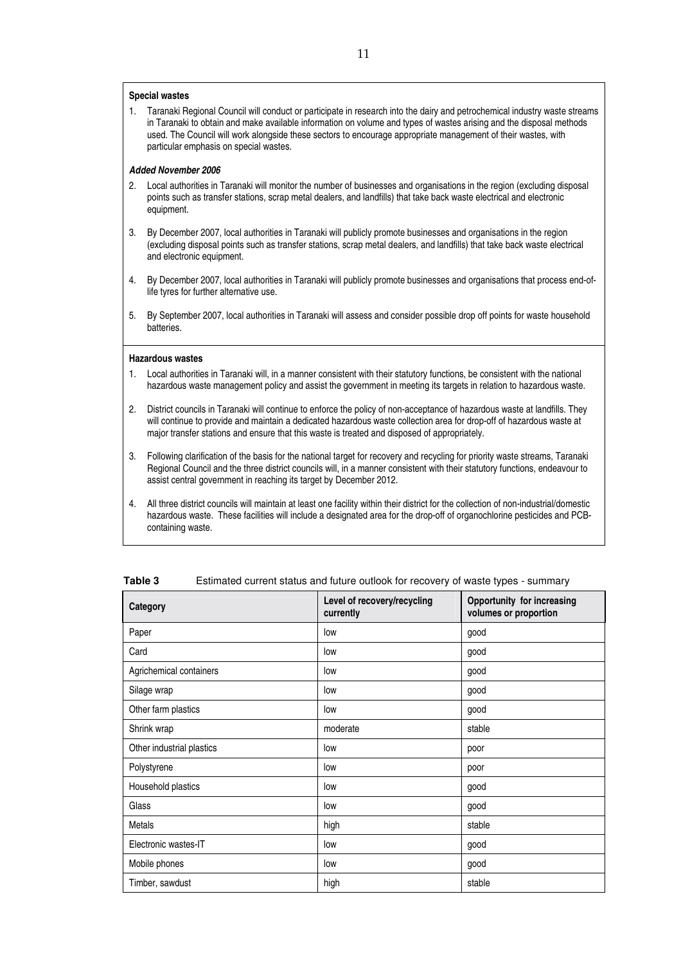#### **Special wastes**

1. Taranaki Regional Council will conduct or participate in research into the dairy and petrochemical industry waste streams in Taranaki to obtain and make available information on volume and types of wastes arising and the disposal methods used. The Council will work alongside these sectors to encourage appropriate management of their wastes, with particular emphasis on special wastes.

#### *Added November 2006*

- 2. Local authorities in Taranaki will monitor the number of businesses and organisations in the region (excluding disposal points such as transfer stations, scrap metal dealers, and landfills) that take back waste electrical and electronic equipment.
- 3. By December 2007, local authorities in Taranaki will publicly promote businesses and organisations in the region (excluding disposal points such as transfer stations, scrap metal dealers, and landfills) that take back waste electrical and electronic equipment.
- 4. By December 2007, local authorities in Taranaki will publicly promote businesses and organisations that process end-oflife tyres for further alternative use.
- 5. By September 2007, local authorities in Taranaki will assess and consider possible drop off points for waste household batteries.

#### **Hazardous wastes**

- 1. Local authorities in Taranaki will, in a manner consistent with their statutory functions, be consistent with the national hazardous waste management policy and assist the government in meeting its targets in relation to hazardous waste.
- 2. District councils in Taranaki will continue to enforce the policy of non-acceptance of hazardous waste at landfills. They will continue to provide and maintain a dedicated hazardous waste collection area for drop-off of hazardous waste at major transfer stations and ensure that this waste is treated and disposed of appropriately.
- 3. Following clarification of the basis for the national target for recovery and recycling for priority waste streams, Taranaki Regional Council and the three district councils will, in a manner consistent with their statutory functions, endeavour to assist central government in reaching its target by December 2012.
- 4. All three district councils will maintain at least one facility within their district for the collection of non-industrial/domestic hazardous waste. These facilities will include a designated area for the drop-off of organochlorine pesticides and PCBcontaining waste.

| Category                  | Level of recovery/recycling<br>currently | Opportunity for increasing<br>volumes or proportion |
|---------------------------|------------------------------------------|-----------------------------------------------------|
| Paper                     | low                                      | good                                                |
| Card                      | low                                      | good                                                |
| Agrichemical containers   | low                                      | good                                                |
| Silage wrap               | low                                      | good                                                |
| Other farm plastics       | low                                      | good                                                |
| Shrink wrap               | moderate                                 | stable                                              |
| Other industrial plastics | low                                      | poor                                                |
| Polystyrene               | low                                      | poor                                                |
| Household plastics        | low                                      | good                                                |
| Glass                     | low                                      | good                                                |
| Metals                    | high                                     | stable                                              |
| Electronic wastes-IT      | low                                      | good                                                |
| Mobile phones             | low                                      | good                                                |
| Timber, sawdust           | high                                     | stable                                              |

| Estimated current status and future outlook for recovery of waste types - summary<br>Table 3 |  |
|----------------------------------------------------------------------------------------------|--|
|----------------------------------------------------------------------------------------------|--|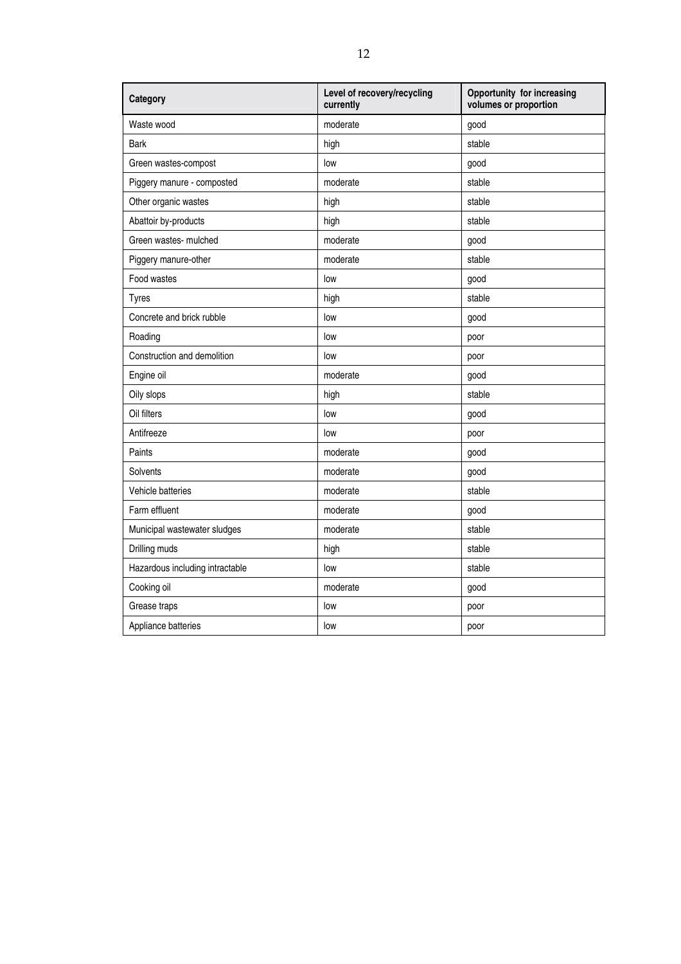| Category                        | Level of recovery/recycling<br>currently | <b>Opportunity for increasing</b><br>volumes or proportion |
|---------------------------------|------------------------------------------|------------------------------------------------------------|
| Waste wood                      | moderate                                 | good                                                       |
| Bark                            | high                                     | stable                                                     |
| Green wastes-compost            | low                                      | good                                                       |
| Piggery manure - composted      | moderate                                 | stable                                                     |
| Other organic wastes            | high                                     | stable                                                     |
| Abattoir by-products            | high                                     | stable                                                     |
| Green wastes- mulched           | moderate                                 | good                                                       |
| Piggery manure-other            | moderate                                 | stable                                                     |
| Food wastes                     | low                                      | good                                                       |
| <b>Tyres</b>                    | high                                     | stable                                                     |
| Concrete and brick rubble       | low                                      | good                                                       |
| Roading                         | low                                      | poor                                                       |
| Construction and demolition     | low                                      | poor                                                       |
| Engine oil                      | moderate                                 | good                                                       |
| Oily slops                      | high                                     | stable                                                     |
| Oil filters                     | low                                      | good                                                       |
| Antifreeze                      | low                                      | poor                                                       |
| Paints                          | moderate                                 | good                                                       |
| Solvents                        | moderate                                 | good                                                       |
| Vehicle batteries               | moderate                                 | stable                                                     |
| Farm effluent                   | moderate                                 | good                                                       |
| Municipal wastewater sludges    | moderate                                 | stable                                                     |
| Drilling muds                   | high                                     | stable                                                     |
| Hazardous including intractable | low                                      | stable                                                     |
| Cooking oil                     | moderate                                 | good                                                       |
| Grease traps                    | low                                      | poor                                                       |
| Appliance batteries             | low                                      | poor                                                       |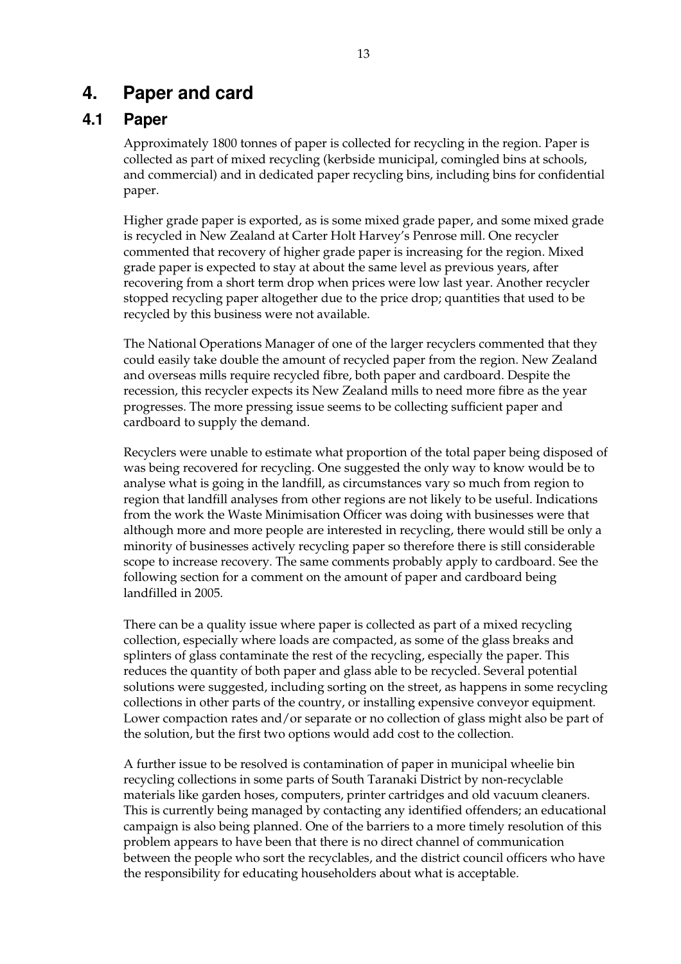### **4. Paper and card**

### **4.1 Paper**

Approximately 1800 tonnes of paper is collected for recycling in the region. Paper is collected as part of mixed recycling (kerbside municipal, comingled bins at schools, and commercial) and in dedicated paper recycling bins, including bins for confidential paper.

Higher grade paper is exported, as is some mixed grade paper, and some mixed grade is recycled in New Zealand at Carter Holt Harvey's Penrose mill. One recycler commented that recovery of higher grade paper is increasing for the region. Mixed grade paper is expected to stay at about the same level as previous years, after recovering from a short term drop when prices were low last year. Another recycler stopped recycling paper altogether due to the price drop; quantities that used to be recycled by this business were not available.

The National Operations Manager of one of the larger recyclers commented that they could easily take double the amount of recycled paper from the region. New Zealand and overseas mills require recycled fibre, both paper and cardboard. Despite the recession, this recycler expects its New Zealand mills to need more fibre as the year progresses. The more pressing issue seems to be collecting sufficient paper and cardboard to supply the demand.

Recyclers were unable to estimate what proportion of the total paper being disposed of was being recovered for recycling. One suggested the only way to know would be to analyse what is going in the landfill, as circumstances vary so much from region to region that landfill analyses from other regions are not likely to be useful. Indications from the work the Waste Minimisation Officer was doing with businesses were that although more and more people are interested in recycling, there would still be only a minority of businesses actively recycling paper so therefore there is still considerable scope to increase recovery. The same comments probably apply to cardboard. See the following section for a comment on the amount of paper and cardboard being landfilled in 2005.

There can be a quality issue where paper is collected as part of a mixed recycling collection, especially where loads are compacted, as some of the glass breaks and splinters of glass contaminate the rest of the recycling, especially the paper. This reduces the quantity of both paper and glass able to be recycled. Several potential solutions were suggested, including sorting on the street, as happens in some recycling collections in other parts of the country, or installing expensive conveyor equipment. Lower compaction rates and/or separate or no collection of glass might also be part of the solution, but the first two options would add cost to the collection.

A further issue to be resolved is contamination of paper in municipal wheelie bin recycling collections in some parts of South Taranaki District by non-recyclable materials like garden hoses, computers, printer cartridges and old vacuum cleaners. This is currently being managed by contacting any identified offenders; an educational campaign is also being planned. One of the barriers to a more timely resolution of this problem appears to have been that there is no direct channel of communication between the people who sort the recyclables, and the district council officers who have the responsibility for educating householders about what is acceptable.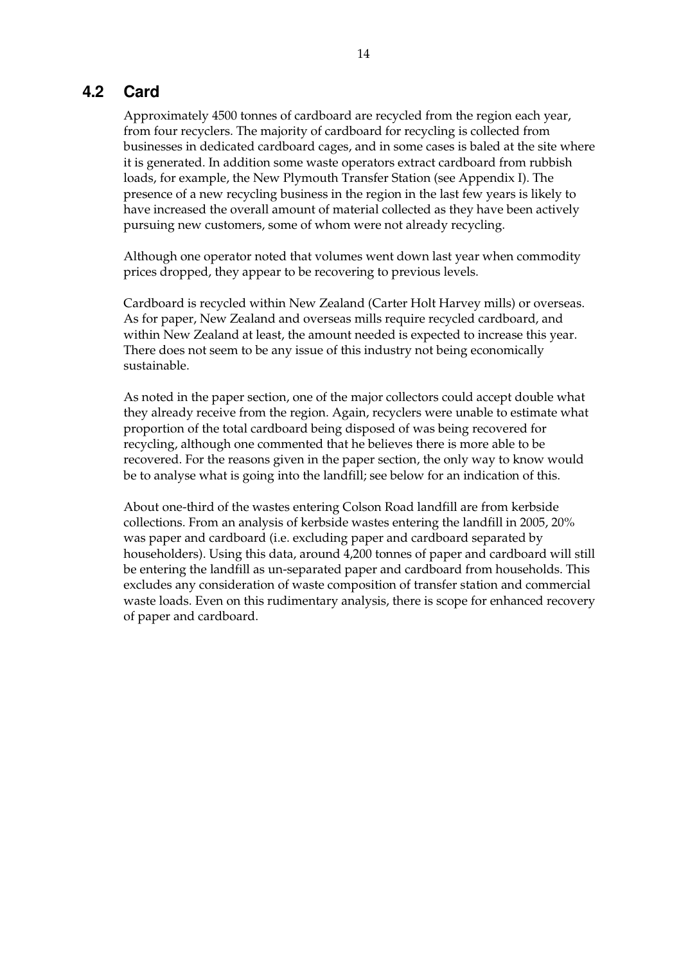### **4.2 Card**

Approximately 4500 tonnes of cardboard are recycled from the region each year, from four recyclers. The majority of cardboard for recycling is collected from businesses in dedicated cardboard cages, and in some cases is baled at the site where it is generated. In addition some waste operators extract cardboard from rubbish loads, for example, the New Plymouth Transfer Station (see Appendix I). The presence of a new recycling business in the region in the last few years is likely to have increased the overall amount of material collected as they have been actively pursuing new customers, some of whom were not already recycling.

Although one operator noted that volumes went down last year when commodity prices dropped, they appear to be recovering to previous levels.

Cardboard is recycled within New Zealand (Carter Holt Harvey mills) or overseas. As for paper, New Zealand and overseas mills require recycled cardboard, and within New Zealand at least, the amount needed is expected to increase this year. There does not seem to be any issue of this industry not being economically sustainable.

As noted in the paper section, one of the major collectors could accept double what they already receive from the region. Again, recyclers were unable to estimate what proportion of the total cardboard being disposed of was being recovered for recycling, although one commented that he believes there is more able to be recovered. For the reasons given in the paper section, the only way to know would be to analyse what is going into the landfill; see below for an indication of this.

About one-third of the wastes entering Colson Road landfill are from kerbside collections. From an analysis of kerbside wastes entering the landfill in 2005, 20% was paper and cardboard (i.e. excluding paper and cardboard separated by householders). Using this data, around 4,200 tonnes of paper and cardboard will still be entering the landfill as un-separated paper and cardboard from households. This excludes any consideration of waste composition of transfer station and commercial waste loads. Even on this rudimentary analysis, there is scope for enhanced recovery of paper and cardboard.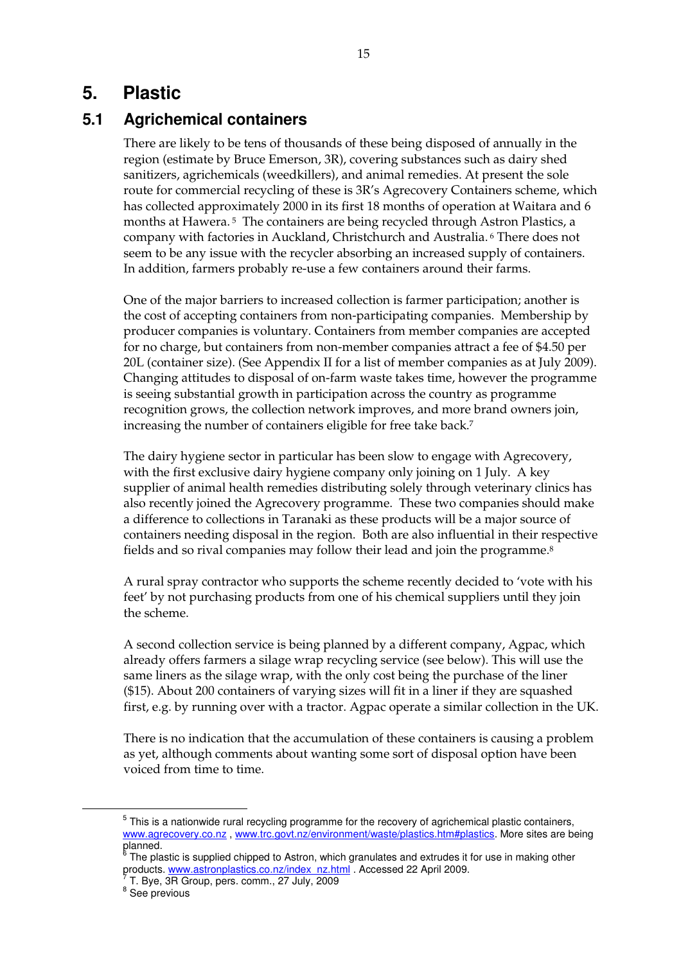## **5. Plastic**

### **5.1 Agrichemical containers**

There are likely to be tens of thousands of these being disposed of annually in the region (estimate by Bruce Emerson, 3R), covering substances such as dairy shed sanitizers, agrichemicals (weedkillers), and animal remedies. At present the sole route for commercial recycling of these is 3R's Agrecovery Containers scheme, which has collected approximately 2000 in its first 18 months of operation at Waitara and 6 months at Hawera. 5 The containers are being recycled through Astron Plastics, a company with factories in Auckland, Christchurch and Australia. 6 There does not seem to be any issue with the recycler absorbing an increased supply of containers. In addition, farmers probably re-use a few containers around their farms.

One of the major barriers to increased collection is farmer participation; another is the cost of accepting containers from non-participating companies. Membership by producer companies is voluntary. Containers from member companies are accepted for no charge, but containers from non-member companies attract a fee of \$4.50 per 20L (container size). (See Appendix II for a list of member companies as at July 2009). Changing attitudes to disposal of on-farm waste takes time, however the programme is seeing substantial growth in participation across the country as programme recognition grows, the collection network improves, and more brand owners join, increasing the number of containers eligible for free take back.7

The dairy hygiene sector in particular has been slow to engage with Agrecovery, with the first exclusive dairy hygiene company only joining on 1 July. A key supplier of animal health remedies distributing solely through veterinary clinics has also recently joined the Agrecovery programme. These two companies should make a difference to collections in Taranaki as these products will be a major source of containers needing disposal in the region. Both are also influential in their respective fields and so rival companies may follow their lead and join the programme.<sup>8</sup>

A rural spray contractor who supports the scheme recently decided to 'vote with his feet' by not purchasing products from one of his chemical suppliers until they join the scheme.

A second collection service is being planned by a different company, Agpac, which already offers farmers a silage wrap recycling service (see below). This will use the same liners as the silage wrap, with the only cost being the purchase of the liner (\$15). About 200 containers of varying sizes will fit in a liner if they are squashed first, e.g. by running over with a tractor. Agpac operate a similar collection in the UK.

There is no indication that the accumulation of these containers is causing a problem as yet, although comments about wanting some sort of disposal option have been voiced from time to time.

 $\frac{1}{5}$  $5$  This is a nationwide rural recycling programme for the recovery of agrichemical plastic containers, www.agrecovery.co.nz, www.trc.govt.nz/environment/waste/plastics.htm#plastics. More sites are being planned.<br><sup>6</sup> The pla

The plastic is supplied chipped to Astron, which granulates and extrudes it for use in making other products. www.astronplastics.co.nz/index\_nz.html . Accessed 22 April 2009.

T. Bye, 3R Group, pers. comm., 27 July, 2009

<sup>&</sup>lt;sup>8</sup> See previous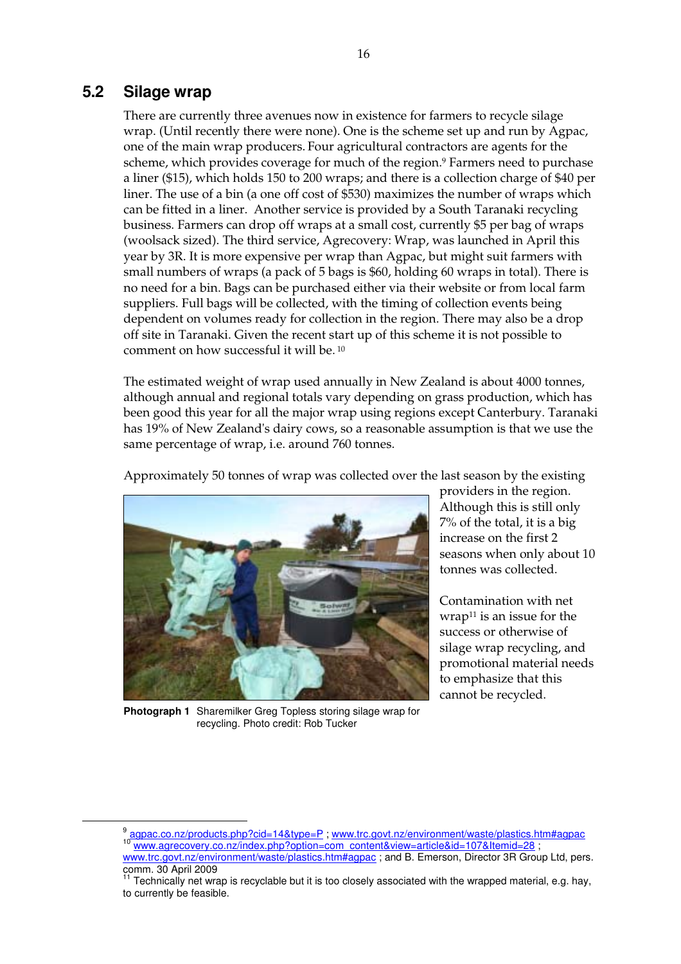### **5.2 Silage wrap**

There are currently three avenues now in existence for farmers to recycle silage wrap. (Until recently there were none). One is the scheme set up and run by Agpac, one of the main wrap producers. Four agricultural contractors are agents for the scheme, which provides coverage for much of the region.9 Farmers need to purchase a liner (\$15), which holds 150 to 200 wraps; and there is a collection charge of \$40 per liner. The use of a bin (a one off cost of \$530) maximizes the number of wraps which can be fitted in a liner. Another service is provided by a South Taranaki recycling business. Farmers can drop off wraps at a small cost, currently \$5 per bag of wraps (woolsack sized). The third service, Agrecovery: Wrap, was launched in April this year by 3R. It is more expensive per wrap than Agpac, but might suit farmers with small numbers of wraps (a pack of 5 bags is \$60, holding 60 wraps in total). There is no need for a bin. Bags can be purchased either via their website or from local farm suppliers. Full bags will be collected, with the timing of collection events being dependent on volumes ready for collection in the region. There may also be a drop off site in Taranaki. Given the recent start up of this scheme it is not possible to comment on how successful it will be. 10

The estimated weight of wrap used annually in New Zealand is about 4000 tonnes, although annual and regional totals vary depending on grass production, which has been good this year for all the major wrap using regions except Canterbury. Taranaki has 19% of New Zealand's dairy cows, so a reasonable assumption is that we use the same percentage of wrap, i.e. around 760 tonnes.

Approximately 50 tonnes of wrap was collected over the last season by the existing



**Photograph 1** Sharemilker Greg Topless storing silage wrap for recycling. Photo credit: Rob Tucker

providers in the region. Although this is still only 7% of the total, it is a big increase on the first 2 seasons when only about 10 tonnes was collected.

Contamination with net  $wrap<sup>11</sup>$  is an issue for the success or otherwise of silage wrap recycling, and promotional material needs to emphasize that this cannot be recycled.

 $\frac{9}{10}$  agpac.co.nz/products.php?cid=14&type=P; www.trc.govt.nz/environment/waste/plastics.htm#agpac<br><sup>10</sup> www.agrecovery.co.nz/index.php?option=com\_content&view=article&id=107&Itemid=28 ; www.trc.govt.nz/environment/waste/plastics.htm#agpac ; and B. Emerson, Director 3R Group Ltd, pers. comm. 30 April 2009

 $11$  Technically net wrap is recyclable but it is too closely associated with the wrapped material, e.g. hay, to currently be feasible.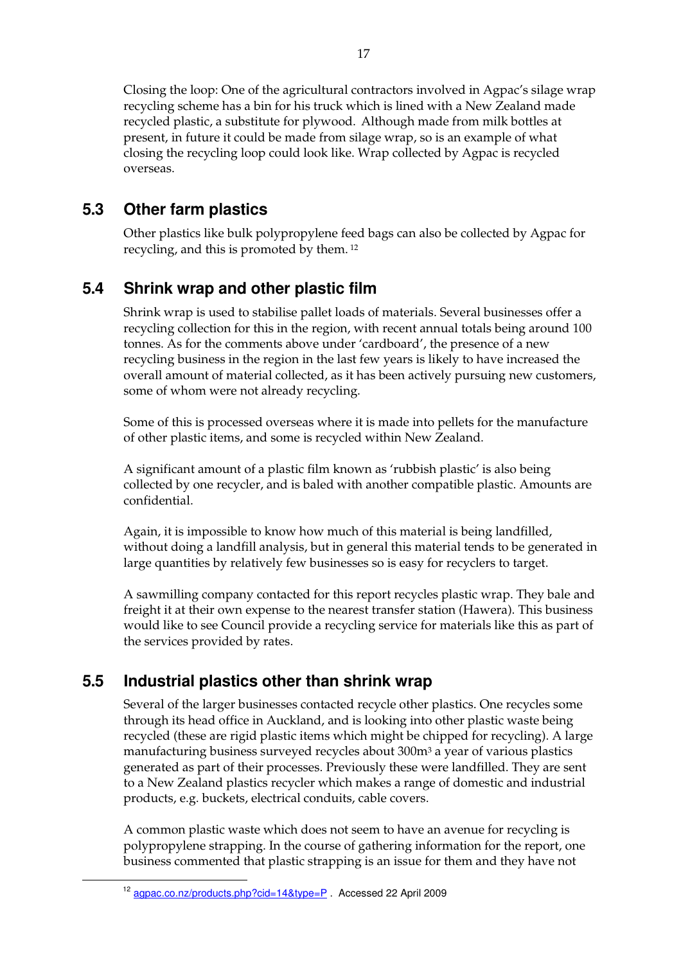Closing the loop: One of the agricultural contractors involved in Agpac's silage wrap recycling scheme has a bin for his truck which is lined with a New Zealand made recycled plastic, a substitute for plywood. Although made from milk bottles at present, in future it could be made from silage wrap, so is an example of what closing the recycling loop could look like. Wrap collected by Agpac is recycled overseas.

## **5.3 Other farm plastics**

Other plastics like bulk polypropylene feed bags can also be collected by Agpac for recycling, and this is promoted by them. 12

# **5.4 Shrink wrap and other plastic film**

Shrink wrap is used to stabilise pallet loads of materials. Several businesses offer a recycling collection for this in the region, with recent annual totals being around 100 tonnes. As for the comments above under 'cardboard', the presence of a new recycling business in the region in the last few years is likely to have increased the overall amount of material collected, as it has been actively pursuing new customers, some of whom were not already recycling.

Some of this is processed overseas where it is made into pellets for the manufacture of other plastic items, and some is recycled within New Zealand.

A significant amount of a plastic film known as 'rubbish plastic' is also being collected by one recycler, and is baled with another compatible plastic. Amounts are confidential.

Again, it is impossible to know how much of this material is being landfilled, without doing a landfill analysis, but in general this material tends to be generated in large quantities by relatively few businesses so is easy for recyclers to target.

A sawmilling company contacted for this report recycles plastic wrap. They bale and freight it at their own expense to the nearest transfer station (Hawera). This business would like to see Council provide a recycling service for materials like this as part of the services provided by rates.

## **5.5 Industrial plastics other than shrink wrap**

Several of the larger businesses contacted recycle other plastics. One recycles some through its head office in Auckland, and is looking into other plastic waste being recycled (these are rigid plastic items which might be chipped for recycling). A large manufacturing business surveyed recycles about 300m3 a year of various plastics generated as part of their processes. Previously these were landfilled. They are sent to a New Zealand plastics recycler which makes a range of domestic and industrial products, e.g. buckets, electrical conduits, cable covers.

A common plastic waste which does not seem to have an avenue for recycling is polypropylene strapping. In the course of gathering information for the report, one business commented that plastic strapping is an issue for them and they have not

<sup>12</sup> agpac.co.nz/products.php?cid=14&type=P . Accessed 22 April 2009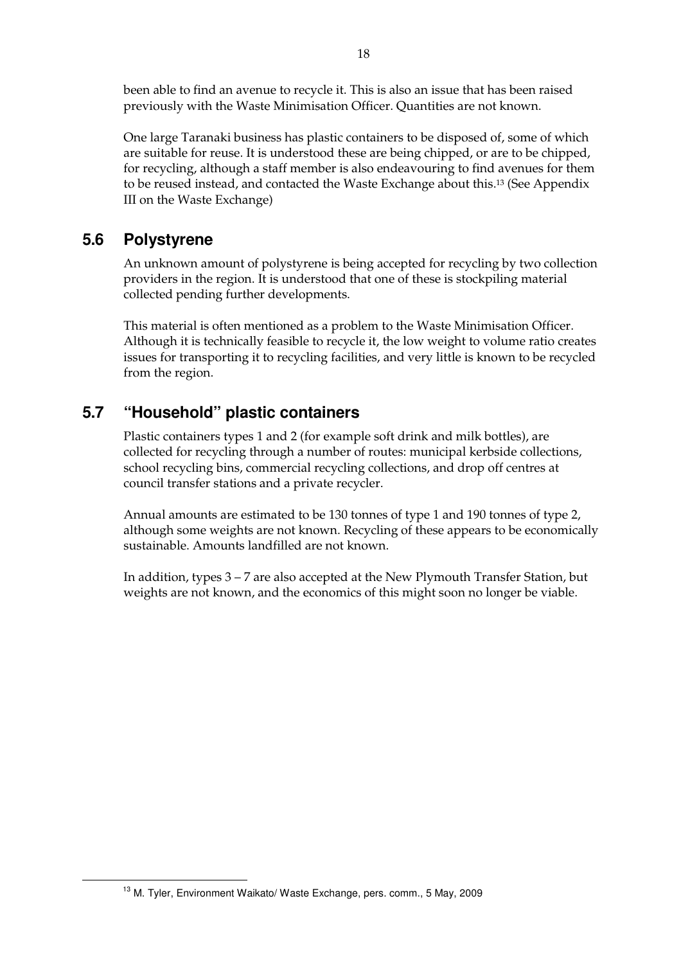been able to find an avenue to recycle it. This is also an issue that has been raised previously with the Waste Minimisation Officer. Quantities are not known.

One large Taranaki business has plastic containers to be disposed of, some of which are suitable for reuse. It is understood these are being chipped, or are to be chipped, for recycling, although a staff member is also endeavouring to find avenues for them to be reused instead, and contacted the Waste Exchange about this.13 (See Appendix III on the Waste Exchange)

### **5.6 Polystyrene**

An unknown amount of polystyrene is being accepted for recycling by two collection providers in the region. It is understood that one of these is stockpiling material collected pending further developments.

This material is often mentioned as a problem to the Waste Minimisation Officer. Although it is technically feasible to recycle it, the low weight to volume ratio creates issues for transporting it to recycling facilities, and very little is known to be recycled from the region.

### **5.7 "Household" plastic containers**

Plastic containers types 1 and 2 (for example soft drink and milk bottles), are collected for recycling through a number of routes: municipal kerbside collections, school recycling bins, commercial recycling collections, and drop off centres at council transfer stations and a private recycler.

Annual amounts are estimated to be 130 tonnes of type 1 and 190 tonnes of type 2, although some weights are not known. Recycling of these appears to be economically sustainable. Amounts landfilled are not known.

In addition, types 3 – 7 are also accepted at the New Plymouth Transfer Station, but weights are not known, and the economics of this might soon no longer be viable.

<sup>&</sup>lt;sup>13</sup> M. Tyler, Environment Waikato/ Waste Exchange, pers. comm., 5 May, 2009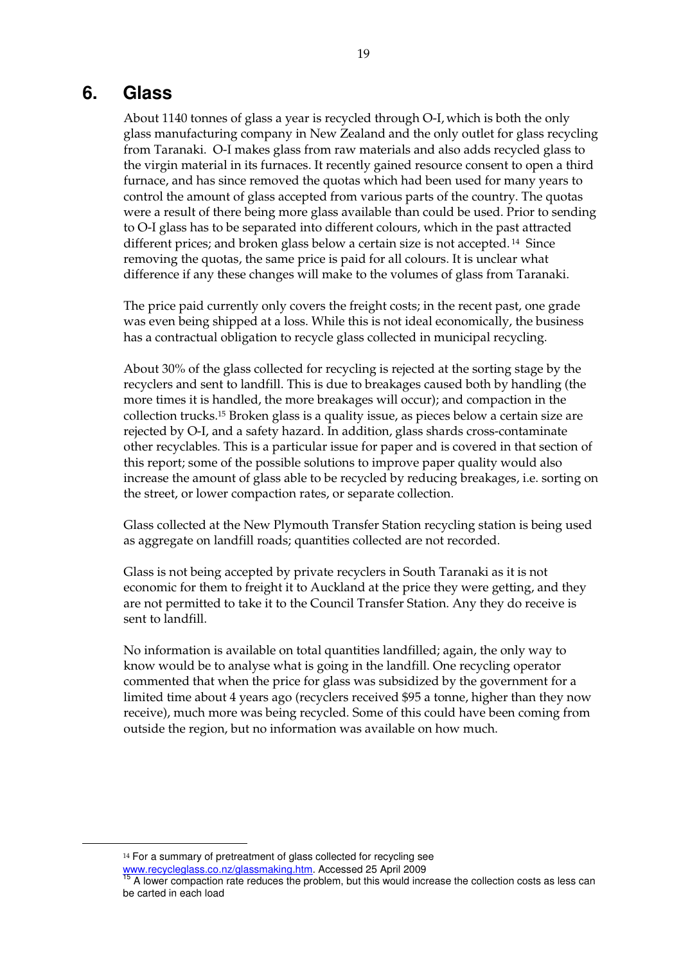### **6. Glass**

About 1140 tonnes of glass a year is recycled through O-I, which is both the only glass manufacturing company in New Zealand and the only outlet for glass recycling from Taranaki. O-I makes glass from raw materials and also adds recycled glass to the virgin material in its furnaces. It recently gained resource consent to open a third furnace, and has since removed the quotas which had been used for many years to control the amount of glass accepted from various parts of the country. The quotas were a result of there being more glass available than could be used. Prior to sending to O-I glass has to be separated into different colours, which in the past attracted different prices; and broken glass below a certain size is not accepted. 14 Since removing the quotas, the same price is paid for all colours. It is unclear what difference if any these changes will make to the volumes of glass from Taranaki.

The price paid currently only covers the freight costs; in the recent past, one grade was even being shipped at a loss. While this is not ideal economically, the business has a contractual obligation to recycle glass collected in municipal recycling.

About 30% of the glass collected for recycling is rejected at the sorting stage by the recyclers and sent to landfill. This is due to breakages caused both by handling (the more times it is handled, the more breakages will occur); and compaction in the collection trucks.15 Broken glass is a quality issue, as pieces below a certain size are rejected by O-I, and a safety hazard. In addition, glass shards cross-contaminate other recyclables. This is a particular issue for paper and is covered in that section of this report; some of the possible solutions to improve paper quality would also increase the amount of glass able to be recycled by reducing breakages, i.e. sorting on the street, or lower compaction rates, or separate collection.

Glass collected at the New Plymouth Transfer Station recycling station is being used as aggregate on landfill roads; quantities collected are not recorded.

Glass is not being accepted by private recyclers in South Taranaki as it is not economic for them to freight it to Auckland at the price they were getting, and they are not permitted to take it to the Council Transfer Station. Any they do receive is sent to landfill.

No information is available on total quantities landfilled; again, the only way to know would be to analyse what is going in the landfill. One recycling operator commented that when the price for glass was subsidized by the government for a limited time about 4 years ago (recyclers received \$95 a tonne, higher than they now receive), much more was being recycled. Some of this could have been coming from outside the region, but no information was available on how much.

<sup>14</sup> For a summary of pretreatment of glass collected for recycling see www.recycleglass.co.nz/glassmaking.htm. Accessed 25 April 2009

A lower compaction rate reduces the problem, but this would increase the collection costs as less can be carted in each load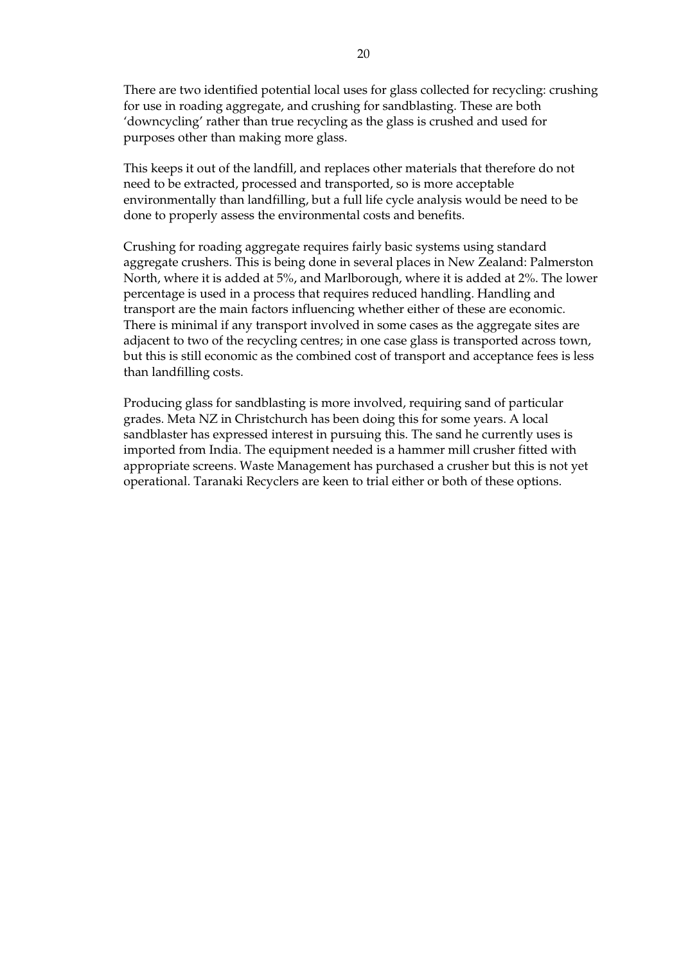There are two identified potential local uses for glass collected for recycling: crushing for use in roading aggregate, and crushing for sandblasting. These are both 'downcycling' rather than true recycling as the glass is crushed and used for purposes other than making more glass.

This keeps it out of the landfill, and replaces other materials that therefore do not need to be extracted, processed and transported, so is more acceptable environmentally than landfilling, but a full life cycle analysis would be need to be done to properly assess the environmental costs and benefits.

Crushing for roading aggregate requires fairly basic systems using standard aggregate crushers. This is being done in several places in New Zealand: Palmerston North, where it is added at 5%, and Marlborough, where it is added at 2%. The lower percentage is used in a process that requires reduced handling. Handling and transport are the main factors influencing whether either of these are economic. There is minimal if any transport involved in some cases as the aggregate sites are adjacent to two of the recycling centres; in one case glass is transported across town, but this is still economic as the combined cost of transport and acceptance fees is less than landfilling costs.

Producing glass for sandblasting is more involved, requiring sand of particular grades. Meta NZ in Christchurch has been doing this for some years. A local sandblaster has expressed interest in pursuing this. The sand he currently uses is imported from India. The equipment needed is a hammer mill crusher fitted with appropriate screens. Waste Management has purchased a crusher but this is not yet operational. Taranaki Recyclers are keen to trial either or both of these options.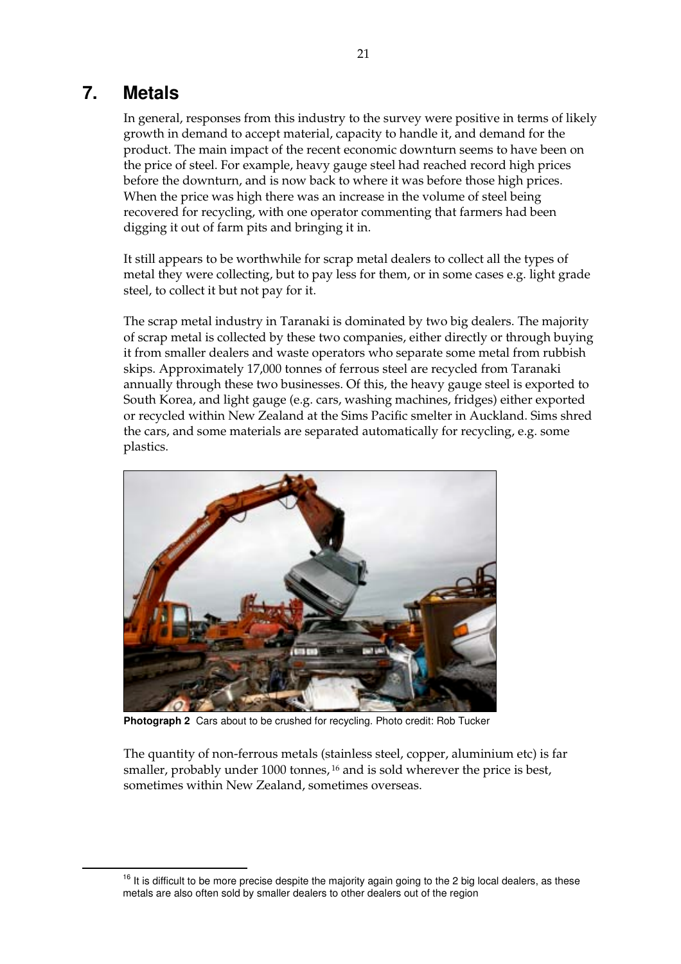## **7. Metals**

In general, responses from this industry to the survey were positive in terms of likely growth in demand to accept material, capacity to handle it, and demand for the product. The main impact of the recent economic downturn seems to have been on the price of steel. For example, heavy gauge steel had reached record high prices before the downturn, and is now back to where it was before those high prices. When the price was high there was an increase in the volume of steel being recovered for recycling, with one operator commenting that farmers had been digging it out of farm pits and bringing it in.

It still appears to be worthwhile for scrap metal dealers to collect all the types of metal they were collecting, but to pay less for them, or in some cases e.g. light grade steel, to collect it but not pay for it.

The scrap metal industry in Taranaki is dominated by two big dealers. The majority of scrap metal is collected by these two companies, either directly or through buying it from smaller dealers and waste operators who separate some metal from rubbish skips. Approximately 17,000 tonnes of ferrous steel are recycled from Taranaki annually through these two businesses. Of this, the heavy gauge steel is exported to South Korea, and light gauge (e.g. cars, washing machines, fridges) either exported or recycled within New Zealand at the Sims Pacific smelter in Auckland. Sims shred the cars, and some materials are separated automatically for recycling, e.g. some plastics.



**Photograph 2** Cars about to be crushed for recycling. Photo credit: Rob Tucker

The quantity of non-ferrous metals (stainless steel, copper, aluminium etc) is far smaller, probably under 1000 tonnes, 16 and is sold wherever the price is best, sometimes within New Zealand, sometimes overseas.

 $16$  It is difficult to be more precise despite the majority again going to the 2 big local dealers, as these metals are also often sold by smaller dealers to other dealers out of the region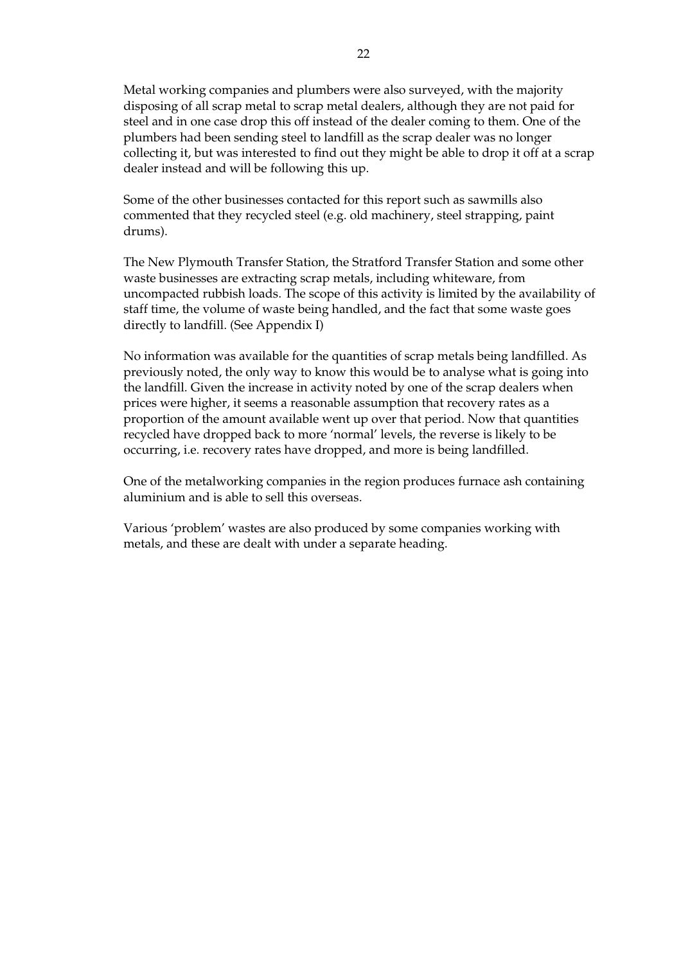Metal working companies and plumbers were also surveyed, with the majority disposing of all scrap metal to scrap metal dealers, although they are not paid for steel and in one case drop this off instead of the dealer coming to them. One of the plumbers had been sending steel to landfill as the scrap dealer was no longer collecting it, but was interested to find out they might be able to drop it off at a scrap dealer instead and will be following this up.

Some of the other businesses contacted for this report such as sawmills also commented that they recycled steel (e.g. old machinery, steel strapping, paint drums).

The New Plymouth Transfer Station, the Stratford Transfer Station and some other waste businesses are extracting scrap metals, including whiteware, from uncompacted rubbish loads. The scope of this activity is limited by the availability of staff time, the volume of waste being handled, and the fact that some waste goes directly to landfill. (See Appendix I)

No information was available for the quantities of scrap metals being landfilled. As previously noted, the only way to know this would be to analyse what is going into the landfill. Given the increase in activity noted by one of the scrap dealers when prices were higher, it seems a reasonable assumption that recovery rates as a proportion of the amount available went up over that period. Now that quantities recycled have dropped back to more 'normal' levels, the reverse is likely to be occurring, i.e. recovery rates have dropped, and more is being landfilled.

One of the metalworking companies in the region produces furnace ash containing aluminium and is able to sell this overseas.

Various 'problem' wastes are also produced by some companies working with metals, and these are dealt with under a separate heading.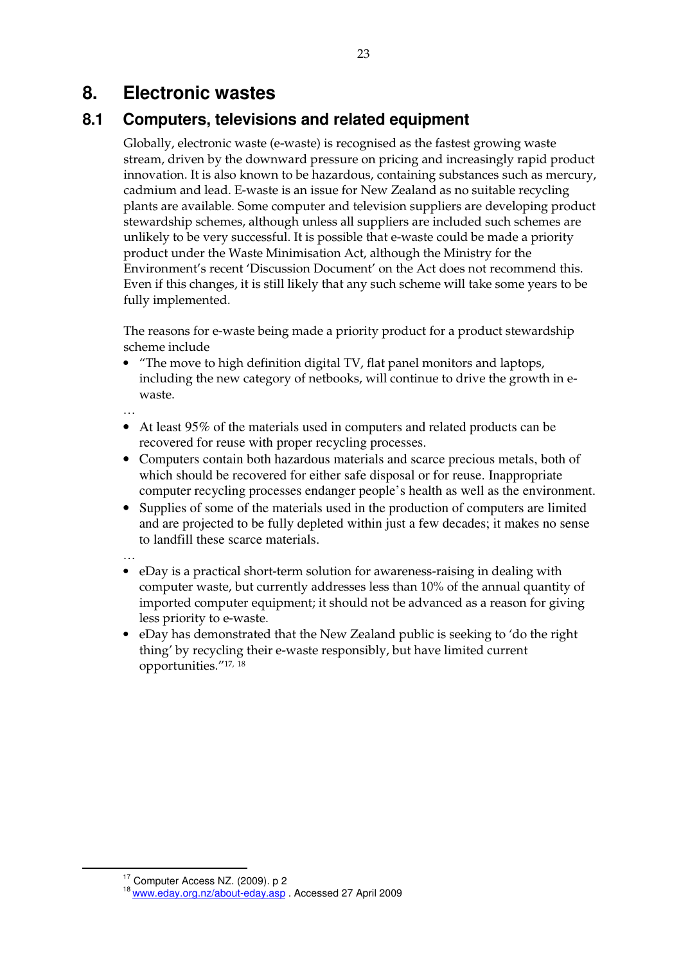# **8. Electronic wastes**

### **8.1 Computers, televisions and related equipment**

Globally, electronic waste (e-waste) is recognised as the fastest growing waste stream, driven by the downward pressure on pricing and increasingly rapid product innovation. It is also known to be hazardous, containing substances such as mercury, cadmium and lead. E-waste is an issue for New Zealand as no suitable recycling plants are available. Some computer and television suppliers are developing product stewardship schemes, although unless all suppliers are included such schemes are unlikely to be very successful. It is possible that e-waste could be made a priority product under the Waste Minimisation Act, although the Ministry for the Environment's recent 'Discussion Document' on the Act does not recommend this. Even if this changes, it is still likely that any such scheme will take some years to be fully implemented.

The reasons for e-waste being made a priority product for a product stewardship scheme include

• "The move to high definition digital TV, flat panel monitors and laptops, including the new category of netbooks, will continue to drive the growth in ewaste.

…

- At least 95% of the materials used in computers and related products can be recovered for reuse with proper recycling processes.
- Computers contain both hazardous materials and scarce precious metals, both of which should be recovered for either safe disposal or for reuse. Inappropriate computer recycling processes endanger people's health as well as the environment.
- Supplies of some of the materials used in the production of computers are limited and are projected to be fully depleted within just a few decades; it makes no sense to landfill these scarce materials.

…

- eDay is a practical short-term solution for awareness-raising in dealing with computer waste, but currently addresses less than 10% of the annual quantity of imported computer equipment; it should not be advanced as a reason for giving less priority to e-waste.
- eDay has demonstrated that the New Zealand public is seeking to 'do the right thing' by recycling their e-waste responsibly, but have limited current opportunities."17, 18

<sup>23</sup>

<sup>&</sup>lt;sup>17</sup> Computer Access NZ. (2009). p 2<br><sup>18</sup> www.eday.org.nz/about-eday.asp . Accessed 27 April 2009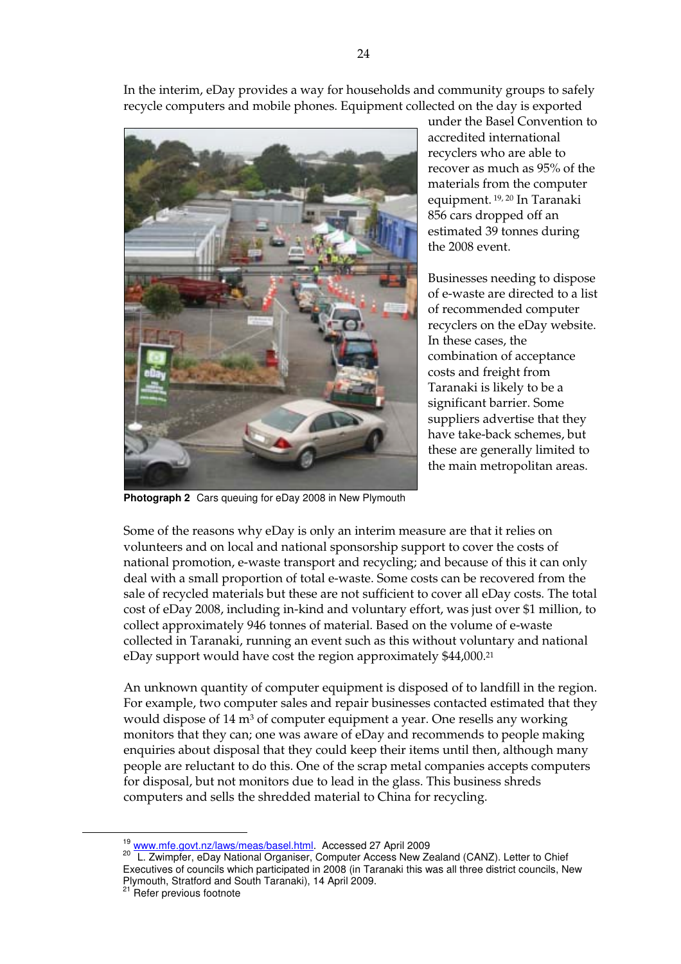In the interim, eDay provides a way for households and community groups to safely recycle computers and mobile phones. Equipment collected on the day is exported



under the Basel Convention to accredited international recyclers who are able to recover as much as 95% of the materials from the computer equipment. 19, 20 In Taranaki 856 cars dropped off an estimated 39 tonnes during the 2008 event.

Businesses needing to dispose of e-waste are directed to a list of recommended computer recyclers on the eDay website. In these cases, the combination of acceptance costs and freight from Taranaki is likely to be a significant barrier. Some suppliers advertise that they have take-back schemes, but these are generally limited to the main metropolitan areas.

**Photograph 2** Cars queuing for eDay 2008 in New Plymouth

Some of the reasons why eDay is only an interim measure are that it relies on volunteers and on local and national sponsorship support to cover the costs of national promotion, e-waste transport and recycling; and because of this it can only deal with a small proportion of total e-waste. Some costs can be recovered from the sale of recycled materials but these are not sufficient to cover all eDay costs. The total cost of eDay 2008, including in-kind and voluntary effort, was just over \$1 million, to collect approximately 946 tonnes of material. Based on the volume of e-waste collected in Taranaki, running an event such as this without voluntary and national eDay support would have cost the region approximately \$44,000.21

An unknown quantity of computer equipment is disposed of to landfill in the region. For example, two computer sales and repair businesses contacted estimated that they would dispose of 14 m<sup>3</sup> of computer equipment a year. One resells any working monitors that they can; one was aware of eDay and recommends to people making enquiries about disposal that they could keep their items until then, although many people are reluctant to do this. One of the scrap metal companies accepts computers for disposal, but not monitors due to lead in the glass. This business shreds computers and sells the shredded material to China for recycling.

<sup>&</sup>lt;sup>19</sup> www.mfe.govt.nz/laws/meas/basel.html</u>. Accessed 27 April 2009<br><sup>20</sup> L. Zwimpfer, eDay National Organiser, Computer Access New Zealand (CANZ). Letter to Chief Executives of councils which participated in 2008 (in Taranaki this was all three district councils, New Plymouth, Stratford and South Taranaki), 14 April 2009.

<sup>&</sup>lt;sup>21</sup> Refer previous footnote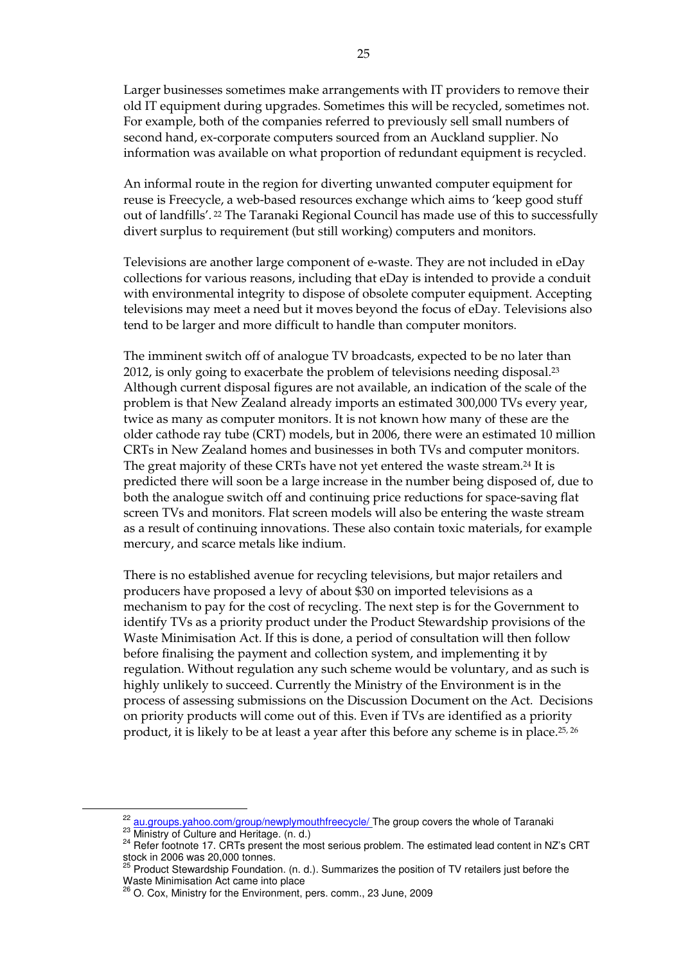Larger businesses sometimes make arrangements with IT providers to remove their old IT equipment during upgrades. Sometimes this will be recycled, sometimes not. For example, both of the companies referred to previously sell small numbers of second hand, ex-corporate computers sourced from an Auckland supplier. No information was available on what proportion of redundant equipment is recycled.

An informal route in the region for diverting unwanted computer equipment for reuse is Freecycle, a web-based resources exchange which aims to 'keep good stuff out of landfills'. 22 The Taranaki Regional Council has made use of this to successfully divert surplus to requirement (but still working) computers and monitors.

Televisions are another large component of e-waste. They are not included in eDay collections for various reasons, including that eDay is intended to provide a conduit with environmental integrity to dispose of obsolete computer equipment. Accepting televisions may meet a need but it moves beyond the focus of eDay. Televisions also tend to be larger and more difficult to handle than computer monitors.

The imminent switch off of analogue TV broadcasts, expected to be no later than 2012, is only going to exacerbate the problem of televisions needing disposal.23 Although current disposal figures are not available, an indication of the scale of the problem is that New Zealand already imports an estimated 300,000 TVs every year, twice as many as computer monitors. It is not known how many of these are the older cathode ray tube (CRT) models, but in 2006, there were an estimated 10 million CRTs in New Zealand homes and businesses in both TVs and computer monitors. The great majority of these CRTs have not yet entered the waste stream.24 It is predicted there will soon be a large increase in the number being disposed of, due to both the analogue switch off and continuing price reductions for space-saving flat screen TVs and monitors. Flat screen models will also be entering the waste stream as a result of continuing innovations. These also contain toxic materials, for example mercury, and scarce metals like indium.

There is no established avenue for recycling televisions, but major retailers and producers have proposed a levy of about \$30 on imported televisions as a mechanism to pay for the cost of recycling. The next step is for the Government to identify TVs as a priority product under the Product Stewardship provisions of the Waste Minimisation Act. If this is done, a period of consultation will then follow before finalising the payment and collection system, and implementing it by regulation. Without regulation any such scheme would be voluntary, and as such is highly unlikely to succeed. Currently the Ministry of the Environment is in the process of assessing submissions on the Discussion Document on the Act. Decisions on priority products will come out of this. Even if TVs are identified as a priority product, it is likely to be at least a year after this before any scheme is in place.25, 26

 $^{22}$  au.groups.yahoo.com/group/newplymouthfreecycle/ The group covers the whole of Taranaki<br>  $^{23}$  Ministry of Culture and Heritage. (n. d.)<br>  $^{24}$  Refer footnote 17. CRTs present the most serious problem. The estimat stock in 2006 was 20,000 tonnes.

<sup>&</sup>lt;sup>25</sup> Product Stewardship Foundation. (n. d.). Summarizes the position of TV retailers just before the Waste Minimisation Act came into place

<sup>26</sup> O. Cox, Ministry for the Environment, pers. comm., 23 June, 2009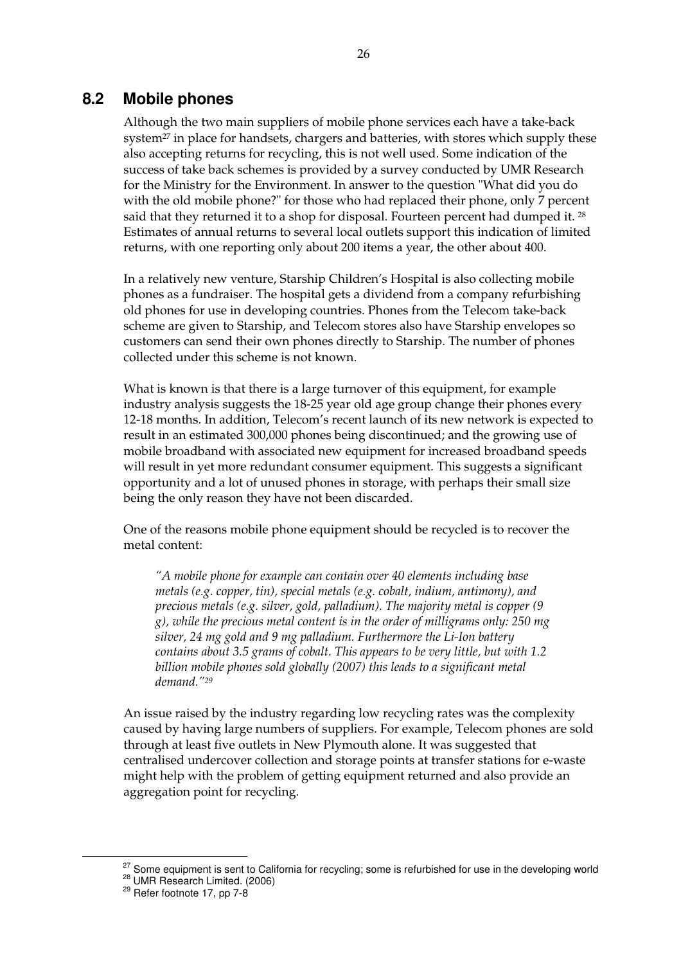### **8.2 Mobile phones**

Although the two main suppliers of mobile phone services each have a take-back system<sup>27</sup> in place for handsets, chargers and batteries, with stores which supply these also accepting returns for recycling, this is not well used. Some indication of the success of take back schemes is provided by a survey conducted by UMR Research for the Ministry for the Environment. In answer to the question "What did you do with the old mobile phone?" for those who had replaced their phone, only 7 percent said that they returned it to a shop for disposal. Fourteen percent had dumped it. 28 Estimates of annual returns to several local outlets support this indication of limited returns, with one reporting only about 200 items a year, the other about 400.

In a relatively new venture, Starship Children's Hospital is also collecting mobile phones as a fundraiser. The hospital gets a dividend from a company refurbishing old phones for use in developing countries. Phones from the Telecom take-back scheme are given to Starship, and Telecom stores also have Starship envelopes so customers can send their own phones directly to Starship. The number of phones collected under this scheme is not known.

What is known is that there is a large turnover of this equipment, for example industry analysis suggests the 18-25 year old age group change their phones every 12-18 months. In addition, Telecom's recent launch of its new network is expected to result in an estimated 300,000 phones being discontinued; and the growing use of mobile broadband with associated new equipment for increased broadband speeds will result in yet more redundant consumer equipment. This suggests a significant opportunity and a lot of unused phones in storage, with perhaps their small size being the only reason they have not been discarded.

One of the reasons mobile phone equipment should be recycled is to recover the metal content:

*"A mobile phone for example can contain over 40 elements including base metals (e.g. copper, tin), special metals (e.g. cobalt, indium, antimony), and precious metals (e.g. silver, gold, palladium). The majority metal is copper (9 g), while the precious metal content is in the order of milligrams only: 250 mg silver, 24 mg gold and 9 mg palladium. Furthermore the Li-Ion battery contains about 3.5 grams of cobalt. This appears to be very little, but with 1.2 billion mobile phones sold globally (2007) this leads to a significant metal demand."29* 

An issue raised by the industry regarding low recycling rates was the complexity caused by having large numbers of suppliers. For example, Telecom phones are sold through at least five outlets in New Plymouth alone. It was suggested that centralised undercover collection and storage points at transfer stations for e-waste might help with the problem of getting equipment returned and also provide an aggregation point for recycling.

<sup>&</sup>lt;sup>27</sup> Some equipment is sent to California for recycling; some is refurbished for use in the developing world <sup>28</sup> UMR Research Limited. (2006) <br><sup>29</sup> Refer footnote 17, pp 7-8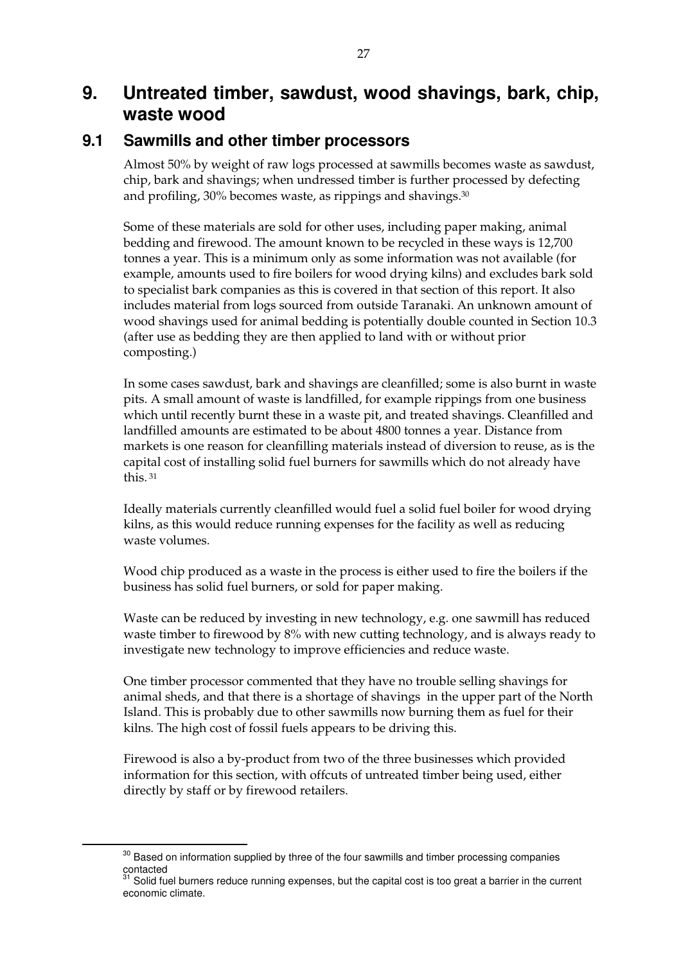# **9. Untreated timber, sawdust, wood shavings, bark, chip, waste wood**

## **9.1 Sawmills and other timber processors**

Almost 50% by weight of raw logs processed at sawmills becomes waste as sawdust, chip, bark and shavings; when undressed timber is further processed by defecting and profiling, 30% becomes waste, as rippings and shavings.30

Some of these materials are sold for other uses, including paper making, animal bedding and firewood. The amount known to be recycled in these ways is 12,700 tonnes a year. This is a minimum only as some information was not available (for example, amounts used to fire boilers for wood drying kilns) and excludes bark sold to specialist bark companies as this is covered in that section of this report. It also includes material from logs sourced from outside Taranaki. An unknown amount of wood shavings used for animal bedding is potentially double counted in Section 10.3 (after use as bedding they are then applied to land with or without prior composting.)

In some cases sawdust, bark and shavings are cleanfilled; some is also burnt in waste pits. A small amount of waste is landfilled, for example rippings from one business which until recently burnt these in a waste pit, and treated shavings. Cleanfilled and landfilled amounts are estimated to be about 4800 tonnes a year. Distance from markets is one reason for cleanfilling materials instead of diversion to reuse, as is the capital cost of installing solid fuel burners for sawmills which do not already have this. 31

Ideally materials currently cleanfilled would fuel a solid fuel boiler for wood drying kilns, as this would reduce running expenses for the facility as well as reducing waste volumes.

Wood chip produced as a waste in the process is either used to fire the boilers if the business has solid fuel burners, or sold for paper making.

Waste can be reduced by investing in new technology, e.g. one sawmill has reduced waste timber to firewood by 8% with new cutting technology, and is always ready to investigate new technology to improve efficiencies and reduce waste.

One timber processor commented that they have no trouble selling shavings for animal sheds, and that there is a shortage of shavings in the upper part of the North Island. This is probably due to other sawmills now burning them as fuel for their kilns. The high cost of fossil fuels appears to be driving this.

Firewood is also a by-product from two of the three businesses which provided information for this section, with offcuts of untreated timber being used, either directly by staff or by firewood retailers.

 $30$  Based on information supplied by three of the four sawmills and timber processing companies contacted

 $31$  Solid fuel burners reduce running expenses, but the capital cost is too great a barrier in the current economic climate.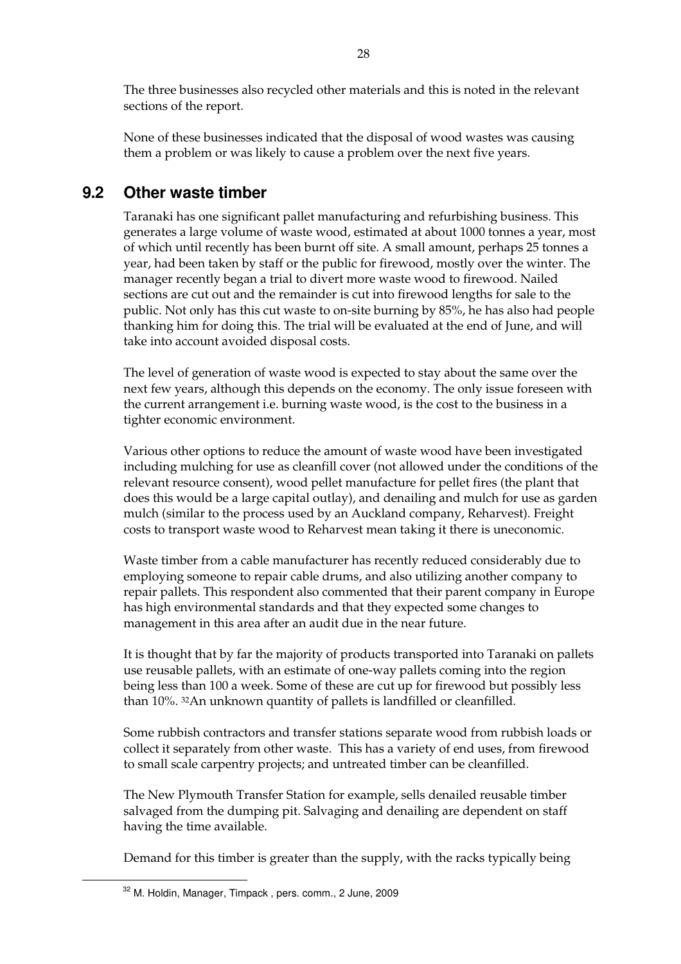The three businesses also recycled other materials and this is noted in the relevant sections of the report.

None of these businesses indicated that the disposal of wood wastes was causing them a problem or was likely to cause a problem over the next five years.

## **9.2 Other waste timber**

Taranaki has one significant pallet manufacturing and refurbishing business. This generates a large volume of waste wood, estimated at about 1000 tonnes a year, most of which until recently has been burnt off site. A small amount, perhaps 25 tonnes a year, had been taken by staff or the public for firewood, mostly over the winter. The manager recently began a trial to divert more waste wood to firewood. Nailed sections are cut out and the remainder is cut into firewood lengths for sale to the public. Not only has this cut waste to on-site burning by 85%, he has also had people thanking him for doing this. The trial will be evaluated at the end of June, and will take into account avoided disposal costs.

The level of generation of waste wood is expected to stay about the same over the next few years, although this depends on the economy. The only issue foreseen with the current arrangement i.e. burning waste wood, is the cost to the business in a tighter economic environment.

Various other options to reduce the amount of waste wood have been investigated including mulching for use as cleanfill cover (not allowed under the conditions of the relevant resource consent), wood pellet manufacture for pellet fires (the plant that does this would be a large capital outlay), and denailing and mulch for use as garden mulch (similar to the process used by an Auckland company, Reharvest). Freight costs to transport waste wood to Reharvest mean taking it there is uneconomic.

Waste timber from a cable manufacturer has recently reduced considerably due to employing someone to repair cable drums, and also utilizing another company to repair pallets. This respondent also commented that their parent company in Europe has high environmental standards and that they expected some changes to management in this area after an audit due in the near future.

It is thought that by far the majority of products transported into Taranaki on pallets use reusable pallets, with an estimate of one-way pallets coming into the region being less than 100 a week. Some of these are cut up for firewood but possibly less than 10%. 32An unknown quantity of pallets is landfilled or cleanfilled.

Some rubbish contractors and transfer stations separate wood from rubbish loads or collect it separately from other waste. This has a variety of end uses, from firewood to small scale carpentry projects; and untreated timber can be cleanfilled.

The New Plymouth Transfer Station for example, sells denailed reusable timber salvaged from the dumping pit. Salvaging and denailing are dependent on staff having the time available.

Demand for this timber is greater than the supply, with the racks typically being

32 M. Holdin, Manager, Timpack , pers. comm., 2 June, 2009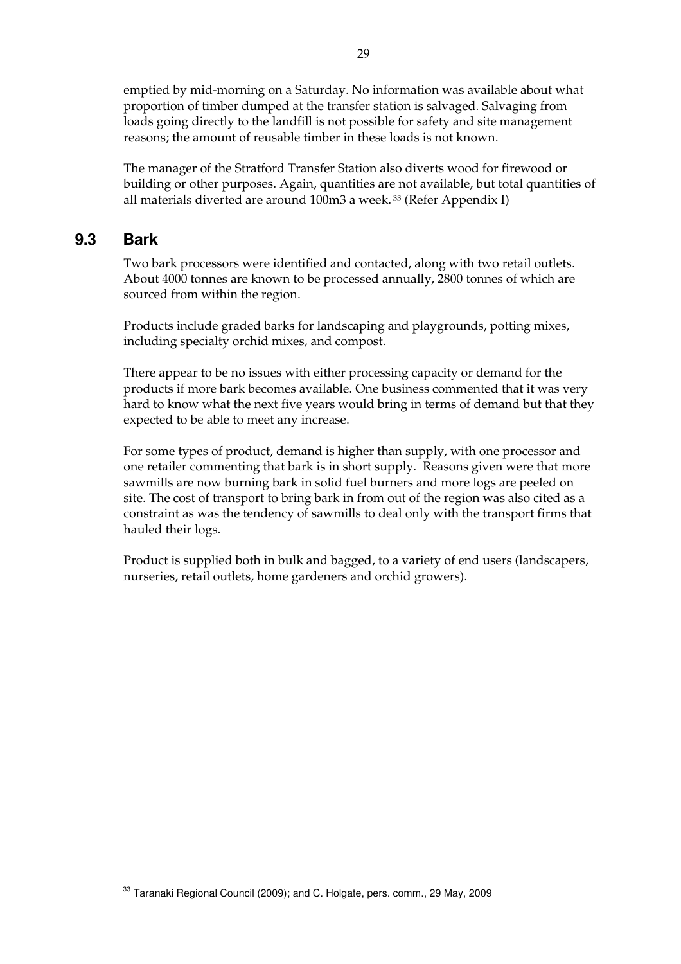emptied by mid-morning on a Saturday. No information was available about what proportion of timber dumped at the transfer station is salvaged. Salvaging from loads going directly to the landfill is not possible for safety and site management reasons; the amount of reusable timber in these loads is not known.

The manager of the Stratford Transfer Station also diverts wood for firewood or building or other purposes. Again, quantities are not available, but total quantities of all materials diverted are around 100m3 a week. 33 (Refer Appendix I)

## **9.3 Bark**

Two bark processors were identified and contacted, along with two retail outlets. About 4000 tonnes are known to be processed annually, 2800 tonnes of which are sourced from within the region.

Products include graded barks for landscaping and playgrounds, potting mixes, including specialty orchid mixes, and compost.

There appear to be no issues with either processing capacity or demand for the products if more bark becomes available. One business commented that it was very hard to know what the next five years would bring in terms of demand but that they expected to be able to meet any increase.

For some types of product, demand is higher than supply, with one processor and one retailer commenting that bark is in short supply. Reasons given were that more sawmills are now burning bark in solid fuel burners and more logs are peeled on site. The cost of transport to bring bark in from out of the region was also cited as a constraint as was the tendency of sawmills to deal only with the transport firms that hauled their logs.

Product is supplied both in bulk and bagged, to a variety of end users (landscapers, nurseries, retail outlets, home gardeners and orchid growers).

<sup>&</sup>lt;sup>33</sup> Taranaki Regional Council (2009); and C. Holgate, pers. comm., 29 May, 2009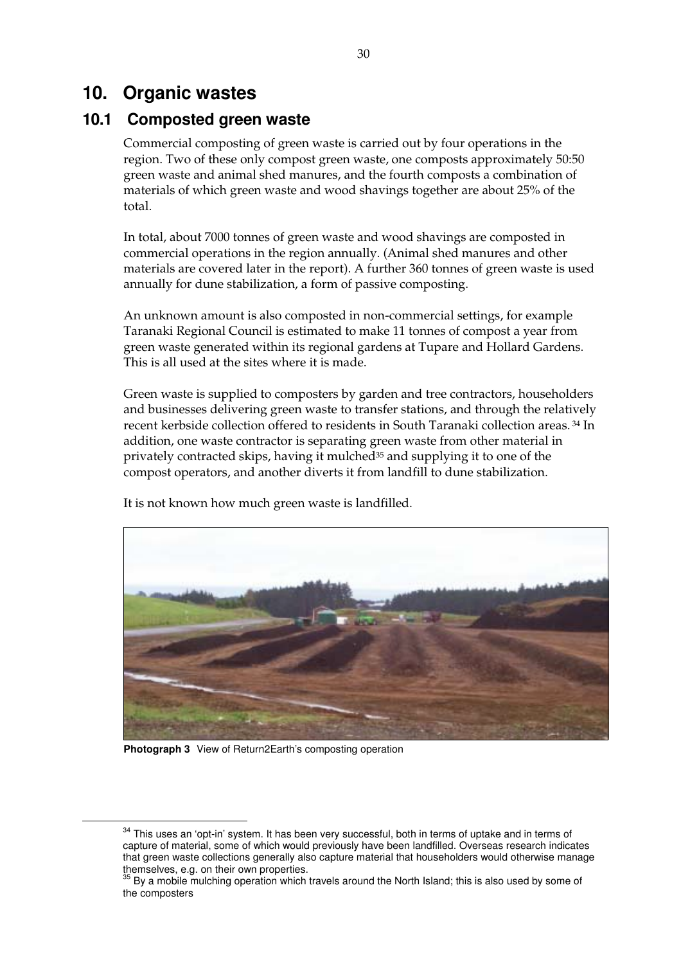# **10. Organic wastes**

# **10.1 Composted green waste**

Commercial composting of green waste is carried out by four operations in the region. Two of these only compost green waste, one composts approximately 50:50 green waste and animal shed manures, and the fourth composts a combination of materials of which green waste and wood shavings together are about 25% of the total.

In total, about 7000 tonnes of green waste and wood shavings are composted in commercial operations in the region annually. (Animal shed manures and other materials are covered later in the report). A further 360 tonnes of green waste is used annually for dune stabilization, a form of passive composting.

An unknown amount is also composted in non-commercial settings, for example Taranaki Regional Council is estimated to make 11 tonnes of compost a year from green waste generated within its regional gardens at Tupare and Hollard Gardens. This is all used at the sites where it is made.

Green waste is supplied to composters by garden and tree contractors, householders and businesses delivering green waste to transfer stations, and through the relatively recent kerbside collection offered to residents in South Taranaki collection areas. 34 In addition, one waste contractor is separating green waste from other material in privately contracted skips, having it mulched<sup>35</sup> and supplying it to one of the compost operators, and another diverts it from landfill to dune stabilization.



It is not known how much green waste is landfilled.

**Photograph 3** View of Return2Earth's composting operation

<sup>&</sup>lt;sup>34</sup> This uses an 'opt-in' system. It has been very successful, both in terms of uptake and in terms of capture of material, some of which would previously have been landfilled. Overseas research indicates that green waste collections generally also capture material that householders would otherwise manage themselves, e.g. on their own properties.

 $35$  By a mobile mulching operation which travels around the North Island; this is also used by some of the composters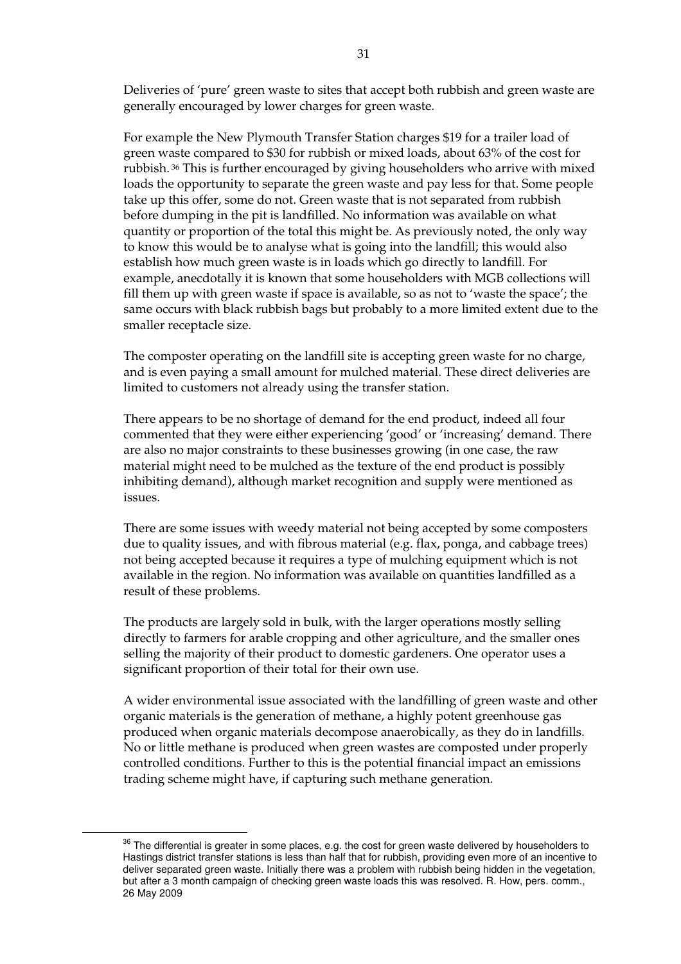Deliveries of 'pure' green waste to sites that accept both rubbish and green waste are generally encouraged by lower charges for green waste.

For example the New Plymouth Transfer Station charges \$19 for a trailer load of green waste compared to \$30 for rubbish or mixed loads, about 63% of the cost for rubbish. 36 This is further encouraged by giving householders who arrive with mixed loads the opportunity to separate the green waste and pay less for that. Some people take up this offer, some do not. Green waste that is not separated from rubbish before dumping in the pit is landfilled. No information was available on what quantity or proportion of the total this might be. As previously noted, the only way to know this would be to analyse what is going into the landfill; this would also establish how much green waste is in loads which go directly to landfill. For example, anecdotally it is known that some householders with MGB collections will fill them up with green waste if space is available, so as not to 'waste the space'; the same occurs with black rubbish bags but probably to a more limited extent due to the smaller receptacle size.

The composter operating on the landfill site is accepting green waste for no charge, and is even paying a small amount for mulched material. These direct deliveries are limited to customers not already using the transfer station.

There appears to be no shortage of demand for the end product, indeed all four commented that they were either experiencing 'good' or 'increasing' demand. There are also no major constraints to these businesses growing (in one case, the raw material might need to be mulched as the texture of the end product is possibly inhibiting demand), although market recognition and supply were mentioned as issues.

There are some issues with weedy material not being accepted by some composters due to quality issues, and with fibrous material (e.g. flax, ponga, and cabbage trees) not being accepted because it requires a type of mulching equipment which is not available in the region. No information was available on quantities landfilled as a result of these problems.

The products are largely sold in bulk, with the larger operations mostly selling directly to farmers for arable cropping and other agriculture, and the smaller ones selling the majority of their product to domestic gardeners. One operator uses a significant proportion of their total for their own use.

A wider environmental issue associated with the landfilling of green waste and other organic materials is the generation of methane, a highly potent greenhouse gas produced when organic materials decompose anaerobically, as they do in landfills. No or little methane is produced when green wastes are composted under properly controlled conditions. Further to this is the potential financial impact an emissions trading scheme might have, if capturing such methane generation.

<sup>&</sup>lt;sup>36</sup> The differential is greater in some places, e.g. the cost for green waste delivered by householders to Hastings district transfer stations is less than half that for rubbish, providing even more of an incentive to deliver separated green waste. Initially there was a problem with rubbish being hidden in the vegetation, but after a 3 month campaign of checking green waste loads this was resolved. R. How, pers. comm., 26 May 2009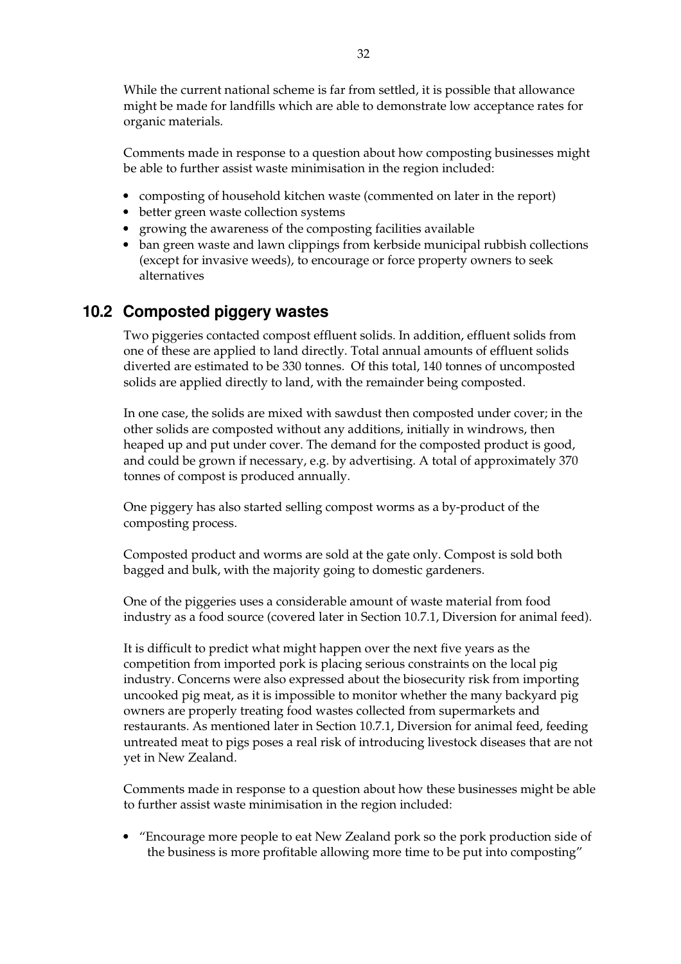While the current national scheme is far from settled, it is possible that allowance might be made for landfills which are able to demonstrate low acceptance rates for organic materials.

Comments made in response to a question about how composting businesses might be able to further assist waste minimisation in the region included:

- composting of household kitchen waste (commented on later in the report)
- better green waste collection systems
- growing the awareness of the composting facilities available
- ban green waste and lawn clippings from kerbside municipal rubbish collections (except for invasive weeds), to encourage or force property owners to seek alternatives

## **10.2 Composted piggery wastes**

Two piggeries contacted compost effluent solids. In addition, effluent solids from one of these are applied to land directly. Total annual amounts of effluent solids diverted are estimated to be 330 tonnes. Of this total, 140 tonnes of uncomposted solids are applied directly to land, with the remainder being composted.

In one case, the solids are mixed with sawdust then composted under cover; in the other solids are composted without any additions, initially in windrows, then heaped up and put under cover. The demand for the composted product is good, and could be grown if necessary, e.g. by advertising. A total of approximately 370 tonnes of compost is produced annually.

One piggery has also started selling compost worms as a by-product of the composting process.

Composted product and worms are sold at the gate only. Compost is sold both bagged and bulk, with the majority going to domestic gardeners.

One of the piggeries uses a considerable amount of waste material from food industry as a food source (covered later in Section 10.7.1, Diversion for animal feed).

It is difficult to predict what might happen over the next five years as the competition from imported pork is placing serious constraints on the local pig industry. Concerns were also expressed about the biosecurity risk from importing uncooked pig meat, as it is impossible to monitor whether the many backyard pig owners are properly treating food wastes collected from supermarkets and restaurants. As mentioned later in Section 10.7.1, Diversion for animal feed, feeding untreated meat to pigs poses a real risk of introducing livestock diseases that are not yet in New Zealand.

Comments made in response to a question about how these businesses might be able to further assist waste minimisation in the region included:

• "Encourage more people to eat New Zealand pork so the pork production side of the business is more profitable allowing more time to be put into composting"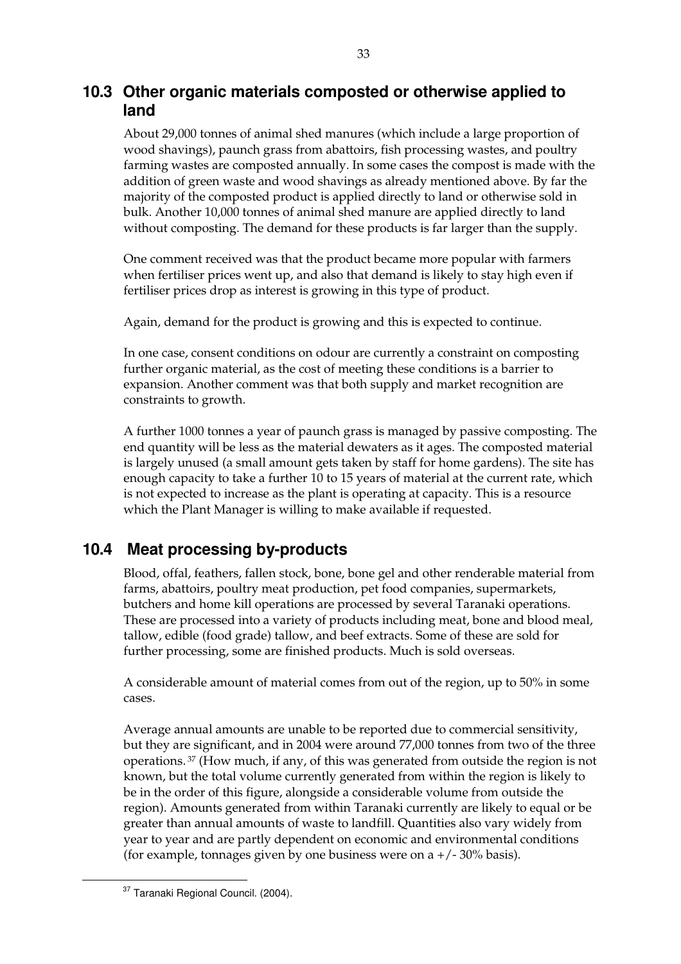## **10.3 Other organic materials composted or otherwise applied to land**

About 29,000 tonnes of animal shed manures (which include a large proportion of wood shavings), paunch grass from abattoirs, fish processing wastes, and poultry farming wastes are composted annually. In some cases the compost is made with the addition of green waste and wood shavings as already mentioned above. By far the majority of the composted product is applied directly to land or otherwise sold in bulk. Another 10,000 tonnes of animal shed manure are applied directly to land without composting. The demand for these products is far larger than the supply.

One comment received was that the product became more popular with farmers when fertiliser prices went up, and also that demand is likely to stay high even if fertiliser prices drop as interest is growing in this type of product.

Again, demand for the product is growing and this is expected to continue.

In one case, consent conditions on odour are currently a constraint on composting further organic material, as the cost of meeting these conditions is a barrier to expansion. Another comment was that both supply and market recognition are constraints to growth.

A further 1000 tonnes a year of paunch grass is managed by passive composting. The end quantity will be less as the material dewaters as it ages. The composted material is largely unused (a small amount gets taken by staff for home gardens). The site has enough capacity to take a further 10 to 15 years of material at the current rate, which is not expected to increase as the plant is operating at capacity. This is a resource which the Plant Manager is willing to make available if requested.

# **10.4 Meat processing by-products**

Blood, offal, feathers, fallen stock, bone, bone gel and other renderable material from farms, abattoirs, poultry meat production, pet food companies, supermarkets, butchers and home kill operations are processed by several Taranaki operations. These are processed into a variety of products including meat, bone and blood meal, tallow, edible (food grade) tallow, and beef extracts. Some of these are sold for further processing, some are finished products. Much is sold overseas.

A considerable amount of material comes from out of the region, up to 50% in some cases.

Average annual amounts are unable to be reported due to commercial sensitivity, but they are significant, and in 2004 were around 77,000 tonnes from two of the three operations. 37 (How much, if any, of this was generated from outside the region is not known, but the total volume currently generated from within the region is likely to be in the order of this figure, alongside a considerable volume from outside the region). Amounts generated from within Taranaki currently are likely to equal or be greater than annual amounts of waste to landfill. Quantities also vary widely from year to year and are partly dependent on economic and environmental conditions (for example, tonnages given by one business were on a  $+/-30\%$  basis).

<sup>37</sup> Taranaki Regional Council. (2004).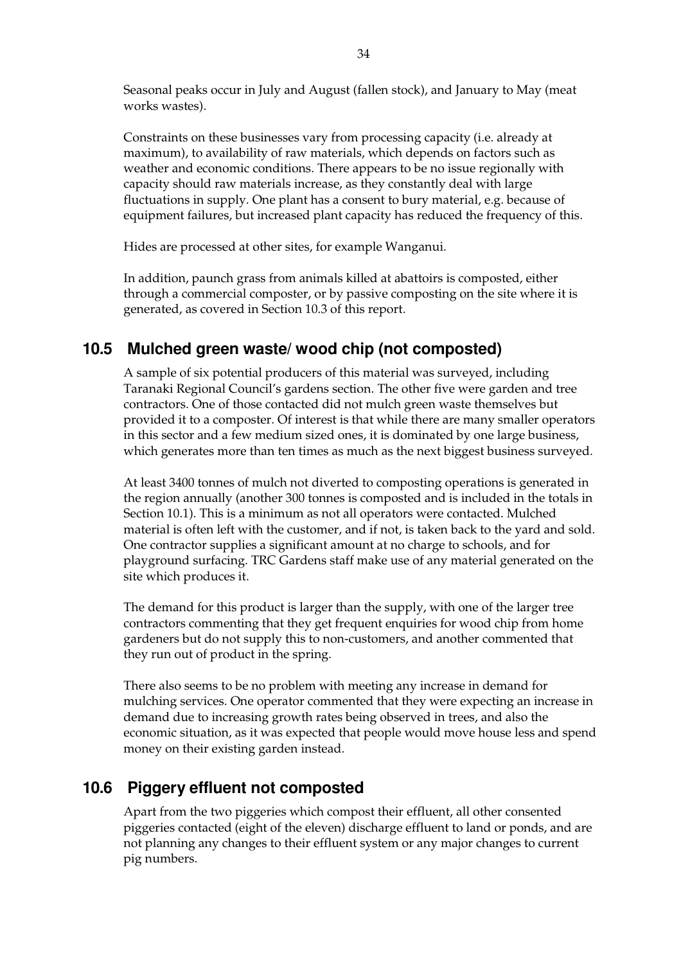Seasonal peaks occur in July and August (fallen stock), and January to May (meat works wastes).

Constraints on these businesses vary from processing capacity (i.e. already at maximum), to availability of raw materials, which depends on factors such as weather and economic conditions. There appears to be no issue regionally with capacity should raw materials increase, as they constantly deal with large fluctuations in supply. One plant has a consent to bury material, e.g. because of equipment failures, but increased plant capacity has reduced the frequency of this.

Hides are processed at other sites, for example Wanganui.

In addition, paunch grass from animals killed at abattoirs is composted, either through a commercial composter, or by passive composting on the site where it is generated, as covered in Section 10.3 of this report.

## **10.5 Mulched green waste/ wood chip (not composted)**

A sample of six potential producers of this material was surveyed, including Taranaki Regional Council's gardens section. The other five were garden and tree contractors. One of those contacted did not mulch green waste themselves but provided it to a composter. Of interest is that while there are many smaller operators in this sector and a few medium sized ones, it is dominated by one large business, which generates more than ten times as much as the next biggest business surveyed.

At least 3400 tonnes of mulch not diverted to composting operations is generated in the region annually (another 300 tonnes is composted and is included in the totals in Section 10.1). This is a minimum as not all operators were contacted. Mulched material is often left with the customer, and if not, is taken back to the yard and sold. One contractor supplies a significant amount at no charge to schools, and for playground surfacing. TRC Gardens staff make use of any material generated on the site which produces it.

The demand for this product is larger than the supply, with one of the larger tree contractors commenting that they get frequent enquiries for wood chip from home gardeners but do not supply this to non-customers, and another commented that they run out of product in the spring.

There also seems to be no problem with meeting any increase in demand for mulching services. One operator commented that they were expecting an increase in demand due to increasing growth rates being observed in trees, and also the economic situation, as it was expected that people would move house less and spend money on their existing garden instead.

# **10.6 Piggery effluent not composted**

Apart from the two piggeries which compost their effluent, all other consented piggeries contacted (eight of the eleven) discharge effluent to land or ponds, and are not planning any changes to their effluent system or any major changes to current pig numbers.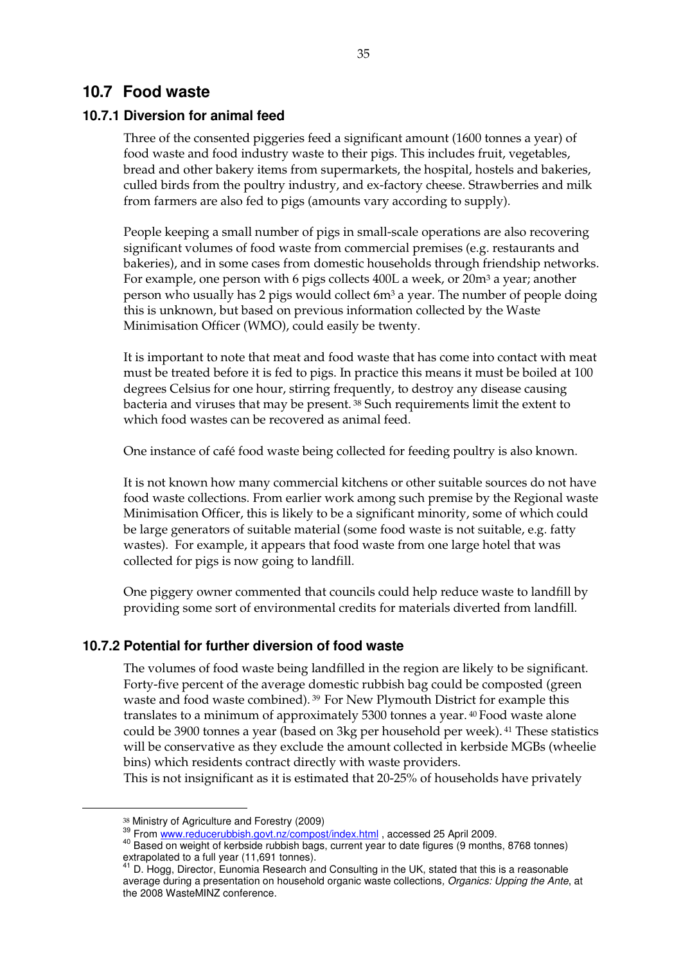### **10.7 Food waste**

### **10.7.1 Diversion for animal feed**

Three of the consented piggeries feed a significant amount (1600 tonnes a year) of food waste and food industry waste to their pigs. This includes fruit, vegetables, bread and other bakery items from supermarkets, the hospital, hostels and bakeries, culled birds from the poultry industry, and ex-factory cheese. Strawberries and milk from farmers are also fed to pigs (amounts vary according to supply).

People keeping a small number of pigs in small-scale operations are also recovering significant volumes of food waste from commercial premises (e.g. restaurants and bakeries), and in some cases from domestic households through friendship networks. For example, one person with 6 pigs collects 400L a week, or 20m3 a year; another person who usually has 2 pigs would collect 6m3 a year. The number of people doing this is unknown, but based on previous information collected by the Waste Minimisation Officer (WMO), could easily be twenty.

It is important to note that meat and food waste that has come into contact with meat must be treated before it is fed to pigs. In practice this means it must be boiled at 100 degrees Celsius for one hour, stirring frequently, to destroy any disease causing bacteria and viruses that may be present. 38 Such requirements limit the extent to which food wastes can be recovered as animal feed.

One instance of café food waste being collected for feeding poultry is also known.

It is not known how many commercial kitchens or other suitable sources do not have food waste collections. From earlier work among such premise by the Regional waste Minimisation Officer, this is likely to be a significant minority, some of which could be large generators of suitable material (some food waste is not suitable, e.g. fatty wastes). For example, it appears that food waste from one large hotel that was collected for pigs is now going to landfill.

One piggery owner commented that councils could help reduce waste to landfill by providing some sort of environmental credits for materials diverted from landfill.

#### **10.7.2 Potential for further diversion of food waste**

The volumes of food waste being landfilled in the region are likely to be significant. Forty-five percent of the average domestic rubbish bag could be composted (green waste and food waste combined). 39 For New Plymouth District for example this translates to a minimum of approximately 5300 tonnes a year. 40 Food waste alone could be 3900 tonnes a year (based on 3kg per household per week). 41 These statistics will be conservative as they exclude the amount collected in kerbside MGBs (wheelie bins) which residents contract directly with waste providers.

This is not insignificant as it is estimated that 20-25% of households have privately

<sup>&</sup>lt;sup>38</sup> Ministry of Agriculture and Forestry (2009)<br><sup>39</sup> From www.reducerubbish.govt.nz/compost/index.html , accessed 25 April 2009.<br><sup>40</sup> Based on weight of kerbside rubbish bags, current year to date figures (9 months, 8768 extrapolated to a full year (11,691 tonnes).

<sup>&</sup>lt;sup>41</sup> D. Hogg, Director, Eunomia Research and Consulting in the UK, stated that this is a reasonable average during a presentation on household organic waste collections*, Organics: Upping the Ante*, at the 2008 WasteMINZ conference.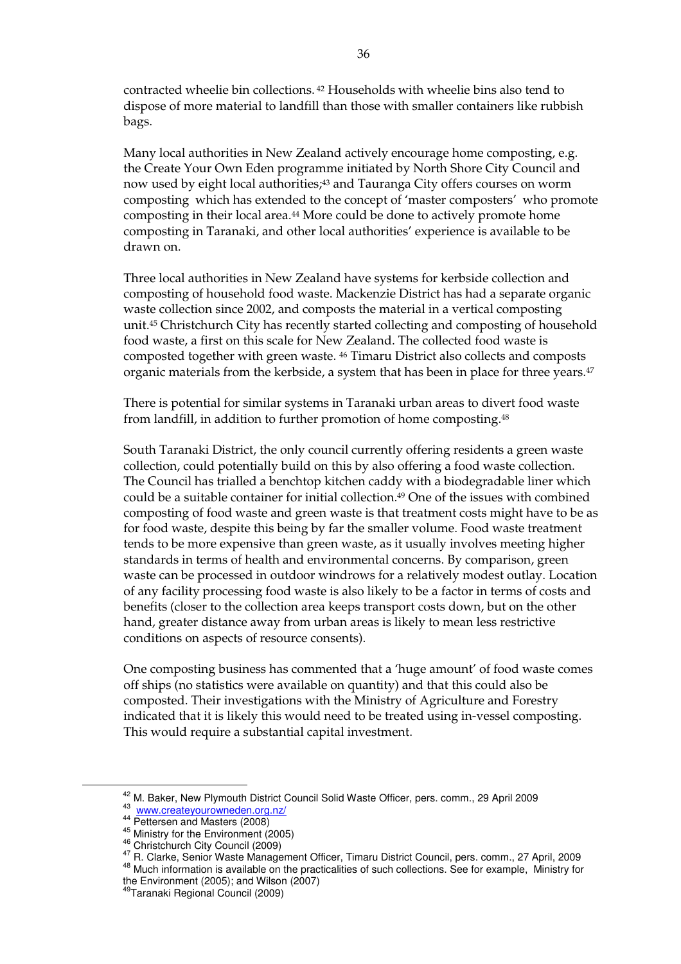contracted wheelie bin collections. 42 Households with wheelie bins also tend to dispose of more material to landfill than those with smaller containers like rubbish bags.

Many local authorities in New Zealand actively encourage home composting, e.g. the Create Your Own Eden programme initiated by North Shore City Council and now used by eight local authorities;<sup>43</sup> and Tauranga City offers courses on worm composting which has extended to the concept of 'master composters' who promote composting in their local area.44 More could be done to actively promote home composting in Taranaki, and other local authorities' experience is available to be drawn on.

Three local authorities in New Zealand have systems for kerbside collection and composting of household food waste. Mackenzie District has had a separate organic waste collection since 2002, and composts the material in a vertical composting unit.45 Christchurch City has recently started collecting and composting of household food waste, a first on this scale for New Zealand. The collected food waste is composted together with green waste. 46 Timaru District also collects and composts organic materials from the kerbside, a system that has been in place for three years.<sup>47</sup>

There is potential for similar systems in Taranaki urban areas to divert food waste from landfill, in addition to further promotion of home composting.48

South Taranaki District, the only council currently offering residents a green waste collection, could potentially build on this by also offering a food waste collection. The Council has trialled a benchtop kitchen caddy with a biodegradable liner which could be a suitable container for initial collection.49 One of the issues with combined composting of food waste and green waste is that treatment costs might have to be as for food waste, despite this being by far the smaller volume. Food waste treatment tends to be more expensive than green waste, as it usually involves meeting higher standards in terms of health and environmental concerns. By comparison, green waste can be processed in outdoor windrows for a relatively modest outlay. Location of any facility processing food waste is also likely to be a factor in terms of costs and benefits (closer to the collection area keeps transport costs down, but on the other hand, greater distance away from urban areas is likely to mean less restrictive conditions on aspects of resource consents).

One composting business has commented that a 'huge amount' of food waste comes off ships (no statistics were available on quantity) and that this could also be composted. Their investigations with the Ministry of Agriculture and Forestry indicated that it is likely this would need to be treated using in-vessel composting. This would require a substantial capital investment.

<sup>&</sup>lt;sup>42</sup> M. Baker, New Plymouth District Council Solid Waste Officer, pers. comm., 29 April 2009<br><sup>43</sup> <u>www.createyourowneden.org.nz/</u><br><sup>44</sup> Pettersen and Masters (2008)<br><sup>45</sup> Christchurch City Council (2009)<br><sup>45</sup> R. Clarke, Sen the Environment (2005); and Wilson (2007)

<sup>49</sup>Taranaki Regional Council (2009)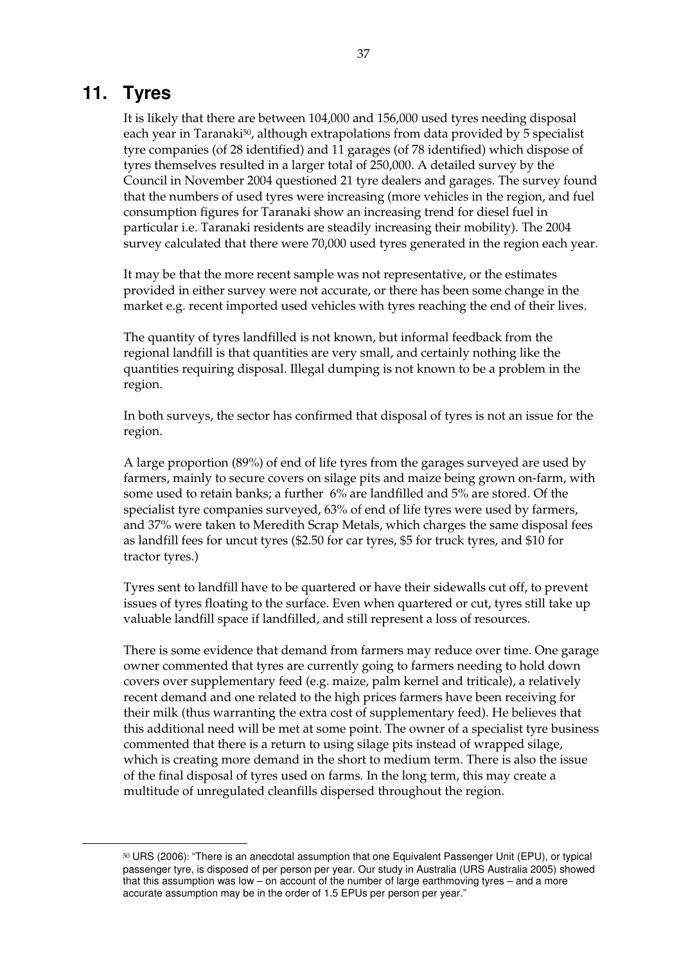# **11. Tyres**

It is likely that there are between 104,000 and 156,000 used tyres needing disposal each year in Taranaki50, although extrapolations from data provided by 5 specialist tyre companies (of 28 identified) and 11 garages (of 78 identified) which dispose of tyres themselves resulted in a larger total of 250,000. A detailed survey by the Council in November 2004 questioned 21 tyre dealers and garages. The survey found that the numbers of used tyres were increasing (more vehicles in the region, and fuel consumption figures for Taranaki show an increasing trend for diesel fuel in particular i.e. Taranaki residents are steadily increasing their mobility). The 2004 survey calculated that there were 70,000 used tyres generated in the region each year.

It may be that the more recent sample was not representative, or the estimates provided in either survey were not accurate, or there has been some change in the market e.g. recent imported used vehicles with tyres reaching the end of their lives.

The quantity of tyres landfilled is not known, but informal feedback from the regional landfill is that quantities are very small, and certainly nothing like the quantities requiring disposal. Illegal dumping is not known to be a problem in the region.

In both surveys, the sector has confirmed that disposal of tyres is not an issue for the region.

A large proportion (89%) of end of life tyres from the garages surveyed are used by farmers, mainly to secure covers on silage pits and maize being grown on-farm, with some used to retain banks; a further 6% are landfilled and 5% are stored. Of the specialist tyre companies surveyed, 63% of end of life tyres were used by farmers, and 37% were taken to Meredith Scrap Metals, which charges the same disposal fees as landfill fees for uncut tyres (\$2.50 for car tyres, \$5 for truck tyres, and \$10 for tractor tyres.)

Tyres sent to landfill have to be quartered or have their sidewalls cut off, to prevent issues of tyres floating to the surface. Even when quartered or cut, tyres still take up valuable landfill space if landfilled, and still represent a loss of resources.

There is some evidence that demand from farmers may reduce over time. One garage owner commented that tyres are currently going to farmers needing to hold down covers over supplementary feed (e.g. maize, palm kernel and triticale), a relatively recent demand and one related to the high prices farmers have been receiving for their milk (thus warranting the extra cost of supplementary feed). He believes that this additional need will be met at some point. The owner of a specialist tyre business commented that there is a return to using silage pits instead of wrapped silage, which is creating more demand in the short to medium term. There is also the issue of the final disposal of tyres used on farms. In the long term, this may create a multitude of unregulated cleanfills dispersed throughout the region.

 <sup>50</sup> URS (2006): "There is an anecdotal assumption that one Equivalent Passenger Unit (EPU), or typical passenger tyre, is disposed of per person per year. Our study in Australia (URS Australia 2005) showed that this assumption was low – on account of the number of large earthmoving tyres – and a more accurate assumption may be in the order of 1.5 EPUs per person per year."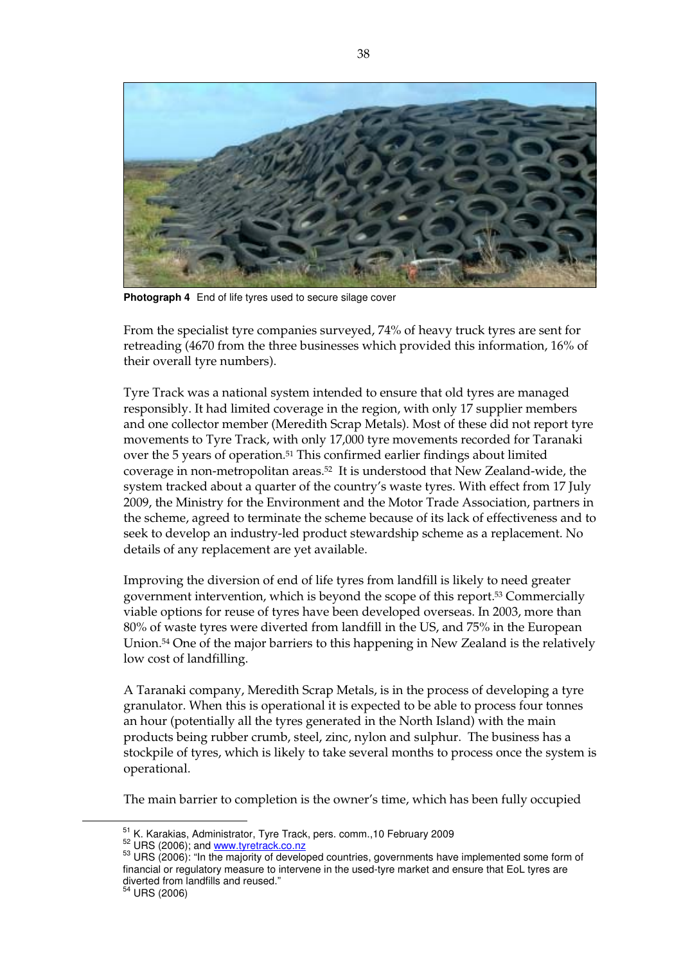

**Photograph 4** End of life tyres used to secure silage cover

From the specialist tyre companies surveyed, 74% of heavy truck tyres are sent for retreading (4670 from the three businesses which provided this information, 16% of their overall tyre numbers).

Tyre Track was a national system intended to ensure that old tyres are managed responsibly. It had limited coverage in the region, with only 17 supplier members and one collector member (Meredith Scrap Metals). Most of these did not report tyre movements to Tyre Track, with only 17,000 tyre movements recorded for Taranaki over the 5 years of operation.51 This confirmed earlier findings about limited coverage in non-metropolitan areas.52 It is understood that New Zealand-wide, the system tracked about a quarter of the country's waste tyres. With effect from 17 July 2009, the Ministry for the Environment and the Motor Trade Association, partners in the scheme, agreed to terminate the scheme because of its lack of effectiveness and to seek to develop an industry-led product stewardship scheme as a replacement. No details of any replacement are yet available.

Improving the diversion of end of life tyres from landfill is likely to need greater government intervention, which is beyond the scope of this report.53 Commercially viable options for reuse of tyres have been developed overseas. In 2003, more than 80% of waste tyres were diverted from landfill in the US, and 75% in the European Union.54 One of the major barriers to this happening in New Zealand is the relatively low cost of landfilling.

A Taranaki company, Meredith Scrap Metals, is in the process of developing a tyre granulator. When this is operational it is expected to be able to process four tonnes an hour (potentially all the tyres generated in the North Island) with the main products being rubber crumb, steel, zinc, nylon and sulphur. The business has a stockpile of tyres, which is likely to take several months to process once the system is operational.

The main barrier to completion is the owner's time, which has been fully occupied

```
<sup>54</sup> URS (2006)
```
<sup>&</sup>lt;sup>51</sup> K. Karakias, Administrator, Tyre Track, pers. comm.,10 February 2009<br><sup>52</sup> URS (2006); and www.tyretrack.co.nz<br><sup>53</sup> URS (2006): "In the majority of developed countries, governments have implemented some form of financial or regulatory measure to intervene in the used-tyre market and ensure that EoL tyres are diverted from landfills and reused."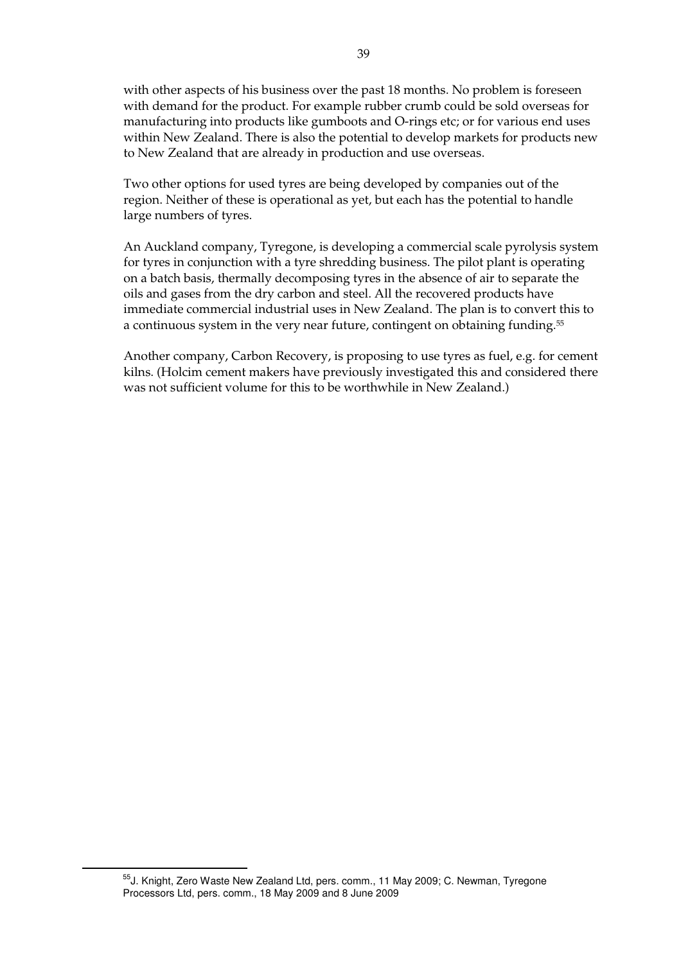with other aspects of his business over the past 18 months. No problem is foreseen with demand for the product. For example rubber crumb could be sold overseas for manufacturing into products like gumboots and O-rings etc; or for various end uses within New Zealand. There is also the potential to develop markets for products new to New Zealand that are already in production and use overseas.

Two other options for used tyres are being developed by companies out of the region. Neither of these is operational as yet, but each has the potential to handle large numbers of tyres.

An Auckland company, Tyregone, is developing a commercial scale pyrolysis system for tyres in conjunction with a tyre shredding business. The pilot plant is operating on a batch basis, thermally decomposing tyres in the absence of air to separate the oils and gases from the dry carbon and steel. All the recovered products have immediate commercial industrial uses in New Zealand. The plan is to convert this to a continuous system in the very near future, contingent on obtaining funding.<sup>55</sup>

Another company, Carbon Recovery, is proposing to use tyres as fuel, e.g. for cement kilns. (Holcim cement makers have previously investigated this and considered there was not sufficient volume for this to be worthwhile in New Zealand.)

<sup>&</sup>lt;sup>55</sup>J. Knight, Zero Waste New Zealand Ltd, pers. comm., 11 May 2009; C. Newman, Tyregone Processors Ltd, pers. comm., 18 May 2009 and 8 June 2009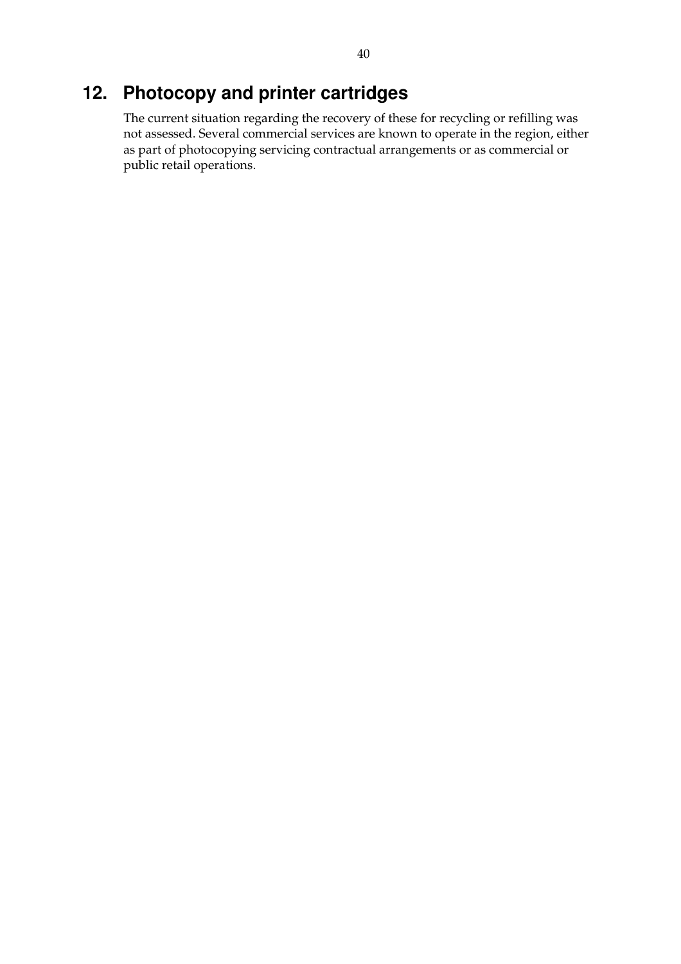# **12. Photocopy and printer cartridges**

The current situation regarding the recovery of these for recycling or refilling was not assessed. Several commercial services are known to operate in the region, either as part of photocopying servicing contractual arrangements or as commercial or public retail operations.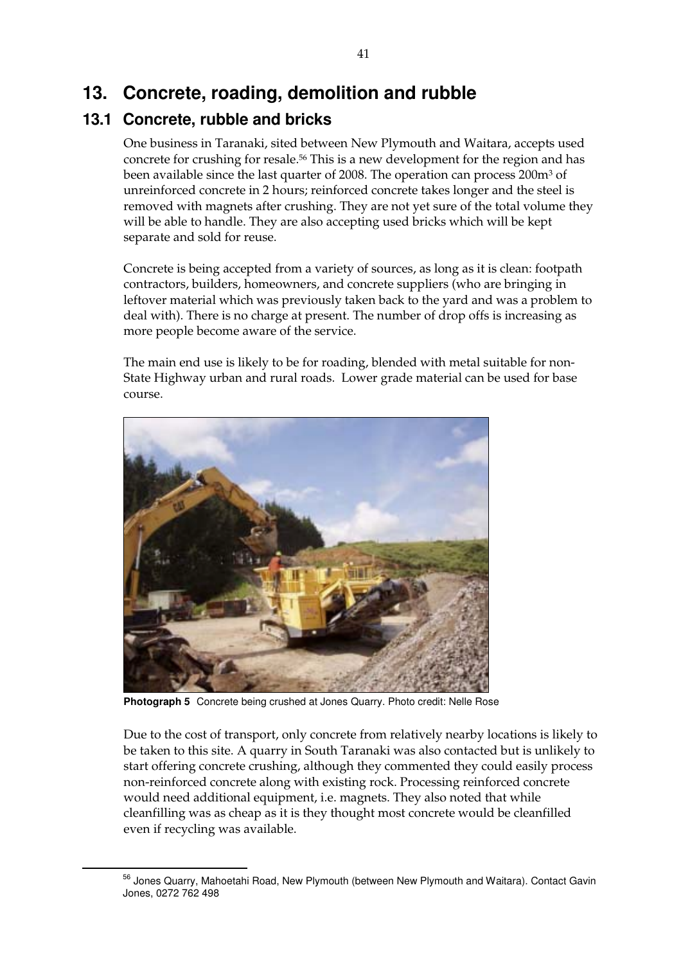# **13. Concrete, roading, demolition and rubble**

# **13.1 Concrete, rubble and bricks**

One business in Taranaki, sited between New Plymouth and Waitara, accepts used concrete for crushing for resale.56 This is a new development for the region and has been available since the last quarter of 2008. The operation can process 200m3 of unreinforced concrete in 2 hours; reinforced concrete takes longer and the steel is removed with magnets after crushing. They are not yet sure of the total volume they will be able to handle. They are also accepting used bricks which will be kept separate and sold for reuse.

Concrete is being accepted from a variety of sources, as long as it is clean: footpath contractors, builders, homeowners, and concrete suppliers (who are bringing in leftover material which was previously taken back to the yard and was a problem to deal with). There is no charge at present. The number of drop offs is increasing as more people become aware of the service.

The main end use is likely to be for roading, blended with metal suitable for non-State Highway urban and rural roads. Lower grade material can be used for base course.



**Photograph 5** Concrete being crushed at Jones Quarry. Photo credit: Nelle Rose

Due to the cost of transport, only concrete from relatively nearby locations is likely to be taken to this site. A quarry in South Taranaki was also contacted but is unlikely to start offering concrete crushing, although they commented they could easily process non-reinforced concrete along with existing rock. Processing reinforced concrete would need additional equipment, i.e. magnets. They also noted that while cleanfilling was as cheap as it is they thought most concrete would be cleanfilled even if recycling was available.

56 Jones Quarry, Mahoetahi Road, New Plymouth (between New Plymouth and Waitara). Contact Gavin Jones, 0272 762 498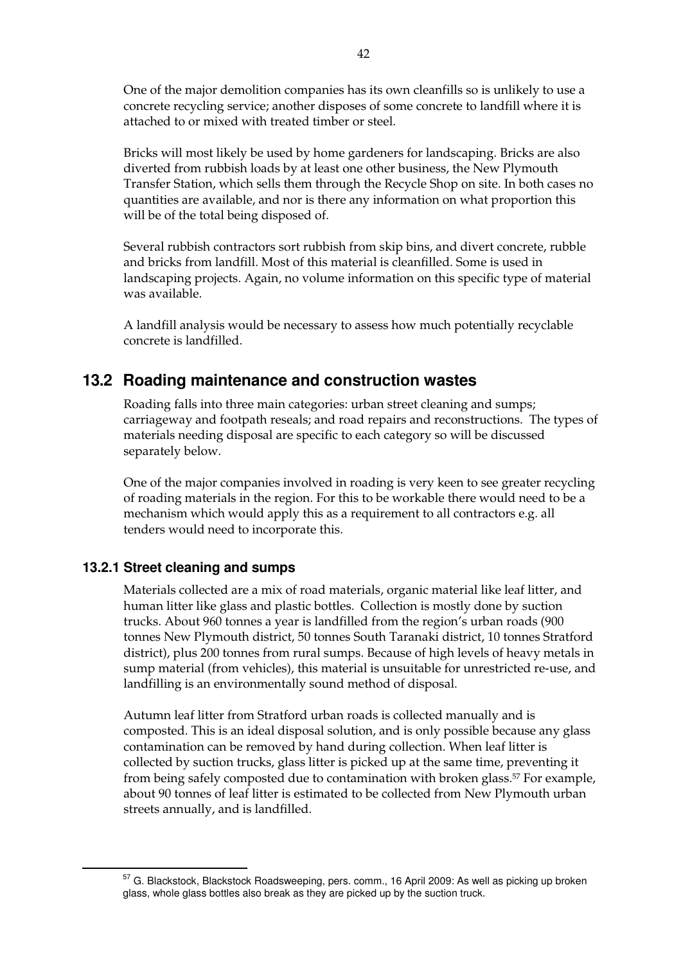One of the major demolition companies has its own cleanfills so is unlikely to use a concrete recycling service; another disposes of some concrete to landfill where it is attached to or mixed with treated timber or steel.

Bricks will most likely be used by home gardeners for landscaping. Bricks are also diverted from rubbish loads by at least one other business, the New Plymouth Transfer Station, which sells them through the Recycle Shop on site. In both cases no quantities are available, and nor is there any information on what proportion this will be of the total being disposed of.

Several rubbish contractors sort rubbish from skip bins, and divert concrete, rubble and bricks from landfill. Most of this material is cleanfilled. Some is used in landscaping projects. Again, no volume information on this specific type of material was available.

A landfill analysis would be necessary to assess how much potentially recyclable concrete is landfilled.

### **13.2 Roading maintenance and construction wastes**

Roading falls into three main categories: urban street cleaning and sumps; carriageway and footpath reseals; and road repairs and reconstructions. The types of materials needing disposal are specific to each category so will be discussed separately below.

One of the major companies involved in roading is very keen to see greater recycling of roading materials in the region. For this to be workable there would need to be a mechanism which would apply this as a requirement to all contractors e.g. all tenders would need to incorporate this.

#### **13.2.1 Street cleaning and sumps**

Materials collected are a mix of road materials, organic material like leaf litter, and human litter like glass and plastic bottles. Collection is mostly done by suction trucks. About 960 tonnes a year is landfilled from the region's urban roads (900 tonnes New Plymouth district, 50 tonnes South Taranaki district, 10 tonnes Stratford district), plus 200 tonnes from rural sumps. Because of high levels of heavy metals in sump material (from vehicles), this material is unsuitable for unrestricted re-use, and landfilling is an environmentally sound method of disposal.

Autumn leaf litter from Stratford urban roads is collected manually and is composted. This is an ideal disposal solution, and is only possible because any glass contamination can be removed by hand during collection. When leaf litter is collected by suction trucks, glass litter is picked up at the same time, preventing it from being safely composted due to contamination with broken glass.57 For example, about 90 tonnes of leaf litter is estimated to be collected from New Plymouth urban streets annually, and is landfilled.

57 G. Blackstock, Blackstock Roadsweeping, pers. comm., 16 April 2009: As well as picking up broken glass, whole glass bottles also break as they are picked up by the suction truck.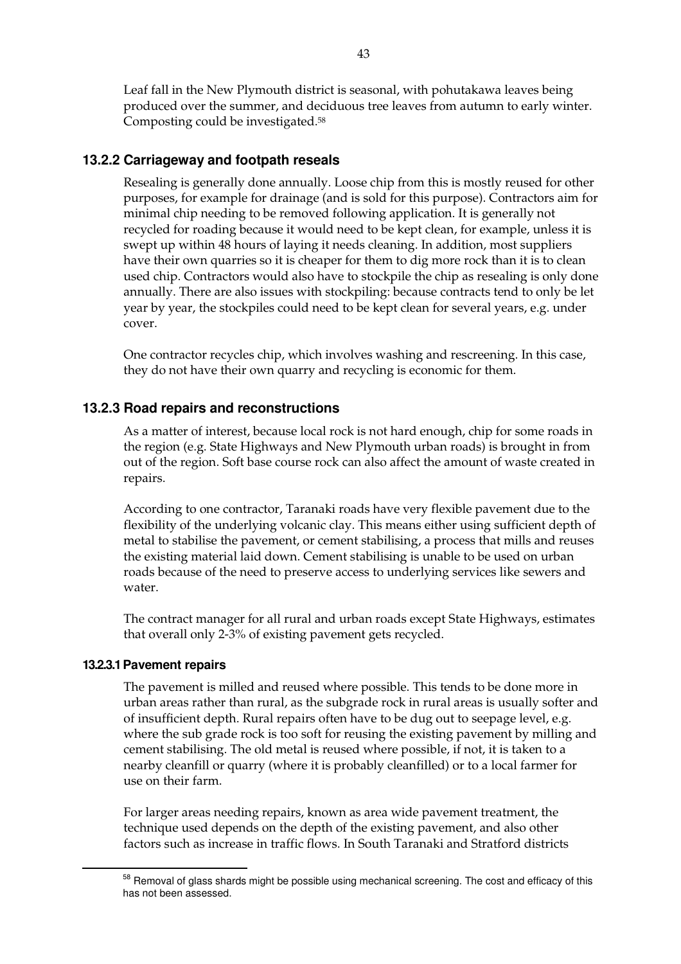Leaf fall in the New Plymouth district is seasonal, with pohutakawa leaves being produced over the summer, and deciduous tree leaves from autumn to early winter. Composting could be investigated.58

### **13.2.2 Carriageway and footpath reseals**

Resealing is generally done annually. Loose chip from this is mostly reused for other purposes, for example for drainage (and is sold for this purpose). Contractors aim for minimal chip needing to be removed following application. It is generally not recycled for roading because it would need to be kept clean, for example, unless it is swept up within 48 hours of laying it needs cleaning. In addition, most suppliers have their own quarries so it is cheaper for them to dig more rock than it is to clean used chip. Contractors would also have to stockpile the chip as resealing is only done annually. There are also issues with stockpiling: because contracts tend to only be let year by year, the stockpiles could need to be kept clean for several years, e.g. under cover.

One contractor recycles chip, which involves washing and rescreening. In this case, they do not have their own quarry and recycling is economic for them.

#### **13.2.3 Road repairs and reconstructions**

As a matter of interest, because local rock is not hard enough, chip for some roads in the region (e.g. State Highways and New Plymouth urban roads) is brought in from out of the region. Soft base course rock can also affect the amount of waste created in repairs.

According to one contractor, Taranaki roads have very flexible pavement due to the flexibility of the underlying volcanic clay. This means either using sufficient depth of metal to stabilise the pavement, or cement stabilising, a process that mills and reuses the existing material laid down. Cement stabilising is unable to be used on urban roads because of the need to preserve access to underlying services like sewers and water.

The contract manager for all rural and urban roads except State Highways, estimates that overall only 2-3% of existing pavement gets recycled.

#### **13.2.3.1 Pavement repairs**

The pavement is milled and reused where possible. This tends to be done more in urban areas rather than rural, as the subgrade rock in rural areas is usually softer and of insufficient depth. Rural repairs often have to be dug out to seepage level, e.g. where the sub grade rock is too soft for reusing the existing pavement by milling and cement stabilising. The old metal is reused where possible, if not, it is taken to a nearby cleanfill or quarry (where it is probably cleanfilled) or to a local farmer for use on their farm.

For larger areas needing repairs, known as area wide pavement treatment, the technique used depends on the depth of the existing pavement, and also other factors such as increase in traffic flows. In South Taranaki and Stratford districts

<sup>58</sup> Removal of glass shards might be possible using mechanical screening. The cost and efficacy of this has not been assessed.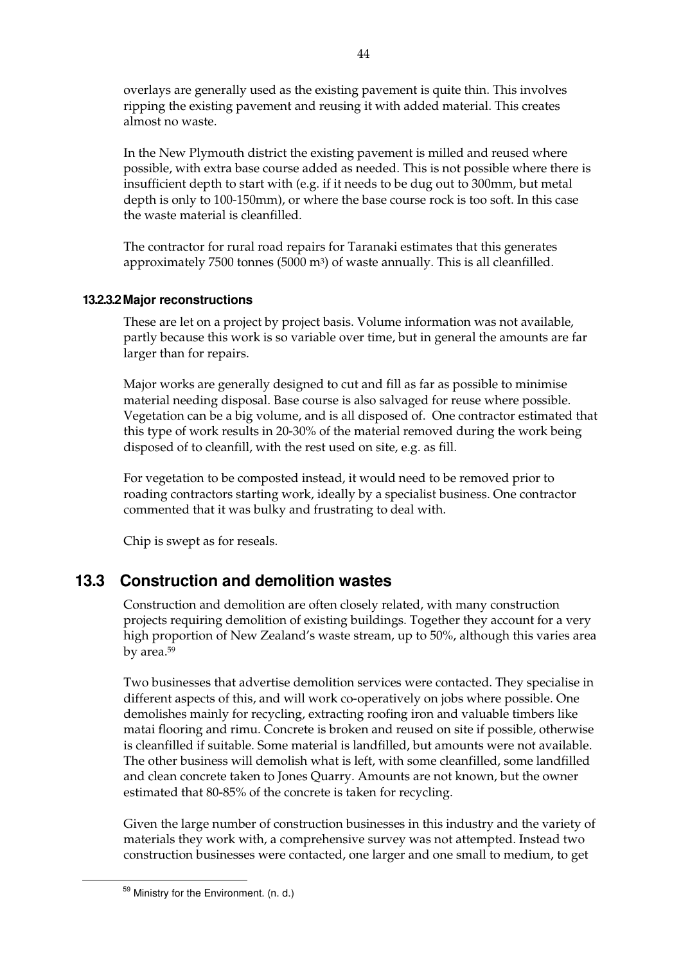overlays are generally used as the existing pavement is quite thin. This involves ripping the existing pavement and reusing it with added material. This creates almost no waste.

In the New Plymouth district the existing pavement is milled and reused where possible, with extra base course added as needed. This is not possible where there is insufficient depth to start with (e.g. if it needs to be dug out to 300mm, but metal depth is only to 100-150mm), or where the base course rock is too soft. In this case the waste material is cleanfilled.

The contractor for rural road repairs for Taranaki estimates that this generates approximately 7500 tonnes (5000 m3) of waste annually. This is all cleanfilled.

#### **13.2.3.2 Major reconstructions**

These are let on a project by project basis. Volume information was not available, partly because this work is so variable over time, but in general the amounts are far larger than for repairs.

Major works are generally designed to cut and fill as far as possible to minimise material needing disposal. Base course is also salvaged for reuse where possible. Vegetation can be a big volume, and is all disposed of. One contractor estimated that this type of work results in 20-30% of the material removed during the work being disposed of to cleanfill, with the rest used on site, e.g. as fill.

For vegetation to be composted instead, it would need to be removed prior to roading contractors starting work, ideally by a specialist business. One contractor commented that it was bulky and frustrating to deal with.

Chip is swept as for reseals.

## **13.3 Construction and demolition wastes**

Construction and demolition are often closely related, with many construction projects requiring demolition of existing buildings. Together they account for a very high proportion of New Zealand's waste stream, up to 50%, although this varies area by area.59

Two businesses that advertise demolition services were contacted. They specialise in different aspects of this, and will work co-operatively on jobs where possible. One demolishes mainly for recycling, extracting roofing iron and valuable timbers like matai flooring and rimu. Concrete is broken and reused on site if possible, otherwise is cleanfilled if suitable. Some material is landfilled, but amounts were not available. The other business will demolish what is left, with some cleanfilled, some landfilled and clean concrete taken to Jones Quarry. Amounts are not known, but the owner estimated that 80-85% of the concrete is taken for recycling.

Given the large number of construction businesses in this industry and the variety of materials they work with, a comprehensive survey was not attempted. Instead two construction businesses were contacted, one larger and one small to medium, to get

<sup>59</sup> Ministry for the Environment. (n. d.)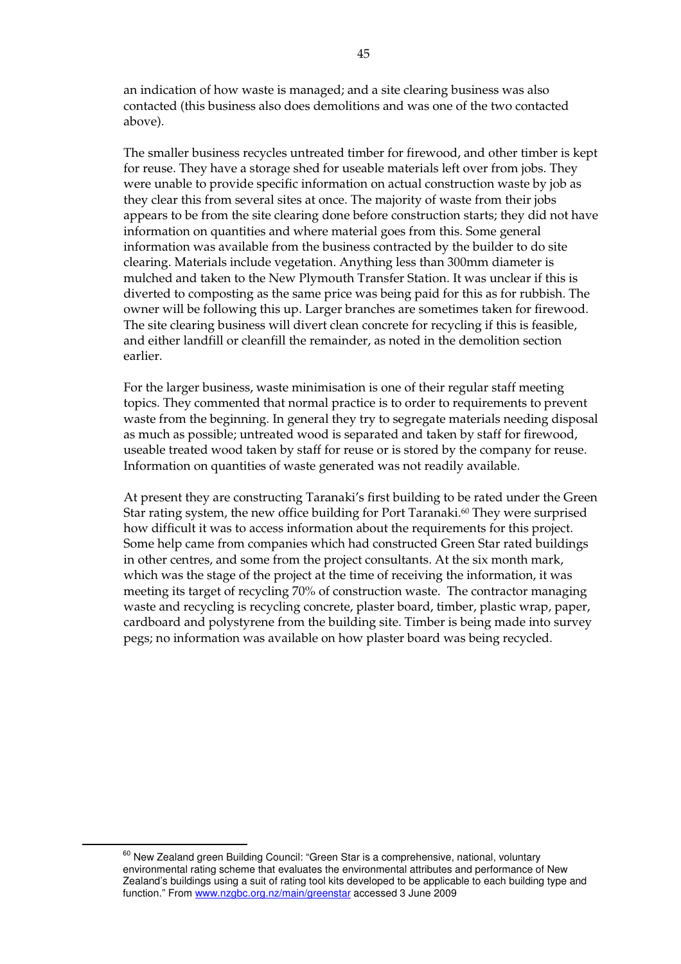an indication of how waste is managed; and a site clearing business was also contacted (this business also does demolitions and was one of the two contacted above).

The smaller business recycles untreated timber for firewood, and other timber is kept for reuse. They have a storage shed for useable materials left over from jobs. They were unable to provide specific information on actual construction waste by job as they clear this from several sites at once. The majority of waste from their jobs appears to be from the site clearing done before construction starts; they did not have information on quantities and where material goes from this. Some general information was available from the business contracted by the builder to do site clearing. Materials include vegetation. Anything less than 300mm diameter is mulched and taken to the New Plymouth Transfer Station. It was unclear if this is diverted to composting as the same price was being paid for this as for rubbish. The owner will be following this up. Larger branches are sometimes taken for firewood. The site clearing business will divert clean concrete for recycling if this is feasible, and either landfill or cleanfill the remainder, as noted in the demolition section earlier.

For the larger business, waste minimisation is one of their regular staff meeting topics. They commented that normal practice is to order to requirements to prevent waste from the beginning. In general they try to segregate materials needing disposal as much as possible; untreated wood is separated and taken by staff for firewood, useable treated wood taken by staff for reuse or is stored by the company for reuse. Information on quantities of waste generated was not readily available.

At present they are constructing Taranaki's first building to be rated under the Green Star rating system, the new office building for Port Taranaki.<sup>60</sup> They were surprised how difficult it was to access information about the requirements for this project. Some help came from companies which had constructed Green Star rated buildings in other centres, and some from the project consultants. At the six month mark, which was the stage of the project at the time of receiving the information, it was meeting its target of recycling 70% of construction waste. The contractor managing waste and recycling is recycling concrete, plaster board, timber, plastic wrap, paper, cardboard and polystyrene from the building site. Timber is being made into survey pegs; no information was available on how plaster board was being recycled.

<sup>&</sup>lt;sup>60</sup> New Zealand green Building Council: "Green Star is a comprehensive, national, voluntary environmental rating scheme that evaluates the environmental attributes and performance of New Zealand's buildings using a suit of rating tool kits developed to be applicable to each building type and function." From www.nzgbc.org.nz/main/greenstar accessed 3 June 2009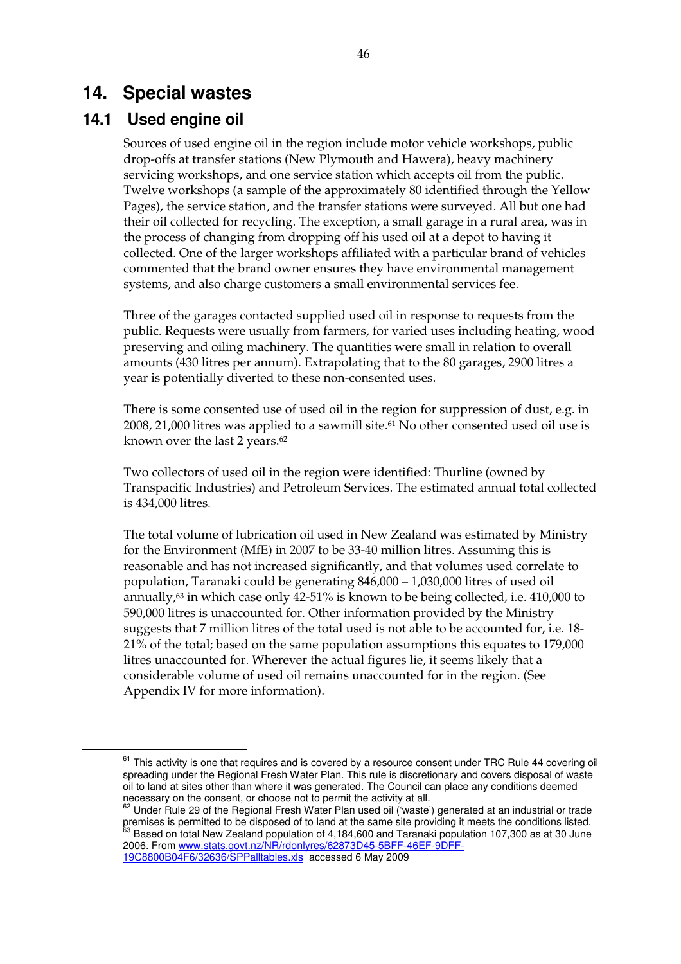# **14. Special wastes**

## **14.1 Used engine oil**

Sources of used engine oil in the region include motor vehicle workshops, public drop-offs at transfer stations (New Plymouth and Hawera), heavy machinery servicing workshops, and one service station which accepts oil from the public. Twelve workshops (a sample of the approximately 80 identified through the Yellow Pages), the service station, and the transfer stations were surveyed. All but one had their oil collected for recycling. The exception, a small garage in a rural area, was in the process of changing from dropping off his used oil at a depot to having it collected. One of the larger workshops affiliated with a particular brand of vehicles commented that the brand owner ensures they have environmental management systems, and also charge customers a small environmental services fee.

Three of the garages contacted supplied used oil in response to requests from the public. Requests were usually from farmers, for varied uses including heating, wood preserving and oiling machinery. The quantities were small in relation to overall amounts (430 litres per annum). Extrapolating that to the 80 garages, 2900 litres a year is potentially diverted to these non-consented uses.

There is some consented use of used oil in the region for suppression of dust, e.g. in 2008, 21,000 litres was applied to a sawmill site.61 No other consented used oil use is known over the last 2 years.<sup>62</sup>

Two collectors of used oil in the region were identified: Thurline (owned by Transpacific Industries) and Petroleum Services. The estimated annual total collected is 434,000 litres.

The total volume of lubrication oil used in New Zealand was estimated by Ministry for the Environment (MfE) in 2007 to be 33-40 million litres. Assuming this is reasonable and has not increased significantly, and that volumes used correlate to population, Taranaki could be generating 846,000 – 1,030,000 litres of used oil annually, $63$  in which case only 42-51% is known to be being collected, i.e. 410,000 to 590,000 litres is unaccounted for. Other information provided by the Ministry suggests that 7 million litres of the total used is not able to be accounted for, i.e. 18- 21% of the total; based on the same population assumptions this equates to 179,000 litres unaccounted for. Wherever the actual figures lie, it seems likely that a considerable volume of used oil remains unaccounted for in the region. (See Appendix IV for more information).

19C8800B04F6/32636/SPPalltables.xls accessed 6 May 2009

 $61$  This activity is one that requires and is covered by a resource consent under TRC Rule 44 covering oil spreading under the Regional Fresh Water Plan. This rule is discretionary and covers disposal of waste oil to land at sites other than where it was generated. The Council can place any conditions deemed necessary on the consent, or choose not to permit the activity at all.

 $62$  Under Rule 29 of the Regional Fresh Water Plan used oil ('waste') generated at an industrial or trade premises is permitted to be disposed of to land at the same site providing it meets the conditions listed. <sup>63</sup> Based on total New Zealand population of 4,184,600 and Taranaki population 107,300 as at 30 June 2006. From www.stats.govt.nz/NR/rdonlyres/62873D45-5BFF-46EF-9DFF-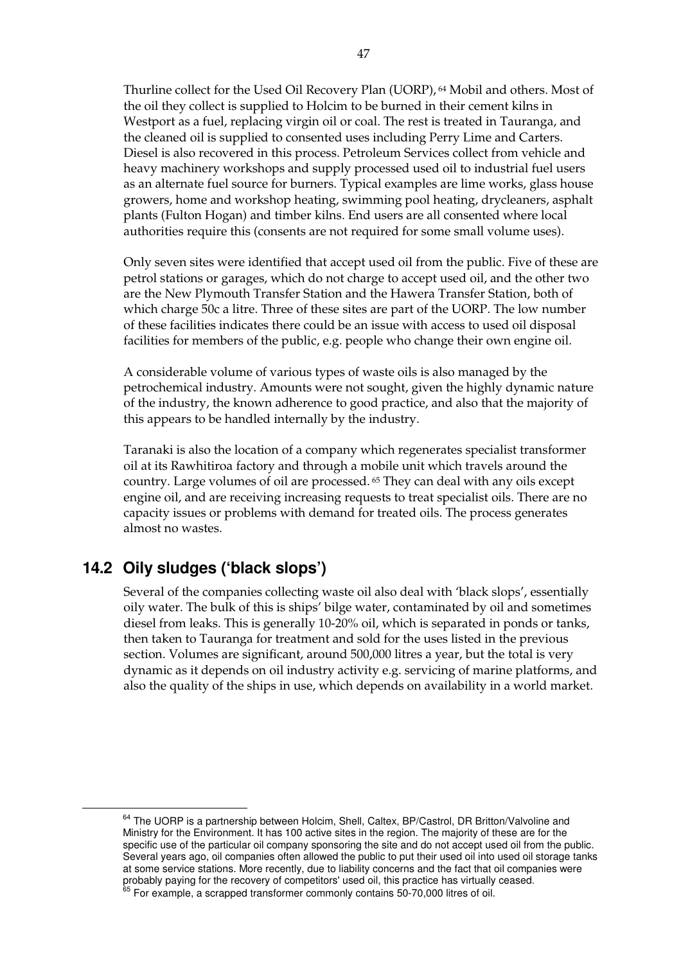Thurline collect for the Used Oil Recovery Plan (UORP), 64 Mobil and others. Most of the oil they collect is supplied to Holcim to be burned in their cement kilns in Westport as a fuel, replacing virgin oil or coal. The rest is treated in Tauranga, and the cleaned oil is supplied to consented uses including Perry Lime and Carters. Diesel is also recovered in this process. Petroleum Services collect from vehicle and heavy machinery workshops and supply processed used oil to industrial fuel users as an alternate fuel source for burners. Typical examples are lime works, glass house growers, home and workshop heating, swimming pool heating, drycleaners, asphalt plants (Fulton Hogan) and timber kilns. End users are all consented where local authorities require this (consents are not required for some small volume uses).

Only seven sites were identified that accept used oil from the public. Five of these are petrol stations or garages, which do not charge to accept used oil, and the other two are the New Plymouth Transfer Station and the Hawera Transfer Station, both of which charge 50c a litre. Three of these sites are part of the UORP. The low number of these facilities indicates there could be an issue with access to used oil disposal facilities for members of the public, e.g. people who change their own engine oil.

A considerable volume of various types of waste oils is also managed by the petrochemical industry. Amounts were not sought, given the highly dynamic nature of the industry, the known adherence to good practice, and also that the majority of this appears to be handled internally by the industry.

Taranaki is also the location of a company which regenerates specialist transformer oil at its Rawhitiroa factory and through a mobile unit which travels around the country. Large volumes of oil are processed. 65 They can deal with any oils except engine oil, and are receiving increasing requests to treat specialist oils. There are no capacity issues or problems with demand for treated oils. The process generates almost no wastes.

# **14.2 Oily sludges ('black slops')**

Several of the companies collecting waste oil also deal with 'black slops', essentially oily water. The bulk of this is ships' bilge water, contaminated by oil and sometimes diesel from leaks. This is generally 10-20% oil, which is separated in ponds or tanks, then taken to Tauranga for treatment and sold for the uses listed in the previous section. Volumes are significant, around 500,000 litres a year, but the total is very dynamic as it depends on oil industry activity e.g. servicing of marine platforms, and also the quality of the ships in use, which depends on availability in a world market.

<sup>&</sup>lt;sup>64</sup> The UORP is a partnership between Holcim, Shell, Caltex, BP/Castrol, DR Britton/Valvoline and Ministry for the Environment. It has 100 active sites in the region. The majority of these are for the specific use of the particular oil company sponsoring the site and do not accept used oil from the public. Several years ago, oil companies often allowed the public to put their used oil into used oil storage tanks at some service stations. More recently, due to liability concerns and the fact that oil companies were probably paying for the recovery of competitors' used oil, this practice has virtually ceased.<br><sup>65</sup> For example, a scrapped transformer commonly contains 50-70,000 litres of oil.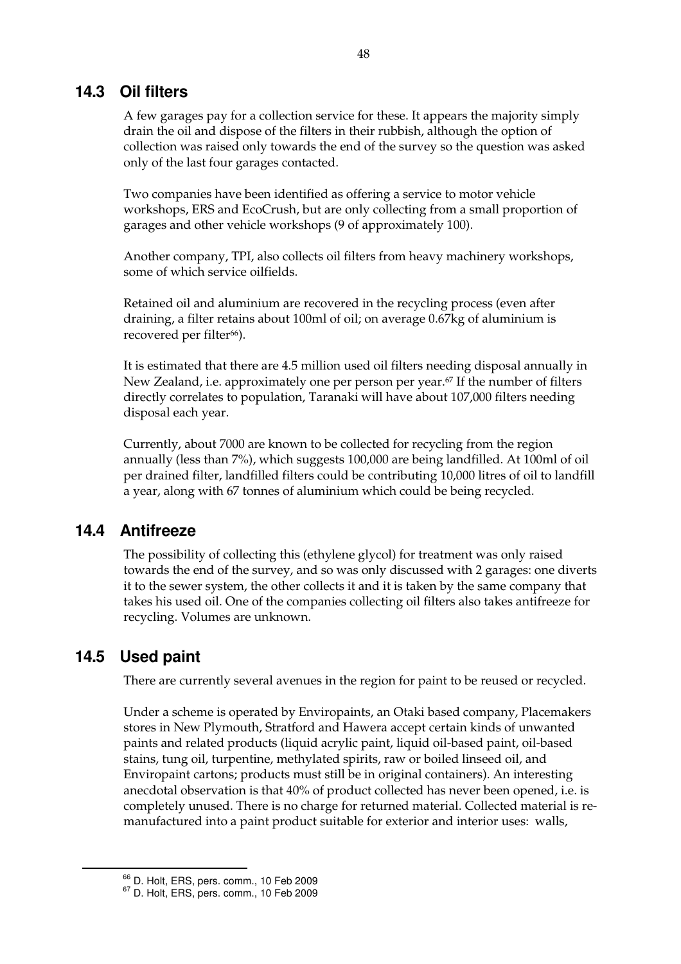## **14.3 Oil filters**

A few garages pay for a collection service for these. It appears the majority simply drain the oil and dispose of the filters in their rubbish, although the option of collection was raised only towards the end of the survey so the question was asked only of the last four garages contacted.

Two companies have been identified as offering a service to motor vehicle workshops, ERS and EcoCrush, but are only collecting from a small proportion of garages and other vehicle workshops (9 of approximately 100).

Another company, TPI, also collects oil filters from heavy machinery workshops, some of which service oilfields.

Retained oil and aluminium are recovered in the recycling process (even after draining, a filter retains about 100ml of oil; on average 0.67kg of aluminium is recovered per filter<sup>66</sup>).

It is estimated that there are 4.5 million used oil filters needing disposal annually in New Zealand, i.e. approximately one per person per year.<sup>67</sup> If the number of filters directly correlates to population, Taranaki will have about 107,000 filters needing disposal each year.

Currently, about 7000 are known to be collected for recycling from the region annually (less than 7%), which suggests 100,000 are being landfilled. At 100ml of oil per drained filter, landfilled filters could be contributing 10,000 litres of oil to landfill a year, along with 67 tonnes of aluminium which could be being recycled.

## **14.4 Antifreeze**

The possibility of collecting this (ethylene glycol) for treatment was only raised towards the end of the survey, and so was only discussed with 2 garages: one diverts it to the sewer system, the other collects it and it is taken by the same company that takes his used oil. One of the companies collecting oil filters also takes antifreeze for recycling. Volumes are unknown.

# **14.5 Used paint**

There are currently several avenues in the region for paint to be reused or recycled.

Under a scheme is operated by Enviropaints, an Otaki based company, Placemakers stores in New Plymouth, Stratford and Hawera accept certain kinds of unwanted paints and related products (liquid acrylic paint, liquid oil-based paint, oil-based stains, tung oil, turpentine, methylated spirits, raw or boiled linseed oil, and Enviropaint cartons; products must still be in original containers). An interesting anecdotal observation is that 40% of product collected has never been opened, i.e. is completely unused. There is no charge for returned material. Collected material is remanufactured into a paint product suitable for exterior and interior uses: walls,

 $^{66}$  D. Holt, ERS, pers. comm., 10 Feb 2009<br> $^{67}$  D. Holt, ERS, pers. comm., 10 Feb 2009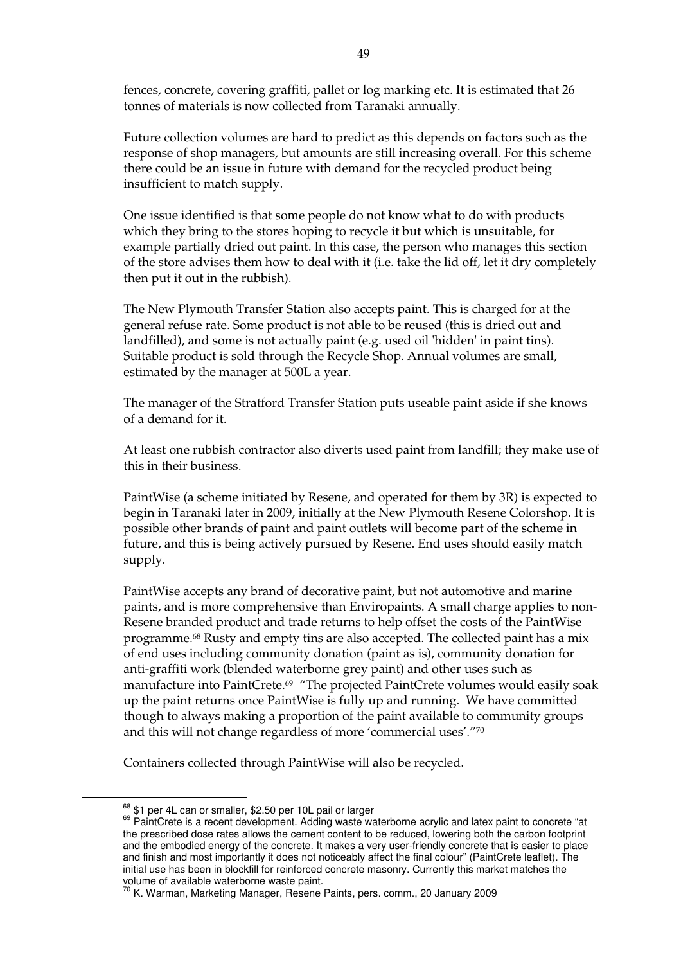fences, concrete, covering graffiti, pallet or log marking etc. It is estimated that 26 tonnes of materials is now collected from Taranaki annually.

Future collection volumes are hard to predict as this depends on factors such as the response of shop managers, but amounts are still increasing overall. For this scheme there could be an issue in future with demand for the recycled product being insufficient to match supply.

One issue identified is that some people do not know what to do with products which they bring to the stores hoping to recycle it but which is unsuitable, for example partially dried out paint. In this case, the person who manages this section of the store advises them how to deal with it (i.e. take the lid off, let it dry completely then put it out in the rubbish).

The New Plymouth Transfer Station also accepts paint. This is charged for at the general refuse rate. Some product is not able to be reused (this is dried out and landfilled), and some is not actually paint (e.g. used oil 'hidden' in paint tins). Suitable product is sold through the Recycle Shop. Annual volumes are small, estimated by the manager at 500L a year.

The manager of the Stratford Transfer Station puts useable paint aside if she knows of a demand for it.

At least one rubbish contractor also diverts used paint from landfill; they make use of this in their business.

PaintWise (a scheme initiated by Resene, and operated for them by 3R) is expected to begin in Taranaki later in 2009, initially at the New Plymouth Resene Colorshop. It is possible other brands of paint and paint outlets will become part of the scheme in future, and this is being actively pursued by Resene. End uses should easily match supply.

PaintWise accepts any brand of decorative paint, but not automotive and marine paints, and is more comprehensive than Enviropaints. A small charge applies to non-Resene branded product and trade returns to help offset the costs of the PaintWise programme.68 Rusty and empty tins are also accepted. The collected paint has a mix of end uses including community donation (paint as is), community donation for anti-graffiti work (blended waterborne grey paint) and other uses such as manufacture into PaintCrete.<sup>69</sup> "The projected PaintCrete volumes would easily soak up the paint returns once PaintWise is fully up and running. We have committed though to always making a proportion of the paint available to community groups and this will not change regardless of more 'commercial uses'."70

Containers collected through PaintWise will also be recycled.

 $68$  \$1 per 4L can or smaller, \$2.50 per 10L pail or larger<br> $69$  PaintCrete is a recent development. Adding waste waterborne acrylic and latex paint to concrete "at the prescribed dose rates allows the cement content to be reduced, lowering both the carbon footprint and the embodied energy of the concrete. It makes a very user-friendly concrete that is easier to place and finish and most importantly it does not noticeably affect the final colour" (PaintCrete leaflet). The initial use has been in blockfill for reinforced concrete masonry. Currently this market matches the volume of available waterborne waste paint.

<sup>&</sup>lt;sup>70</sup> K. Warman, Marketing Manager, Resene Paints, pers. comm., 20 January 2009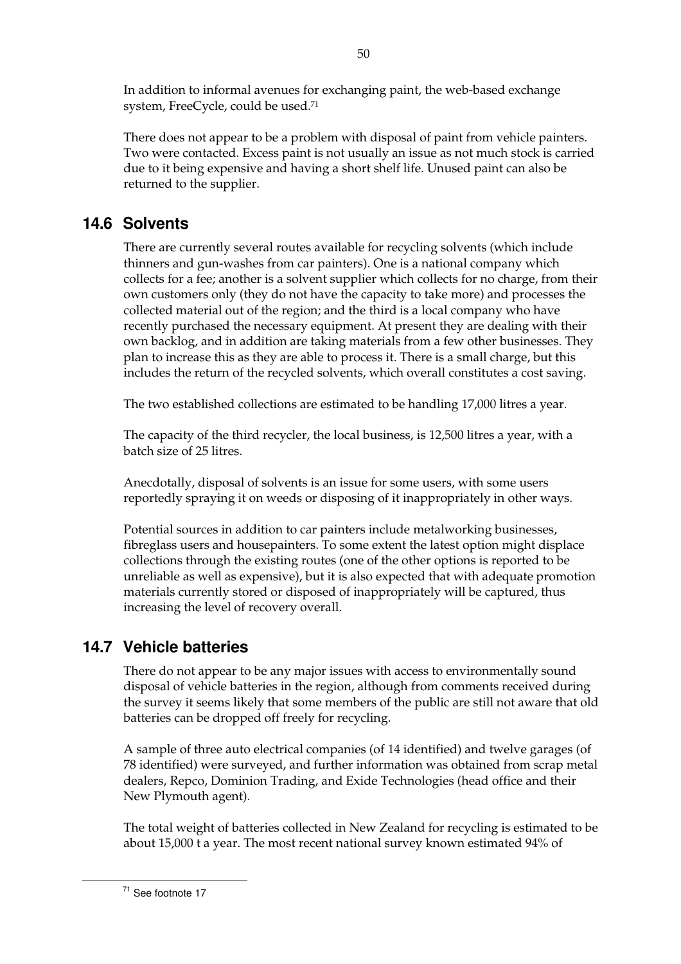In addition to informal avenues for exchanging paint, the web-based exchange system, FreeCycle, could be used.71

There does not appear to be a problem with disposal of paint from vehicle painters. Two were contacted. Excess paint is not usually an issue as not much stock is carried due to it being expensive and having a short shelf life. Unused paint can also be returned to the supplier.

# **14.6 Solvents**

There are currently several routes available for recycling solvents (which include thinners and gun-washes from car painters). One is a national company which collects for a fee; another is a solvent supplier which collects for no charge, from their own customers only (they do not have the capacity to take more) and processes the collected material out of the region; and the third is a local company who have recently purchased the necessary equipment. At present they are dealing with their own backlog, and in addition are taking materials from a few other businesses. They plan to increase this as they are able to process it. There is a small charge, but this includes the return of the recycled solvents, which overall constitutes a cost saving.

The two established collections are estimated to be handling 17,000 litres a year.

The capacity of the third recycler, the local business, is 12,500 litres a year, with a batch size of 25 litres.

Anecdotally, disposal of solvents is an issue for some users, with some users reportedly spraying it on weeds or disposing of it inappropriately in other ways.

Potential sources in addition to car painters include metalworking businesses, fibreglass users and housepainters. To some extent the latest option might displace collections through the existing routes (one of the other options is reported to be unreliable as well as expensive), but it is also expected that with adequate promotion materials currently stored or disposed of inappropriately will be captured, thus increasing the level of recovery overall.

# **14.7 Vehicle batteries**

There do not appear to be any major issues with access to environmentally sound disposal of vehicle batteries in the region, although from comments received during the survey it seems likely that some members of the public are still not aware that old batteries can be dropped off freely for recycling.

A sample of three auto electrical companies (of 14 identified) and twelve garages (of 78 identified) were surveyed, and further information was obtained from scrap metal dealers, Repco, Dominion Trading, and Exide Technologies (head office and their New Plymouth agent).

The total weight of batteries collected in New Zealand for recycling is estimated to be about 15,000 t a year. The most recent national survey known estimated 94% of

71 See footnote 17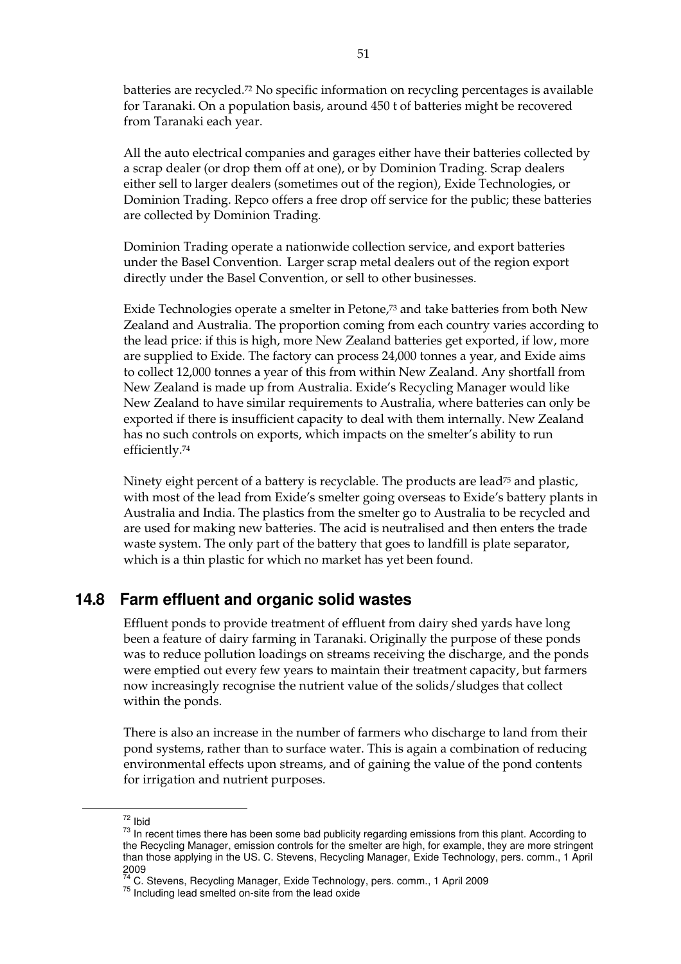batteries are recycled.72 No specific information on recycling percentages is available for Taranaki. On a population basis, around 450 t of batteries might be recovered from Taranaki each year.

All the auto electrical companies and garages either have their batteries collected by a scrap dealer (or drop them off at one), or by Dominion Trading. Scrap dealers either sell to larger dealers (sometimes out of the region), Exide Technologies, or Dominion Trading. Repco offers a free drop off service for the public; these batteries are collected by Dominion Trading.

Dominion Trading operate a nationwide collection service, and export batteries under the Basel Convention. Larger scrap metal dealers out of the region export directly under the Basel Convention, or sell to other businesses.

Exide Technologies operate a smelter in Petone,73 and take batteries from both New Zealand and Australia. The proportion coming from each country varies according to the lead price: if this is high, more New Zealand batteries get exported, if low, more are supplied to Exide. The factory can process 24,000 tonnes a year, and Exide aims to collect 12,000 tonnes a year of this from within New Zealand. Any shortfall from New Zealand is made up from Australia. Exide's Recycling Manager would like New Zealand to have similar requirements to Australia, where batteries can only be exported if there is insufficient capacity to deal with them internally. New Zealand has no such controls on exports, which impacts on the smelter's ability to run efficiently.74

Ninety eight percent of a battery is recyclable. The products are lead<sup>75</sup> and plastic, with most of the lead from Exide's smelter going overseas to Exide's battery plants in Australia and India. The plastics from the smelter go to Australia to be recycled and are used for making new batteries. The acid is neutralised and then enters the trade waste system. The only part of the battery that goes to landfill is plate separator, which is a thin plastic for which no market has yet been found.

## **14.8 Farm effluent and organic solid wastes**

Effluent ponds to provide treatment of effluent from dairy shed yards have long been a feature of dairy farming in Taranaki. Originally the purpose of these ponds was to reduce pollution loadings on streams receiving the discharge, and the ponds were emptied out every few years to maintain their treatment capacity, but farmers now increasingly recognise the nutrient value of the solids/sludges that collect within the ponds.

There is also an increase in the number of farmers who discharge to land from their pond systems, rather than to surface water. This is again a combination of reducing environmental effects upon streams, and of gaining the value of the pond contents for irrigation and nutrient purposes.

 $^{72}$  lbid<br> $^{73}$  In recent times there has been some bad publicity regarding emissions from this plant. According to the Recycling Manager, emission controls for the smelter are high, for example, they are more stringent than those applying in the US. C. Stevens, Recycling Manager, Exide Technology, pers. comm., 1 April 2009

<sup>&</sup>lt;sup>74</sup> C. Stevens, Recycling Manager, Exide Technology, pers. comm., 1 April 2009<br><sup>75</sup> Including lead smelted on-site from the lead oxide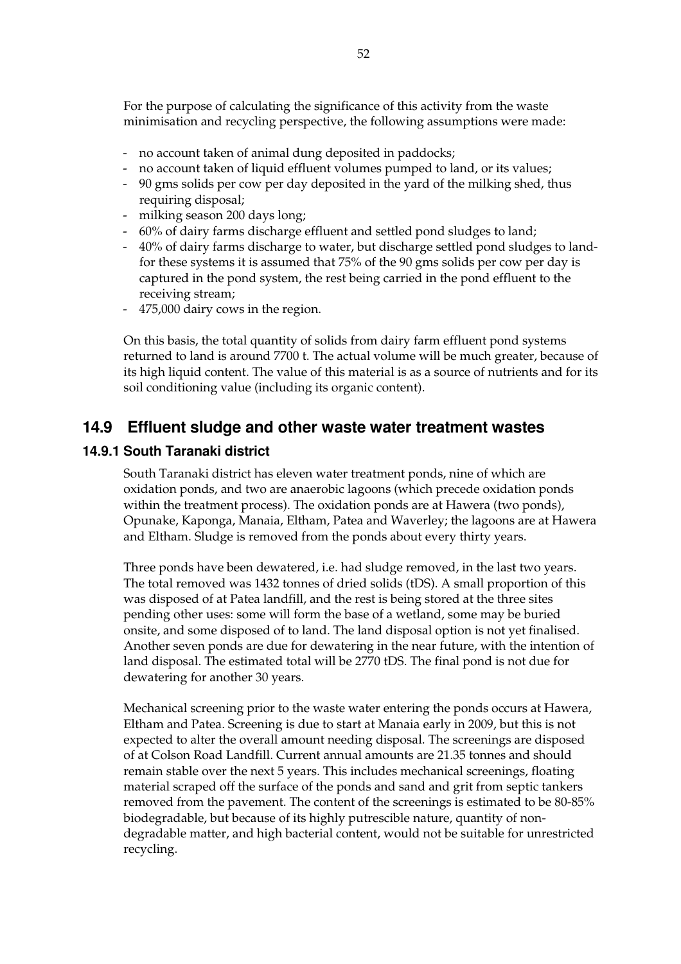For the purpose of calculating the significance of this activity from the waste minimisation and recycling perspective, the following assumptions were made:

- no account taken of animal dung deposited in paddocks;
- no account taken of liquid effluent volumes pumped to land, or its values;
- 90 gms solids per cow per day deposited in the yard of the milking shed, thus requiring disposal;
- milking season 200 days long;
- 60% of dairy farms discharge effluent and settled pond sludges to land;
- 40% of dairy farms discharge to water, but discharge settled pond sludges to landfor these systems it is assumed that 75% of the 90 gms solids per cow per day is captured in the pond system, the rest being carried in the pond effluent to the receiving stream;
- 475,000 dairy cows in the region.

On this basis, the total quantity of solids from dairy farm effluent pond systems returned to land is around 7700 t. The actual volume will be much greater, because of its high liquid content. The value of this material is as a source of nutrients and for its soil conditioning value (including its organic content).

### **14.9 Effluent sludge and other waste water treatment wastes**

#### **14.9.1 South Taranaki district**

South Taranaki district has eleven water treatment ponds, nine of which are oxidation ponds, and two are anaerobic lagoons (which precede oxidation ponds within the treatment process). The oxidation ponds are at Hawera (two ponds), Opunake, Kaponga, Manaia, Eltham, Patea and Waverley; the lagoons are at Hawera and Eltham. Sludge is removed from the ponds about every thirty years.

Three ponds have been dewatered, i.e. had sludge removed, in the last two years. The total removed was 1432 tonnes of dried solids (tDS). A small proportion of this was disposed of at Patea landfill, and the rest is being stored at the three sites pending other uses: some will form the base of a wetland, some may be buried onsite, and some disposed of to land. The land disposal option is not yet finalised. Another seven ponds are due for dewatering in the near future, with the intention of land disposal. The estimated total will be 2770 tDS. The final pond is not due for dewatering for another 30 years.

Mechanical screening prior to the waste water entering the ponds occurs at Hawera, Eltham and Patea. Screening is due to start at Manaia early in 2009, but this is not expected to alter the overall amount needing disposal. The screenings are disposed of at Colson Road Landfill. Current annual amounts are 21.35 tonnes and should remain stable over the next 5 years. This includes mechanical screenings, floating material scraped off the surface of the ponds and sand and grit from septic tankers removed from the pavement. The content of the screenings is estimated to be 80-85% biodegradable, but because of its highly putrescible nature, quantity of nondegradable matter, and high bacterial content, would not be suitable for unrestricted recycling.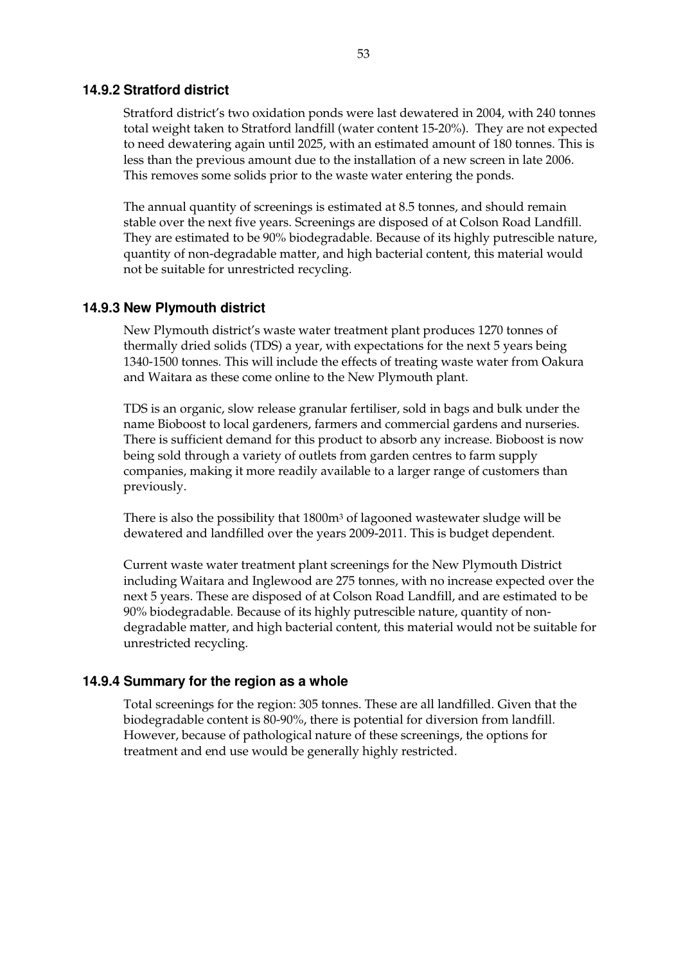#### **14.9.2 Stratford district**

Stratford district's two oxidation ponds were last dewatered in 2004, with 240 tonnes total weight taken to Stratford landfill (water content 15-20%). They are not expected to need dewatering again until 2025, with an estimated amount of 180 tonnes. This is less than the previous amount due to the installation of a new screen in late 2006. This removes some solids prior to the waste water entering the ponds.

The annual quantity of screenings is estimated at 8.5 tonnes, and should remain stable over the next five years. Screenings are disposed of at Colson Road Landfill. They are estimated to be 90% biodegradable. Because of its highly putrescible nature, quantity of non-degradable matter, and high bacterial content, this material would not be suitable for unrestricted recycling.

#### **14.9.3 New Plymouth district**

New Plymouth district's waste water treatment plant produces 1270 tonnes of thermally dried solids (TDS) a year, with expectations for the next 5 years being 1340-1500 tonnes. This will include the effects of treating waste water from Oakura and Waitara as these come online to the New Plymouth plant.

TDS is an organic, slow release granular fertiliser, sold in bags and bulk under the name Bioboost to local gardeners, farmers and commercial gardens and nurseries. There is sufficient demand for this product to absorb any increase. Bioboost is now being sold through a variety of outlets from garden centres to farm supply companies, making it more readily available to a larger range of customers than previously.

There is also the possibility that 1800m<sup>3</sup> of lagooned wastewater sludge will be dewatered and landfilled over the years 2009-2011. This is budget dependent.

Current waste water treatment plant screenings for the New Plymouth District including Waitara and Inglewood are 275 tonnes, with no increase expected over the next 5 years. These are disposed of at Colson Road Landfill, and are estimated to be 90% biodegradable. Because of its highly putrescible nature, quantity of nondegradable matter, and high bacterial content, this material would not be suitable for unrestricted recycling.

#### **14.9.4 Summary for the region as a whole**

Total screenings for the region: 305 tonnes. These are all landfilled. Given that the biodegradable content is 80-90%, there is potential for diversion from landfill. However, because of pathological nature of these screenings, the options for treatment and end use would be generally highly restricted.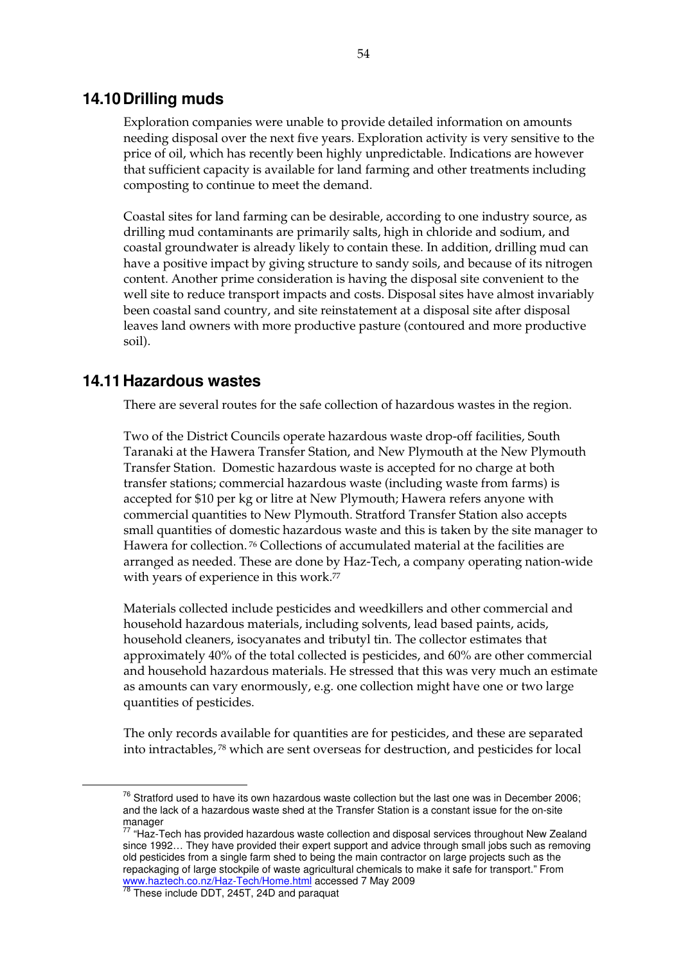### **14.10 Drilling muds**

Exploration companies were unable to provide detailed information on amounts needing disposal over the next five years. Exploration activity is very sensitive to the price of oil, which has recently been highly unpredictable. Indications are however that sufficient capacity is available for land farming and other treatments including composting to continue to meet the demand.

Coastal sites for land farming can be desirable, according to one industry source, as drilling mud contaminants are primarily salts, high in chloride and sodium, and coastal groundwater is already likely to contain these. In addition, drilling mud can have a positive impact by giving structure to sandy soils, and because of its nitrogen content. Another prime consideration is having the disposal site convenient to the well site to reduce transport impacts and costs. Disposal sites have almost invariably been coastal sand country, and site reinstatement at a disposal site after disposal leaves land owners with more productive pasture (contoured and more productive soil).

### **14.11 Hazardous wastes**

There are several routes for the safe collection of hazardous wastes in the region.

Two of the District Councils operate hazardous waste drop-off facilities, South Taranaki at the Hawera Transfer Station, and New Plymouth at the New Plymouth Transfer Station. Domestic hazardous waste is accepted for no charge at both transfer stations; commercial hazardous waste (including waste from farms) is accepted for \$10 per kg or litre at New Plymouth; Hawera refers anyone with commercial quantities to New Plymouth. Stratford Transfer Station also accepts small quantities of domestic hazardous waste and this is taken by the site manager to Hawera for collection. 76 Collections of accumulated material at the facilities are arranged as needed. These are done by Haz-Tech, a company operating nation-wide with years of experience in this work.<sup>77</sup>

Materials collected include pesticides and weedkillers and other commercial and household hazardous materials, including solvents, lead based paints, acids, household cleaners, isocyanates and tributyl tin. The collector estimates that approximately 40% of the total collected is pesticides, and 60% are other commercial and household hazardous materials. He stressed that this was very much an estimate as amounts can vary enormously, e.g. one collection might have one or two large quantities of pesticides.

The only records available for quantities are for pesticides, and these are separated into intractables, 78 which are sent overseas for destruction, and pesticides for local

 $76$  Stratford used to have its own hazardous waste collection but the last one was in December 2006; and the lack of a hazardous waste shed at the Transfer Station is a constant issue for the on-site manager

<sup>77 &</sup>quot;Haz-Tech has provided hazardous waste collection and disposal services throughout New Zealand since 1992… They have provided their expert support and advice through small jobs such as removing old pesticides from a single farm shed to being the main contractor on large projects such as the repackaging of large stockpile of waste agricultural chemicals to make it safe for transport." From www.haztech.co.nz/Haz-Tech/Home.html accessed 7 May 2009<br><sup>78</sup> These include DDT, 245T, 24D and paraquat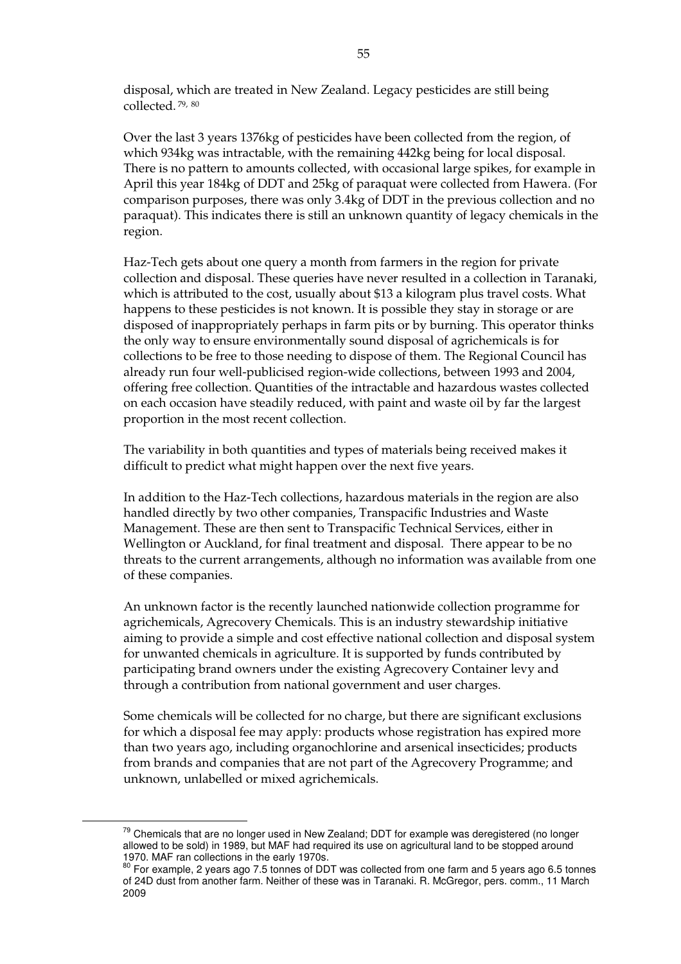disposal, which are treated in New Zealand. Legacy pesticides are still being collected. 79, 80

Over the last 3 years 1376kg of pesticides have been collected from the region, of which 934kg was intractable, with the remaining 442kg being for local disposal. There is no pattern to amounts collected, with occasional large spikes, for example in April this year 184kg of DDT and 25kg of paraquat were collected from Hawera. (For comparison purposes, there was only 3.4kg of DDT in the previous collection and no paraquat). This indicates there is still an unknown quantity of legacy chemicals in the region.

Haz-Tech gets about one query a month from farmers in the region for private collection and disposal. These queries have never resulted in a collection in Taranaki, which is attributed to the cost, usually about \$13 a kilogram plus travel costs. What happens to these pesticides is not known. It is possible they stay in storage or are disposed of inappropriately perhaps in farm pits or by burning. This operator thinks the only way to ensure environmentally sound disposal of agrichemicals is for collections to be free to those needing to dispose of them. The Regional Council has already run four well-publicised region-wide collections, between 1993 and 2004, offering free collection. Quantities of the intractable and hazardous wastes collected on each occasion have steadily reduced, with paint and waste oil by far the largest proportion in the most recent collection.

The variability in both quantities and types of materials being received makes it difficult to predict what might happen over the next five years.

In addition to the Haz-Tech collections, hazardous materials in the region are also handled directly by two other companies, Transpacific Industries and Waste Management. These are then sent to Transpacific Technical Services, either in Wellington or Auckland, for final treatment and disposal. There appear to be no threats to the current arrangements, although no information was available from one of these companies.

An unknown factor is the recently launched nationwide collection programme for agrichemicals, Agrecovery Chemicals. This is an industry stewardship initiative aiming to provide a simple and cost effective national collection and disposal system for unwanted chemicals in agriculture. It is supported by funds contributed by participating brand owners under the existing Agrecovery Container levy and through a contribution from national government and user charges.

Some chemicals will be collected for no charge, but there are significant exclusions for which a disposal fee may apply: products whose registration has expired more than two years ago, including organochlorine and arsenical insecticides; products from brands and companies that are not part of the Agrecovery Programme; and unknown, unlabelled or mixed agrichemicals.

 $79$  Chemicals that are no longer used in New Zealand; DDT for example was deregistered (no longer allowed to be sold) in 1989, but MAF had required its use on agricultural land to be stopped around 1970. MAF ran collections in the early 1970s.

 $80$  For example, 2 years ago 7.5 tonnes of DDT was collected from one farm and 5 years ago 6.5 tonnes of 24D dust from another farm. Neither of these was in Taranaki. R. McGregor, pers. comm., 11 March 2009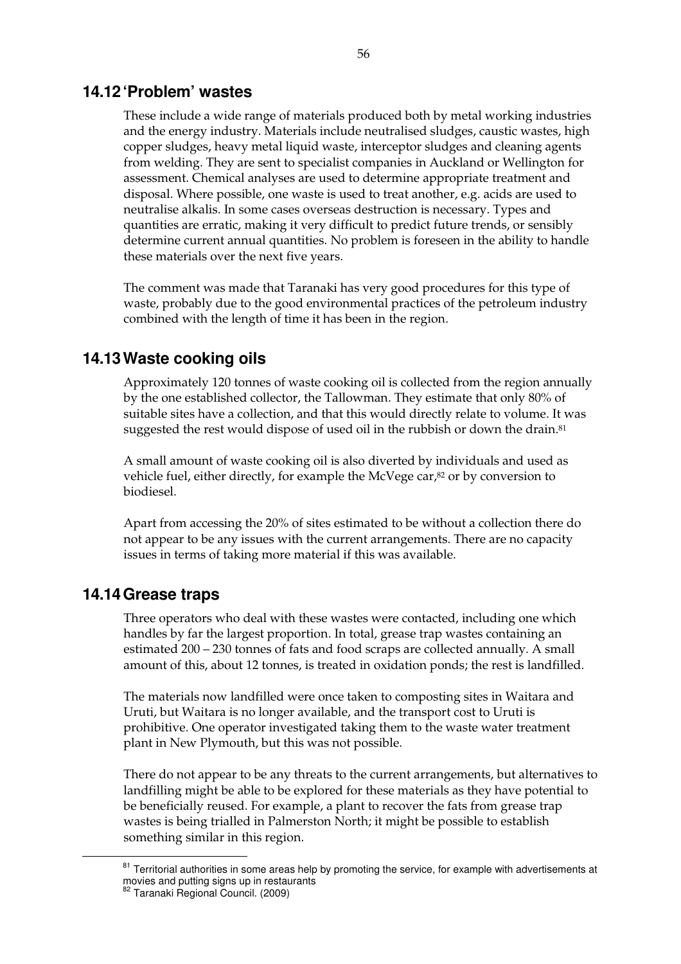### **14.12 'Problem' wastes**

These include a wide range of materials produced both by metal working industries and the energy industry. Materials include neutralised sludges, caustic wastes, high copper sludges, heavy metal liquid waste, interceptor sludges and cleaning agents from welding. They are sent to specialist companies in Auckland or Wellington for assessment. Chemical analyses are used to determine appropriate treatment and disposal. Where possible, one waste is used to treat another, e.g. acids are used to neutralise alkalis. In some cases overseas destruction is necessary. Types and quantities are erratic, making it very difficult to predict future trends, or sensibly determine current annual quantities. No problem is foreseen in the ability to handle these materials over the next five years.

The comment was made that Taranaki has very good procedures for this type of waste, probably due to the good environmental practices of the petroleum industry combined with the length of time it has been in the region.

### **14.13 Waste cooking oils**

Approximately 120 tonnes of waste cooking oil is collected from the region annually by the one established collector, the Tallowman. They estimate that only 80% of suitable sites have a collection, and that this would directly relate to volume. It was suggested the rest would dispose of used oil in the rubbish or down the drain.<sup>81</sup>

A small amount of waste cooking oil is also diverted by individuals and used as vehicle fuel, either directly, for example the McVege car,82 or by conversion to biodiesel.

Apart from accessing the 20% of sites estimated to be without a collection there do not appear to be any issues with the current arrangements. There are no capacity issues in terms of taking more material if this was available.

### **14.14 Grease traps**

Three operators who deal with these wastes were contacted, including one which handles by far the largest proportion. In total, grease trap wastes containing an estimated 200 – 230 tonnes of fats and food scraps are collected annually. A small amount of this, about 12 tonnes, is treated in oxidation ponds; the rest is landfilled.

The materials now landfilled were once taken to composting sites in Waitara and Uruti, but Waitara is no longer available, and the transport cost to Uruti is prohibitive. One operator investigated taking them to the waste water treatment plant in New Plymouth, but this was not possible.

There do not appear to be any threats to the current arrangements, but alternatives to landfilling might be able to be explored for these materials as they have potential to be beneficially reused. For example, a plant to recover the fats from grease trap wastes is being trialled in Palmerston North; it might be possible to establish something similar in this region.

 $81$  Territorial authorities in some areas help by promoting the service, for example with advertisements at movies and putting signs up in restaurants

<sup>&</sup>lt;sup>82</sup> Taranaki Regional Council. (2009)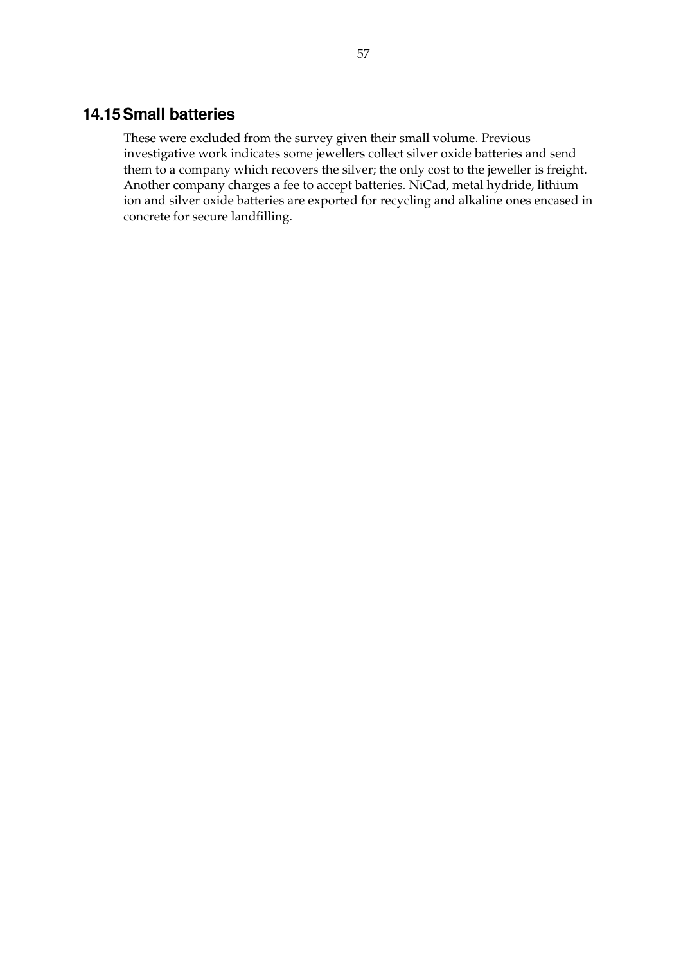# **14.15 Small batteries**

These were excluded from the survey given their small volume. Previous investigative work indicates some jewellers collect silver oxide batteries and send them to a company which recovers the silver; the only cost to the jeweller is freight. Another company charges a fee to accept batteries. NiCad, metal hydride, lithium ion and silver oxide batteries are exported for recycling and alkaline ones encased in concrete for secure landfilling.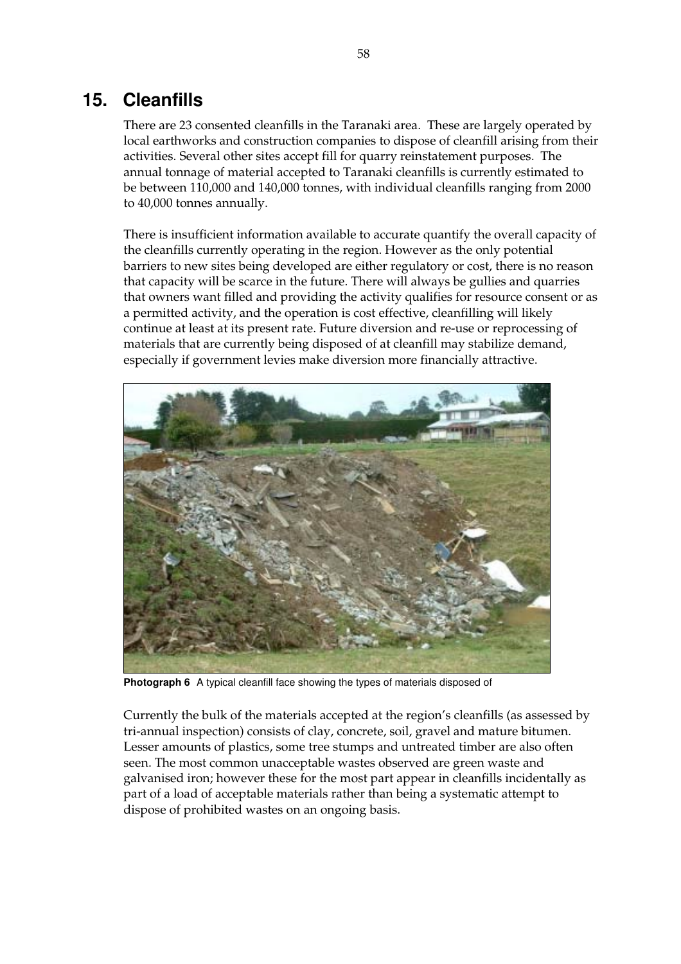# **15. Cleanfills**

There are 23 consented cleanfills in the Taranaki area. These are largely operated by local earthworks and construction companies to dispose of cleanfill arising from their activities. Several other sites accept fill for quarry reinstatement purposes. The annual tonnage of material accepted to Taranaki cleanfills is currently estimated to be between 110,000 and 140,000 tonnes, with individual cleanfills ranging from 2000 to 40,000 tonnes annually.

There is insufficient information available to accurate quantify the overall capacity of the cleanfills currently operating in the region. However as the only potential barriers to new sites being developed are either regulatory or cost, there is no reason that capacity will be scarce in the future. There will always be gullies and quarries that owners want filled and providing the activity qualifies for resource consent or as a permitted activity, and the operation is cost effective, cleanfilling will likely continue at least at its present rate. Future diversion and re-use or reprocessing of materials that are currently being disposed of at cleanfill may stabilize demand, especially if government levies make diversion more financially attractive.



**Photograph 6** A typical cleanfill face showing the types of materials disposed of

Currently the bulk of the materials accepted at the region's cleanfills (as assessed by tri-annual inspection) consists of clay, concrete, soil, gravel and mature bitumen. Lesser amounts of plastics, some tree stumps and untreated timber are also often seen. The most common unacceptable wastes observed are green waste and galvanised iron; however these for the most part appear in cleanfills incidentally as part of a load of acceptable materials rather than being a systematic attempt to dispose of prohibited wastes on an ongoing basis.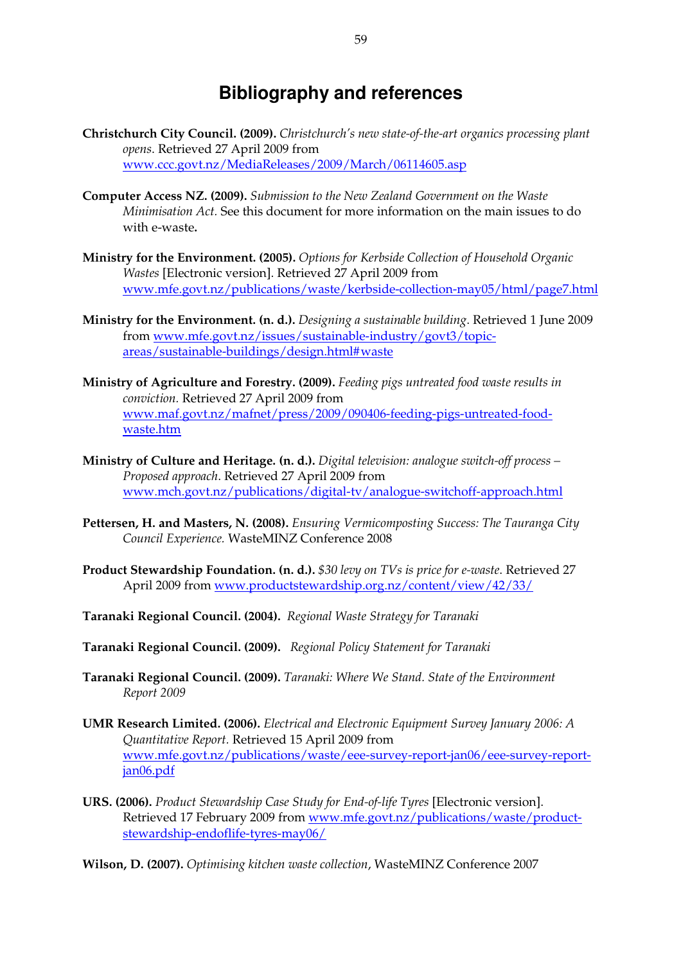# **Bibliography and references**

- **Christchurch City Council. (2009).** *Christchurch's new state-of-the-art organics processing plant opens*. Retrieved 27 April 2009 from www.ccc.govt.nz/MediaReleases/2009/March/06114605.asp
- **Computer Access NZ. (2009).** *Submission to the New Zealand Government on the Waste Minimisation Act.* See this document for more information on the main issues to do with e-waste**.**
- **Ministry for the Environment. (2005).** *Options for Kerbside Collection of Household Organic Wastes* [Electronic version]. Retrieved 27 April 2009 from www.mfe.govt.nz/publications/waste/kerbside-collection-may05/html/page7.html
- **Ministry for the Environment. (n. d.).** *Designing a sustainable building*. Retrieved 1 June 2009 from www.mfe.govt.nz/issues/sustainable-industry/govt3/topicareas/sustainable-buildings/design.html#waste
- **Ministry of Agriculture and Forestry. (2009).** *Feeding pigs untreated food waste results in conviction.* Retrieved 27 April 2009 from www.maf.govt.nz/mafnet/press/2009/090406-feeding-pigs-untreated-foodwaste.htm
- **Ministry of Culture and Heritage. (n. d.).** *Digital television: analogue switch-off process Proposed approach*. Retrieved 27 April 2009 from www.mch.govt.nz/publications/digital-tv/analogue-switchoff-approach.html
- **Pettersen, H. and Masters, N. (2008).** *Ensuring Vermicomposting Success: The Tauranga City Council Experience.* WasteMINZ Conference 2008
- **Product Stewardship Foundation. (n. d.).** *\$30 levy on TVs is price for e-waste*. Retrieved 27 April 2009 from www.productstewardship.org.nz/content/view/42/33/
- **Taranaki Regional Council. (2004).** *Regional Waste Strategy for Taranaki*
- **Taranaki Regional Council. (2009).** *Regional Policy Statement for Taranaki*
- **Taranaki Regional Council. (2009).** *Taranaki: Where We Stand. State of the Environment Report 2009*
- **UMR Research Limited. (2006).** *Electrical and Electronic Equipment Survey January 2006: A Quantitative Report.* Retrieved 15 April 2009 from www.mfe.govt.nz/publications/waste/eee-survey-report-jan06/eee-survey-reportjan06.pdf
- **URS. (2006).** *Product Stewardship Case Study for End-of-life Tyres* [Electronic version]. Retrieved 17 February 2009 from www.mfe.govt.nz/publications/waste/productstewardship-endoflife-tyres-may06/
- **Wilson, D. (2007).** *Optimising kitchen waste collection*, WasteMINZ Conference 2007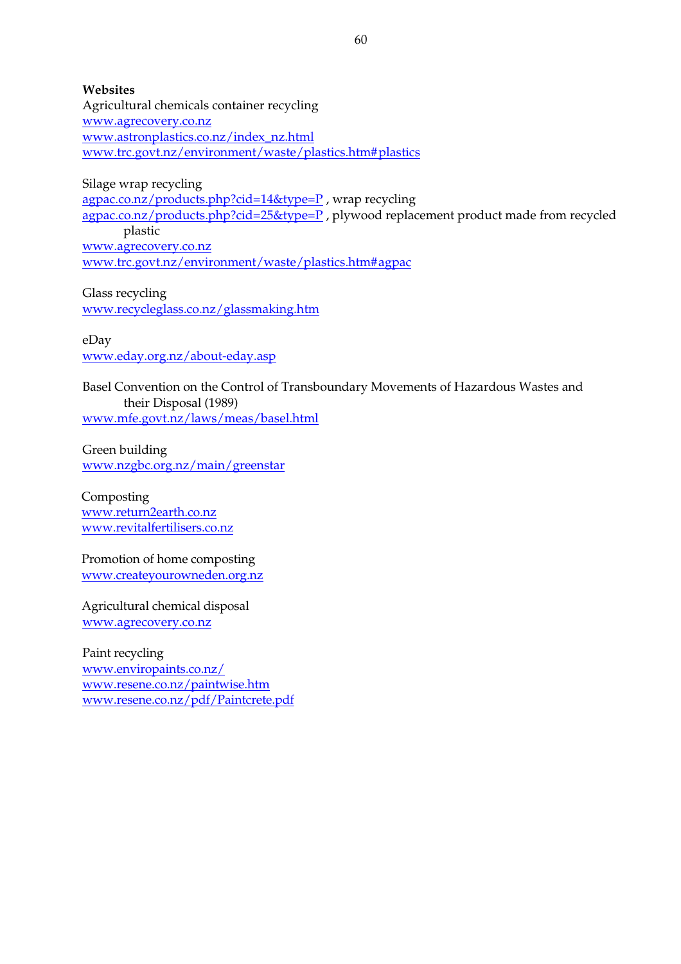**Websites**  Agricultural chemicals container recycling www.agrecovery.co.nz www.astronplastics.co.nz/index\_nz.html www.trc.govt.nz/environment/waste/plastics.htm#plastics

Silage wrap recycling agpac.co.nz/products.php?cid=14&type=P , wrap recycling agpac.co.nz/products.php?cid=25&type=P , plywood replacement product made from recycled plastic www.agrecovery.co.nz www.trc.govt.nz/environment/waste/plastics.htm#agpac

Glass recycling www.recycleglass.co.nz/glassmaking.htm

eDay www.eday.org.nz/about-eday.asp

Basel Convention on the Control of Transboundary Movements of Hazardous Wastes and their Disposal (1989) www.mfe.govt.nz/laws/meas/basel.html

Green building www.nzgbc.org.nz/main/greenstar

Composting www.return2earth.co.nz www.revitalfertilisers.co.nz

Promotion of home composting www.createyourowneden.org.nz

Agricultural chemical disposal www.agrecovery.co.nz

Paint recycling www.enviropaints.co.nz/ www.resene.co.nz/paintwise.htm www.resene.co.nz/pdf/Paintcrete.pdf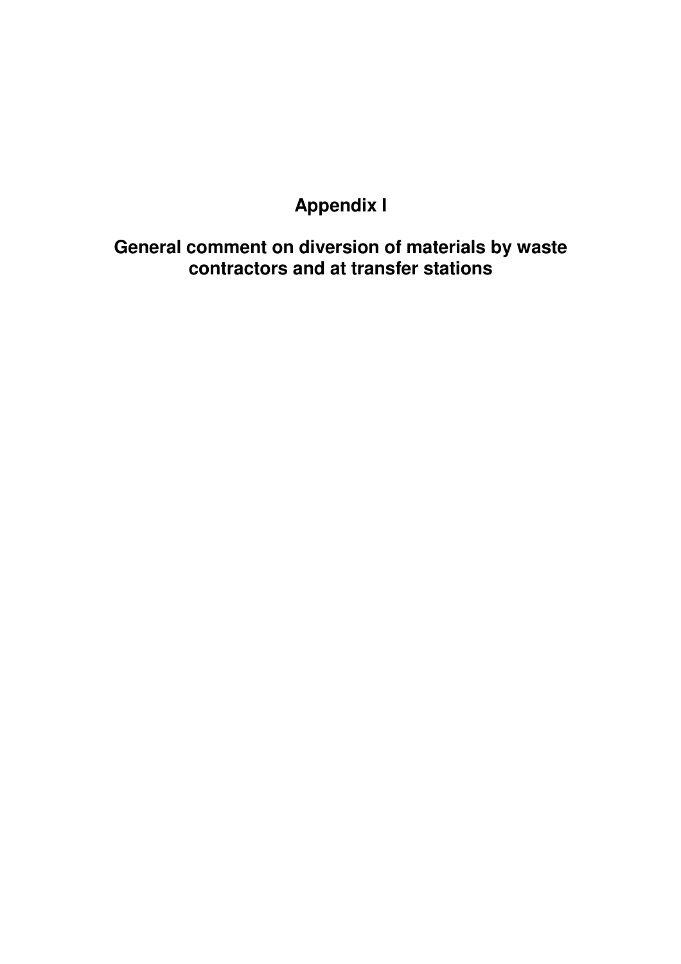### **Appendix I**

**General comment on diversion of materials by waste contractors and at transfer stations**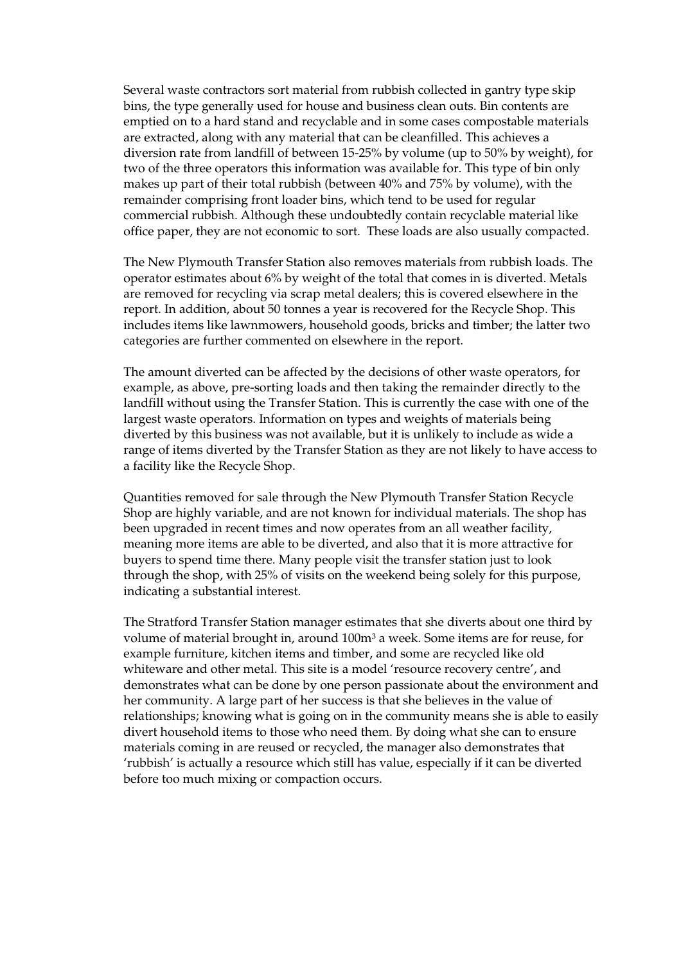Several waste contractors sort material from rubbish collected in gantry type skip bins, the type generally used for house and business clean outs. Bin contents are emptied on to a hard stand and recyclable and in some cases compostable materials are extracted, along with any material that can be cleanfilled. This achieves a diversion rate from landfill of between 15-25% by volume (up to 50% by weight), for two of the three operators this information was available for. This type of bin only makes up part of their total rubbish (between 40% and 75% by volume), with the remainder comprising front loader bins, which tend to be used for regular commercial rubbish. Although these undoubtedly contain recyclable material like office paper, they are not economic to sort. These loads are also usually compacted.

The New Plymouth Transfer Station also removes materials from rubbish loads. The operator estimates about 6% by weight of the total that comes in is diverted. Metals are removed for recycling via scrap metal dealers; this is covered elsewhere in the report. In addition, about 50 tonnes a year is recovered for the Recycle Shop. This includes items like lawnmowers, household goods, bricks and timber; the latter two categories are further commented on elsewhere in the report.

The amount diverted can be affected by the decisions of other waste operators, for example, as above, pre-sorting loads and then taking the remainder directly to the landfill without using the Transfer Station. This is currently the case with one of the largest waste operators. Information on types and weights of materials being diverted by this business was not available, but it is unlikely to include as wide a range of items diverted by the Transfer Station as they are not likely to have access to a facility like the Recycle Shop.

Quantities removed for sale through the New Plymouth Transfer Station Recycle Shop are highly variable, and are not known for individual materials. The shop has been upgraded in recent times and now operates from an all weather facility, meaning more items are able to be diverted, and also that it is more attractive for buyers to spend time there. Many people visit the transfer station just to look through the shop, with 25% of visits on the weekend being solely for this purpose, indicating a substantial interest.

The Stratford Transfer Station manager estimates that she diverts about one third by volume of material brought in, around 100m3 a week. Some items are for reuse, for example furniture, kitchen items and timber, and some are recycled like old whiteware and other metal. This site is a model 'resource recovery centre', and demonstrates what can be done by one person passionate about the environment and her community. A large part of her success is that she believes in the value of relationships; knowing what is going on in the community means she is able to easily divert household items to those who need them. By doing what she can to ensure materials coming in are reused or recycled, the manager also demonstrates that 'rubbish' is actually a resource which still has value, especially if it can be diverted before too much mixing or compaction occurs.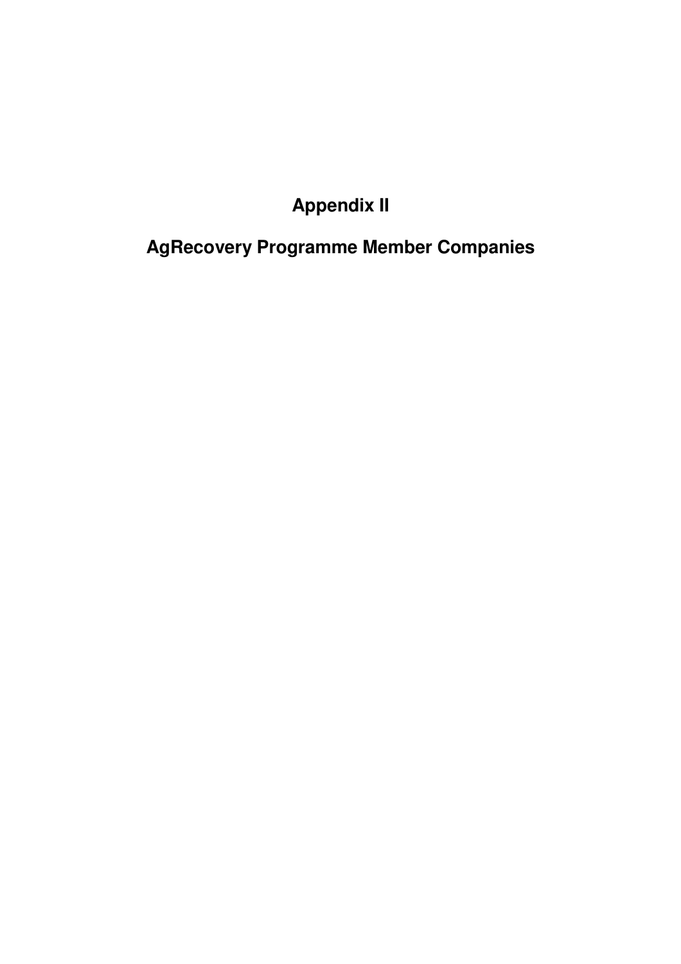## **Appendix II**

# **AgRecovery Programme Member Companies**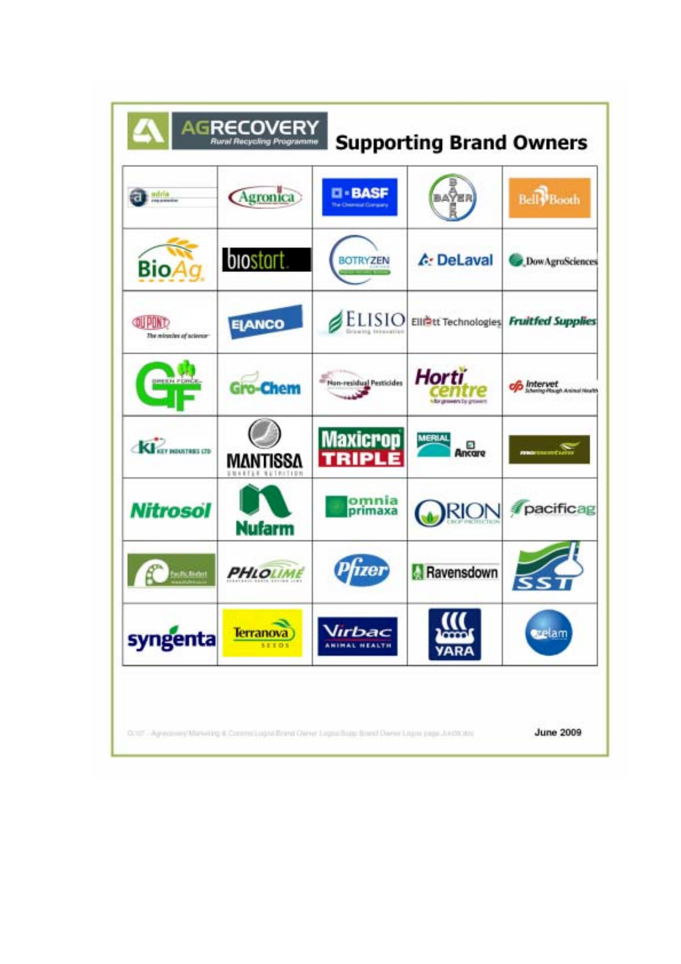| adria<br>monete                     | Agronica                             | <b>CI-BASF</b><br><b>The Chemical Company</b> | baÿer                                    | <b>Bell Booth</b> |
|-------------------------------------|--------------------------------------|-----------------------------------------------|------------------------------------------|-------------------|
| Bio/                                | <b>biostart</b>                      | BOTRYZEN                                      | <b>A</b> : DeLaval                       | DowAgroSciences   |
| OU POND<br>The minucles of actence- | <b>ELANCO</b>                        | ELISIO<br>ria ering too public                | Elliett Technologies Fruitfed Supplies   |                   |
| <b>UREEN FORCE</b>                  | <b>Gro-Chem</b>                      | - Non-residual Pesticides                     | <b>Horti</b><br>fully growers by growing | Intervet          |
| KI KEY HOUTHES CD                   | MANTISSA<br><b>UNARTER RUTRITION</b> | <b>Maxicrop</b><br><b>TRIPI</b>               | <b>MERIAL</b><br>Ξ<br>Ancare             |                   |
| <b>Nitrosol</b>                     | <b>Nufarm</b>                        | omnia<br>primaxa                              | <b>RION</b>                              | pacificag         |
| <b>Citic Boatest</b>                | <b>PHLOLIME</b>                      |                                               | Ravensdown                               |                   |
| syngenta                            | <b>Terranova</b><br><b>SEEDS</b>     | Virbac                                        |                                          | ezelam            |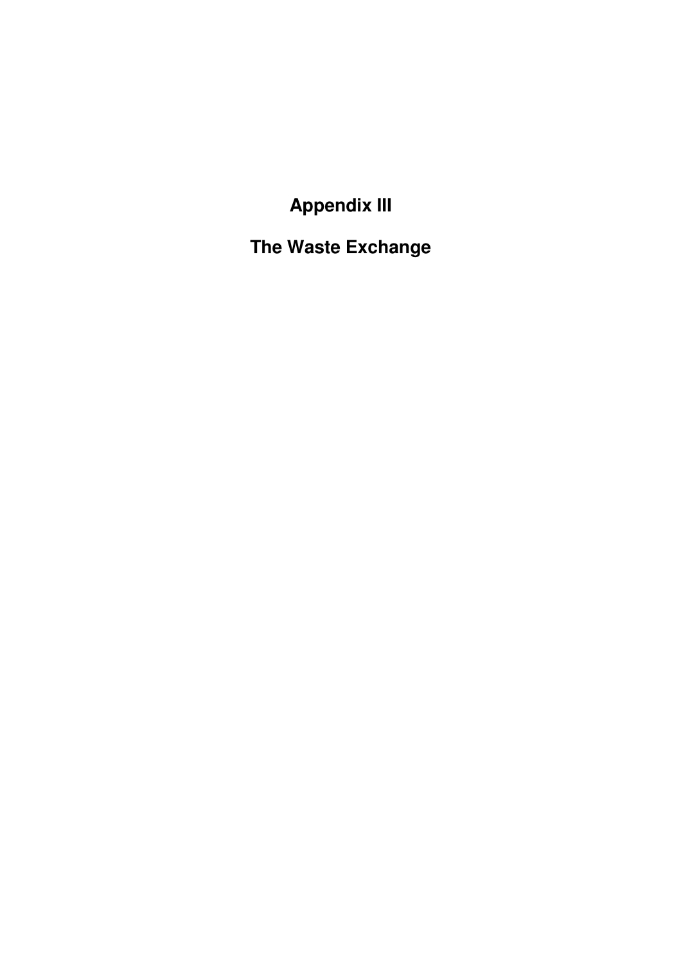**Appendix III** 

**The Waste Exchange**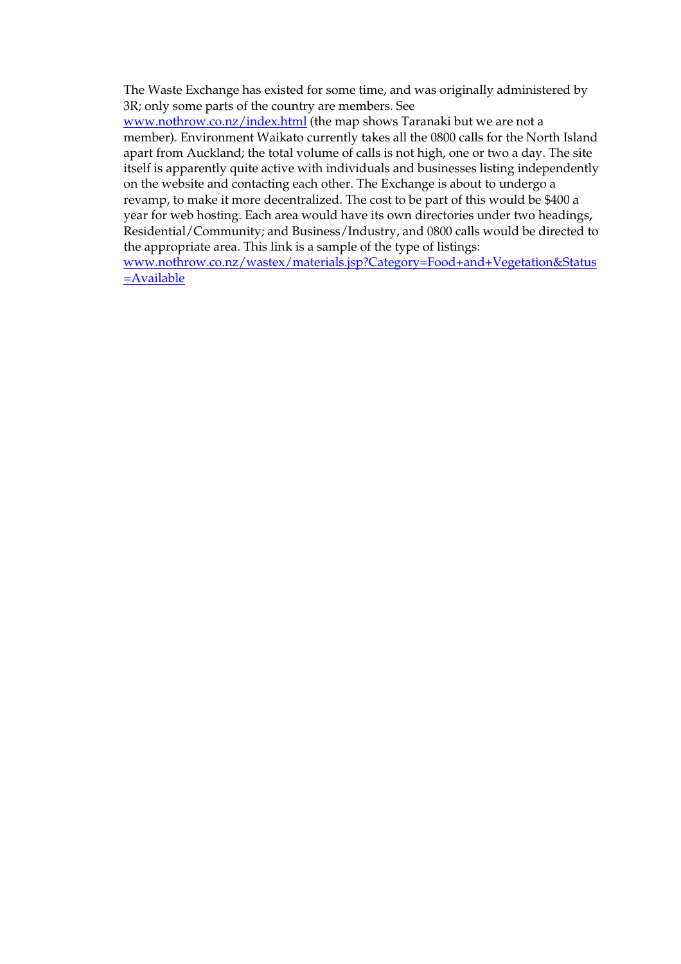The Waste Exchange has existed for some time, and was originally administered by 3R; only some parts of the country are members. See

www.nothrow.co.nz/index.html (the map shows Taranaki but we are not a member). Environment Waikato currently takes all the 0800 calls for the North Island apart from Auckland; the total volume of calls is not high, one or two a day. The site itself is apparently quite active with individuals and businesses listing independently on the website and contacting each other. The Exchange is about to undergo a revamp, to make it more decentralized. The cost to be part of this would be \$400 a year for web hosting. Each area would have its own directories under two headings**,**  Residential/Community; and Business/Industry, and 0800 calls would be directed to the appropriate area. This link is a sample of the type of listings:

www.nothrow.co.nz/wastex/materials.jsp?Category=Food+and+Vegetation&Status =Available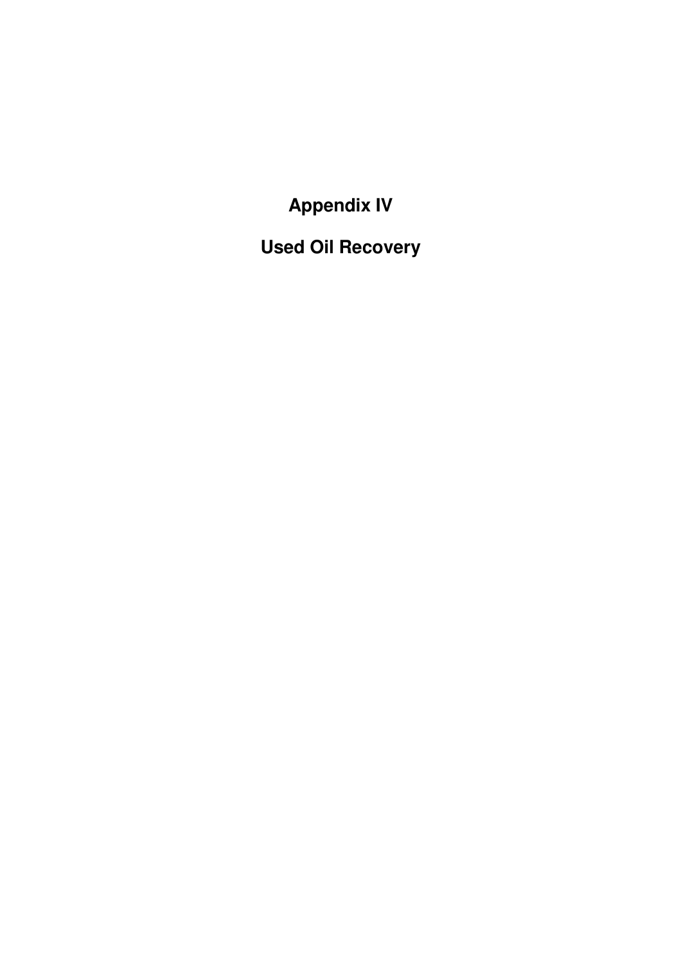**Appendix IV** 

**Used Oil Recovery**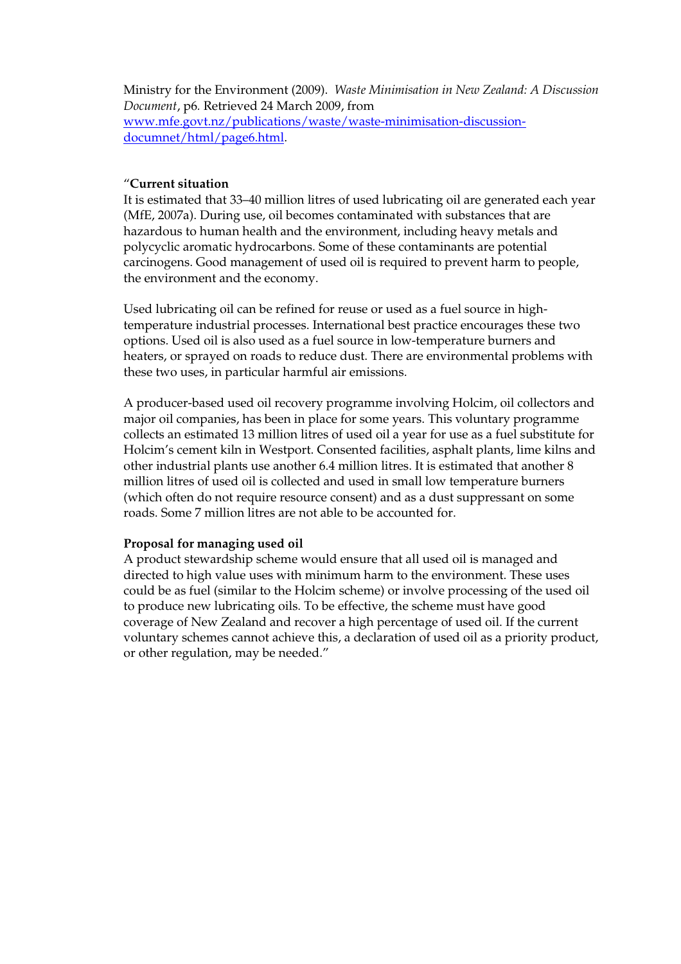Ministry for the Environment (2009). *Waste Minimisation in New Zealand: A Discussion Document*, p6*.* Retrieved 24 March 2009, from www.mfe.govt.nz/publications/waste/waste-minimisation-discussiondocumnet/html/page6.html.

#### "**Current situation**

It is estimated that 33–40 million litres of used lubricating oil are generated each year (MfE, 2007a). During use, oil becomes contaminated with substances that are hazardous to human health and the environment, including heavy metals and polycyclic aromatic hydrocarbons. Some of these contaminants are potential carcinogens. Good management of used oil is required to prevent harm to people, the environment and the economy.

Used lubricating oil can be refined for reuse or used as a fuel source in hightemperature industrial processes. International best practice encourages these two options. Used oil is also used as a fuel source in low-temperature burners and heaters, or sprayed on roads to reduce dust. There are environmental problems with these two uses, in particular harmful air emissions.

A producer-based used oil recovery programme involving Holcim, oil collectors and major oil companies, has been in place for some years. This voluntary programme collects an estimated 13 million litres of used oil a year for use as a fuel substitute for Holcim's cement kiln in Westport. Consented facilities, asphalt plants, lime kilns and other industrial plants use another 6.4 million litres. It is estimated that another 8 million litres of used oil is collected and used in small low temperature burners (which often do not require resource consent) and as a dust suppressant on some roads. Some 7 million litres are not able to be accounted for.

#### **Proposal for managing used oil**

A product stewardship scheme would ensure that all used oil is managed and directed to high value uses with minimum harm to the environment. These uses could be as fuel (similar to the Holcim scheme) or involve processing of the used oil to produce new lubricating oils. To be effective, the scheme must have good coverage of New Zealand and recover a high percentage of used oil. If the current voluntary schemes cannot achieve this, a declaration of used oil as a priority product, or other regulation, may be needed."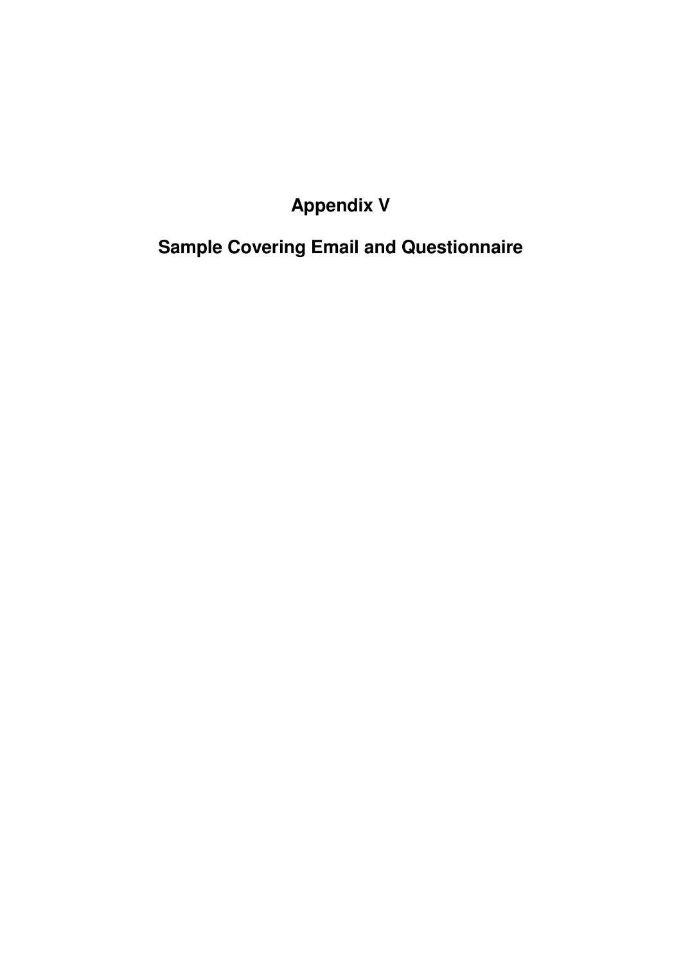## **Appendix V**

## **Sample Covering Email and Questionnaire**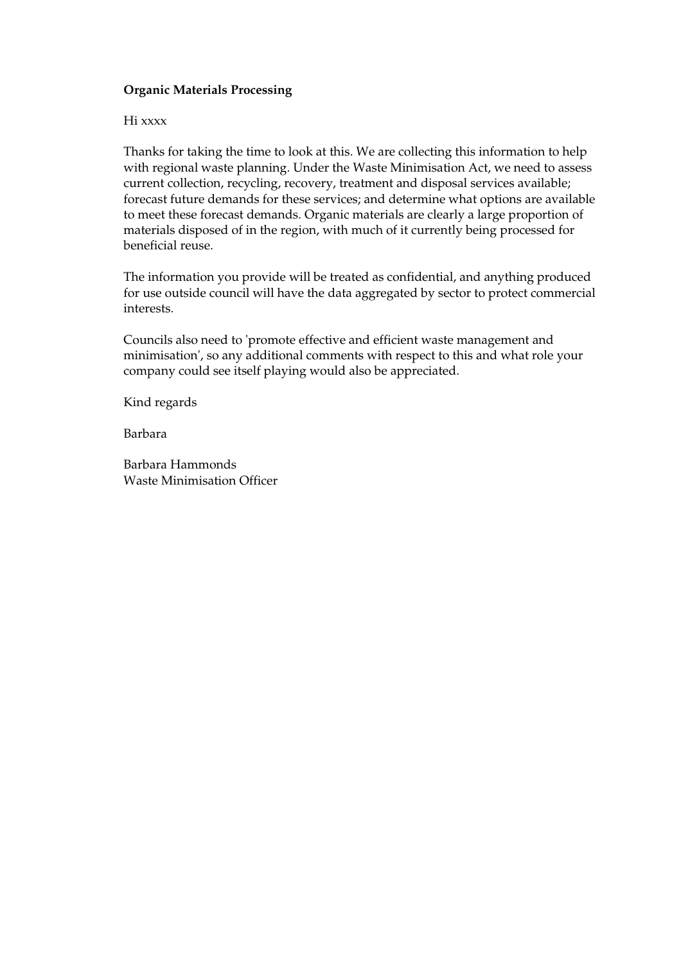#### **Organic Materials Processing**

#### Hi xxxx

Thanks for taking the time to look at this. We are collecting this information to help with regional waste planning. Under the Waste Minimisation Act, we need to assess current collection, recycling, recovery, treatment and disposal services available; forecast future demands for these services; and determine what options are available to meet these forecast demands. Organic materials are clearly a large proportion of materials disposed of in the region, with much of it currently being processed for beneficial reuse.

The information you provide will be treated as confidential, and anything produced for use outside council will have the data aggregated by sector to protect commercial interests.

Councils also need to 'promote effective and efficient waste management and minimisation', so any additional comments with respect to this and what role your company could see itself playing would also be appreciated.

Kind regards

Barbara

Barbara Hammonds Waste Minimisation Officer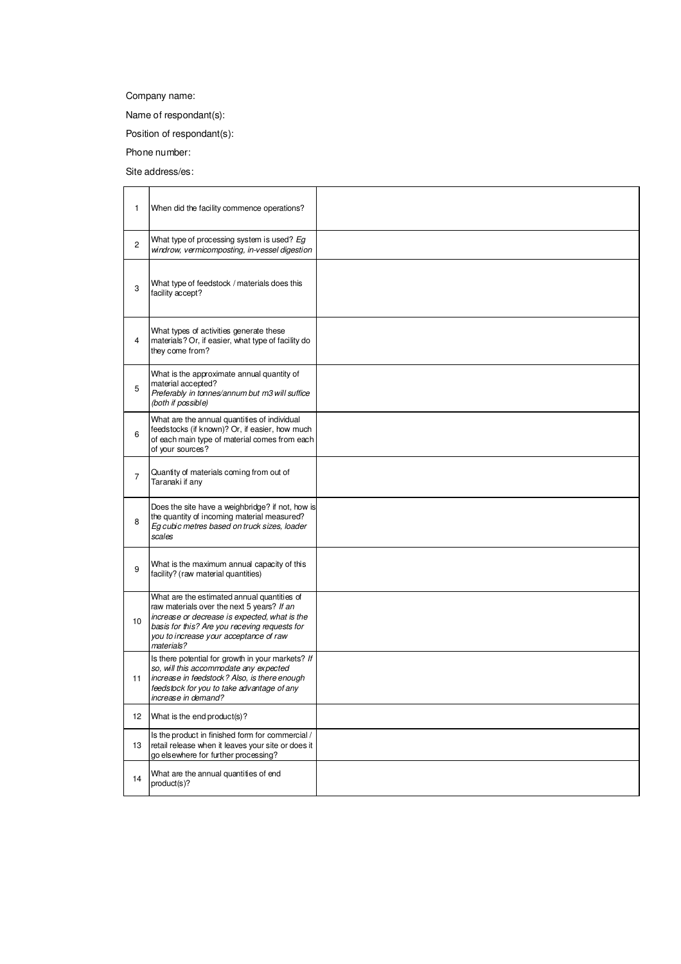Company name:

Name of respondant(s):

Position of respondant(s):

Phone number:

Site address/es:

| 1              | When did the facility commence operations?                                                                                                                                                                                                          |  |
|----------------|-----------------------------------------------------------------------------------------------------------------------------------------------------------------------------------------------------------------------------------------------------|--|
| 2              | What type of processing system is used? Eg<br>windrow, vermicomposting, in-vessel digestion                                                                                                                                                         |  |
| 3              | What type of feedstock / materials does this<br>facility accept?                                                                                                                                                                                    |  |
| 4              | What types of activities generate these<br>materials? Or, if easier, what type of facility do<br>they come from?                                                                                                                                    |  |
| 5              | What is the approximate annual quantity of<br>material accepted?<br>Preferably in tonnes/annum but m3 will suffice<br>(both if possible)                                                                                                            |  |
| 6              | What are the annual quantities of individual<br>feedstocks (if known)? Or, if easier, how much<br>of each main type of material comes from each<br>of your sources?                                                                                 |  |
| $\overline{7}$ | Quantity of materials coming from out of<br>Taranaki if any                                                                                                                                                                                         |  |
| 8              | Does the site have a weighbridge? if not, how is<br>the quantity of incoming material measured?<br>Eg cubic metres based on truck sizes, loader<br>scales                                                                                           |  |
| 9              | What is the maximum annual capacity of this<br>facility? (raw material quantities)                                                                                                                                                                  |  |
| 10             | What are the estimated annual quantities of<br>raw materials over the next 5 years? If an<br>increase or decrease is expected, what is the<br>basis for this? Are you receving requests for<br>you to increase your acceptance of raw<br>materials? |  |
| 11             | Is there potential for growth in your markets? If<br>so, will this accommodate any expected<br>increase in feedstock? Also, is there enough<br>feedstock for you to take advantage of any<br>increase in demand?                                    |  |
| 12             | What is the end product(s)?                                                                                                                                                                                                                         |  |
| 13             | Is the product in finished form for commercial /<br>retail release when it leaves your site or does it<br>go elsewhere for further processing?                                                                                                      |  |
| 14             | What are the annual quantities of end<br>product(s)?                                                                                                                                                                                                |  |